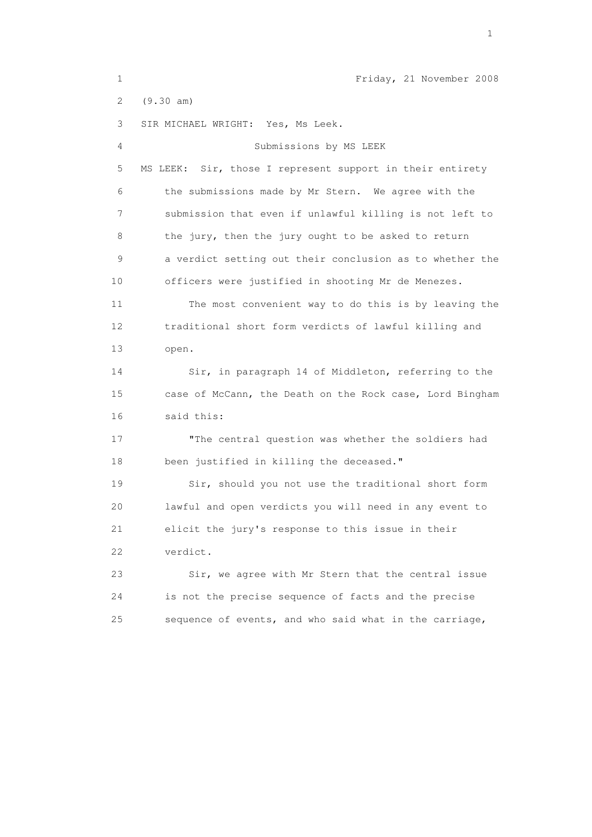1 Friday, 21 November 2008 2 (9.30 am) 3 SIR MICHAEL WRIGHT: Yes, Ms Leek. 4 Submissions by MS LEEK 5 MS LEEK: Sir, those I represent support in their entirety 6 the submissions made by Mr Stern. We agree with the 7 submission that even if unlawful killing is not left to 8 the jury, then the jury ought to be asked to return 9 a verdict setting out their conclusion as to whether the 10 officers were justified in shooting Mr de Menezes. 11 The most convenient way to do this is by leaving the 12 traditional short form verdicts of lawful killing and 13 open. 14 Sir, in paragraph 14 of Middleton, referring to the 15 case of McCann, the Death on the Rock case, Lord Bingham 16 said this: 17 "The central question was whether the soldiers had 18 been justified in killing the deceased." 19 Sir, should you not use the traditional short form 20 lawful and open verdicts you will need in any event to 21 elicit the jury's response to this issue in their 22 verdict. 23 Sir, we agree with Mr Stern that the central issue 24 is not the precise sequence of facts and the precise 25 sequence of events, and who said what in the carriage,

the contract of the contract of the contract of the contract of the contract of the contract of the contract of the contract of the contract of the contract of the contract of the contract of the contract of the contract o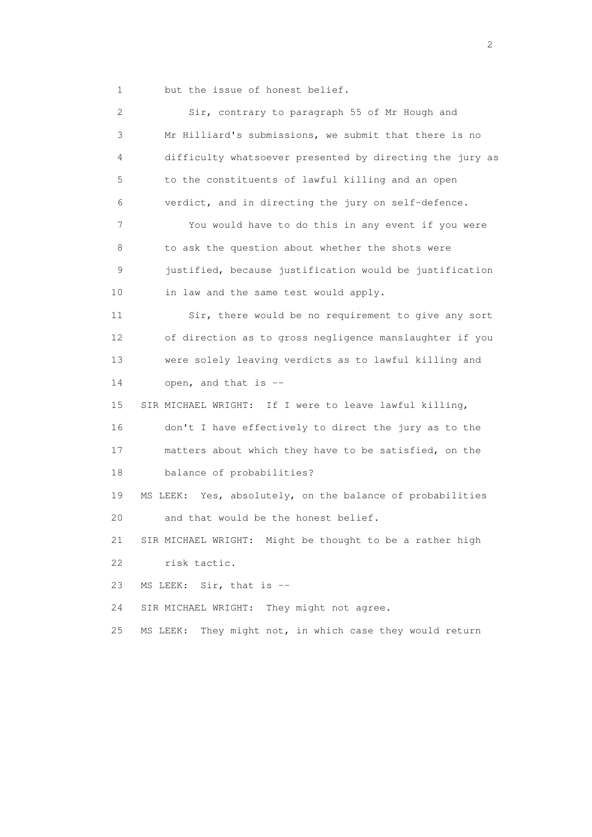1 but the issue of honest belief.

 2 Sir, contrary to paragraph 55 of Mr Hough and 3 Mr Hilliard's submissions, we submit that there is no 4 difficulty whatsoever presented by directing the jury as 5 to the constituents of lawful killing and an open 6 verdict, and in directing the jury on self-defence. 7 You would have to do this in any event if you were 8 to ask the question about whether the shots were 9 justified, because justification would be justification 10 in law and the same test would apply. 11 Sir, there would be no requirement to give any sort 12 of direction as to gross negligence manslaughter if you 13 were solely leaving verdicts as to lawful killing and 14 open, and that is -- 15 SIR MICHAEL WRIGHT: If I were to leave lawful killing, 16 don't I have effectively to direct the jury as to the 17 matters about which they have to be satisfied, on the 18 balance of probabilities? 19 MS LEEK: Yes, absolutely, on the balance of probabilities 20 and that would be the honest belief. 21 SIR MICHAEL WRIGHT: Might be thought to be a rather high 22 risk tactic. 23 MS LEEK: Sir, that is -- 24 SIR MICHAEL WRIGHT: They might not agree. 25 MS LEEK: They might not, in which case they would return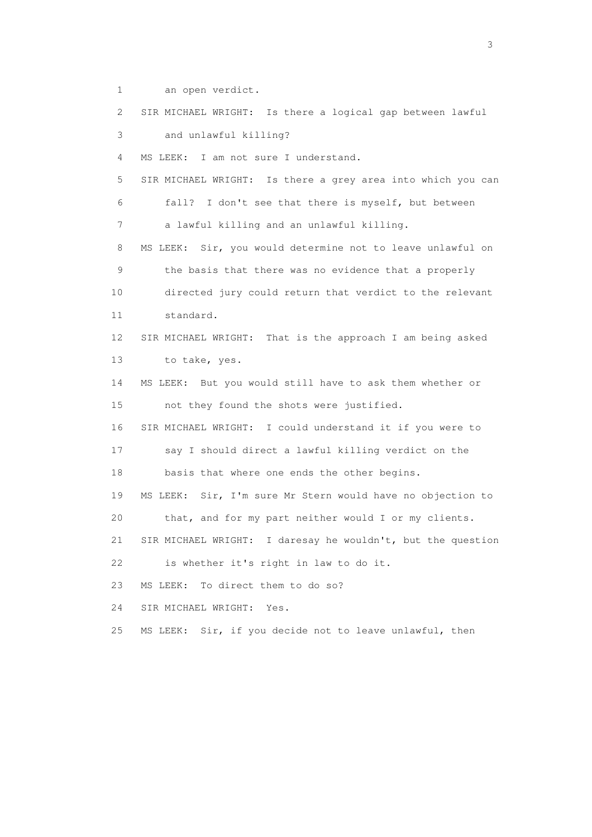1 an open verdict.

 2 SIR MICHAEL WRIGHT: Is there a logical gap between lawful 3 and unlawful killing? 4 MS LEEK: I am not sure I understand. 5 SIR MICHAEL WRIGHT: Is there a grey area into which you can 6 fall? I don't see that there is myself, but between 7 a lawful killing and an unlawful killing. 8 MS LEEK: Sir, you would determine not to leave unlawful on 9 the basis that there was no evidence that a properly 10 directed jury could return that verdict to the relevant 11 standard. 12 SIR MICHAEL WRIGHT: That is the approach I am being asked 13 to take, yes. 14 MS LEEK: But you would still have to ask them whether or 15 not they found the shots were justified. 16 SIR MICHAEL WRIGHT: I could understand it if you were to 17 say I should direct a lawful killing verdict on the 18 basis that where one ends the other begins. 19 MS LEEK: Sir, I'm sure Mr Stern would have no objection to 20 that, and for my part neither would I or my clients. 21 SIR MICHAEL WRIGHT: I daresay he wouldn't, but the question 22 is whether it's right in law to do it. 23 MS LEEK: To direct them to do so? 24 SIR MICHAEL WRIGHT: Yes. 25 MS LEEK: Sir, if you decide not to leave unlawful, then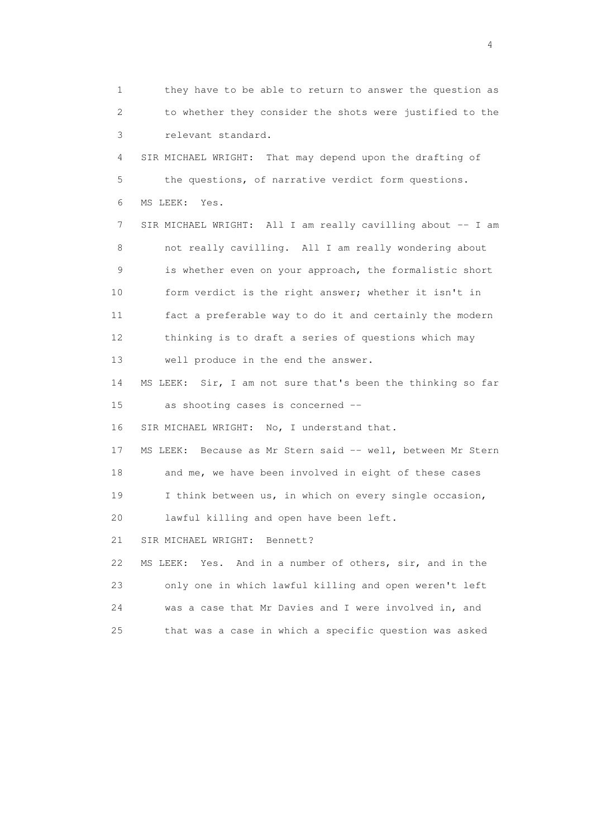1 they have to be able to return to answer the question as 2 to whether they consider the shots were justified to the 3 relevant standard. 4 SIR MICHAEL WRIGHT: That may depend upon the drafting of 5 the questions, of narrative verdict form questions. 6 MS LEEK: Yes. 7 SIR MICHAEL WRIGHT: All I am really cavilling about -- I am 8 not really cavilling. All I am really wondering about 9 is whether even on your approach, the formalistic short 10 form verdict is the right answer; whether it isn't in 11 fact a preferable way to do it and certainly the modern 12 thinking is to draft a series of questions which may 13 well produce in the end the answer. 14 MS LEEK: Sir, I am not sure that's been the thinking so far 15 as shooting cases is concerned -- 16 SIR MICHAEL WRIGHT: No, I understand that. 17 MS LEEK: Because as Mr Stern said -- well, between Mr Stern 18 and me, we have been involved in eight of these cases 19 I think between us, in which on every single occasion, 20 lawful killing and open have been left. 21 SIR MICHAEL WRIGHT: Bennett? 22 MS LEEK: Yes. And in a number of others, sir, and in the 23 only one in which lawful killing and open weren't left 24 was a case that Mr Davies and I were involved in, and 25 that was a case in which a specific question was asked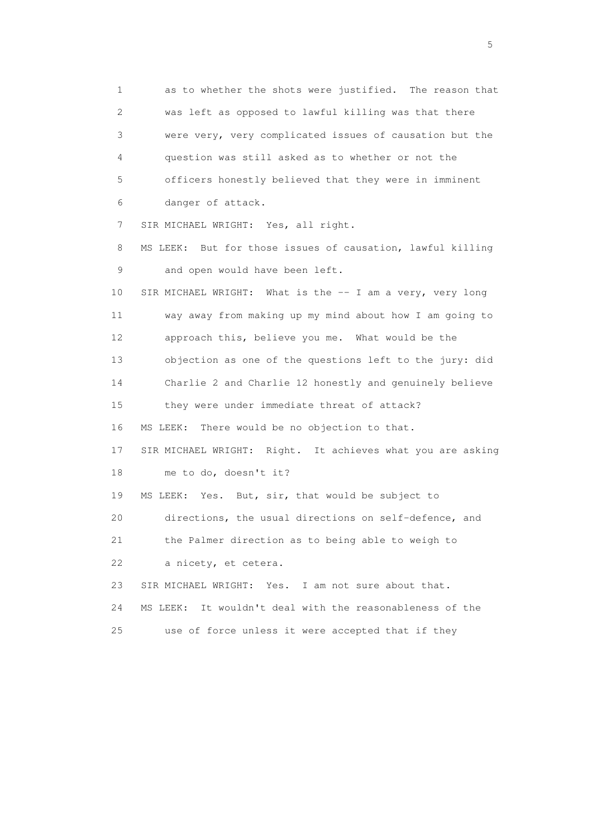1 as to whether the shots were justified. The reason that 2 was left as opposed to lawful killing was that there 3 were very, very complicated issues of causation but the 4 question was still asked as to whether or not the 5 officers honestly believed that they were in imminent 6 danger of attack. 7 SIR MICHAEL WRIGHT: Yes, all right. 8 MS LEEK: But for those issues of causation, lawful killing 9 and open would have been left. 10 SIR MICHAEL WRIGHT: What is the -- I am a very, very long 11 way away from making up my mind about how I am going to 12 approach this, believe you me. What would be the 13 objection as one of the questions left to the jury: did 14 Charlie 2 and Charlie 12 honestly and genuinely believe 15 they were under immediate threat of attack? 16 MS LEEK: There would be no objection to that. 17 SIR MICHAEL WRIGHT: Right. It achieves what you are asking 18 me to do, doesn't it? 19 MS LEEK: Yes. But, sir, that would be subject to 20 directions, the usual directions on self-defence, and 21 the Palmer direction as to being able to weigh to 22 a nicety, et cetera. 23 SIR MICHAEL WRIGHT: Yes. I am not sure about that. 24 MS LEEK: It wouldn't deal with the reasonableness of the 25 use of force unless it were accepted that if they

 $\sim$  5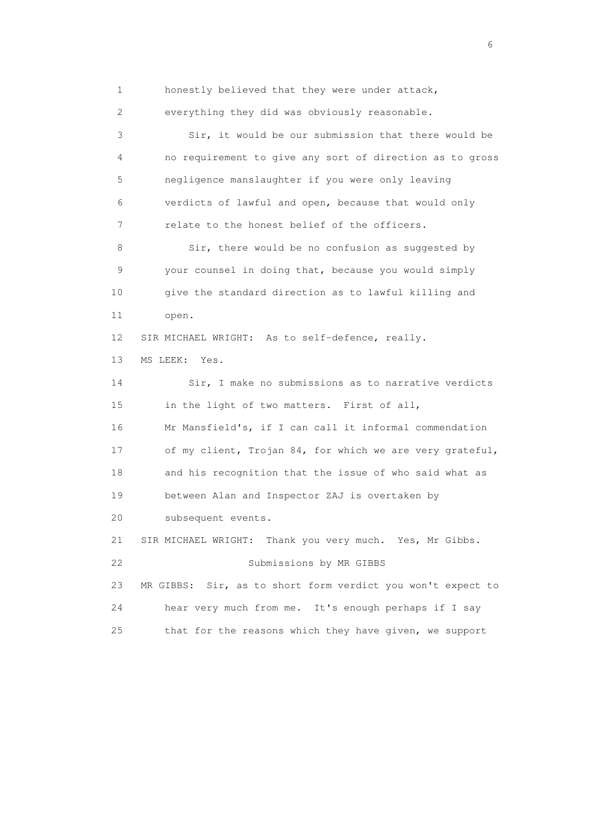1 honestly believed that they were under attack, 2 everything they did was obviously reasonable. 3 Sir, it would be our submission that there would be 4 no requirement to give any sort of direction as to gross 5 negligence manslaughter if you were only leaving 6 verdicts of lawful and open, because that would only 7 relate to the honest belief of the officers. 8 Sir, there would be no confusion as suggested by 9 your counsel in doing that, because you would simply 10 give the standard direction as to lawful killing and 11 open. 12 SIR MICHAEL WRIGHT: As to self-defence, really. 13 MS LEEK: Yes. 14 Sir, I make no submissions as to narrative verdicts 15 in the light of two matters. First of all, 16 Mr Mansfield's, if I can call it informal commendation 17 of my client, Trojan 84, for which we are very grateful, 18 and his recognition that the issue of who said what as 19 between Alan and Inspector ZAJ is overtaken by 20 subsequent events. 21 SIR MICHAEL WRIGHT: Thank you very much. Yes, Mr Gibbs. 22 Submissions by MR GIBBS 23 MR GIBBS: Sir, as to short form verdict you won't expect to 24 hear very much from me. It's enough perhaps if I say 25 that for the reasons which they have given, we support

 $\sim$  6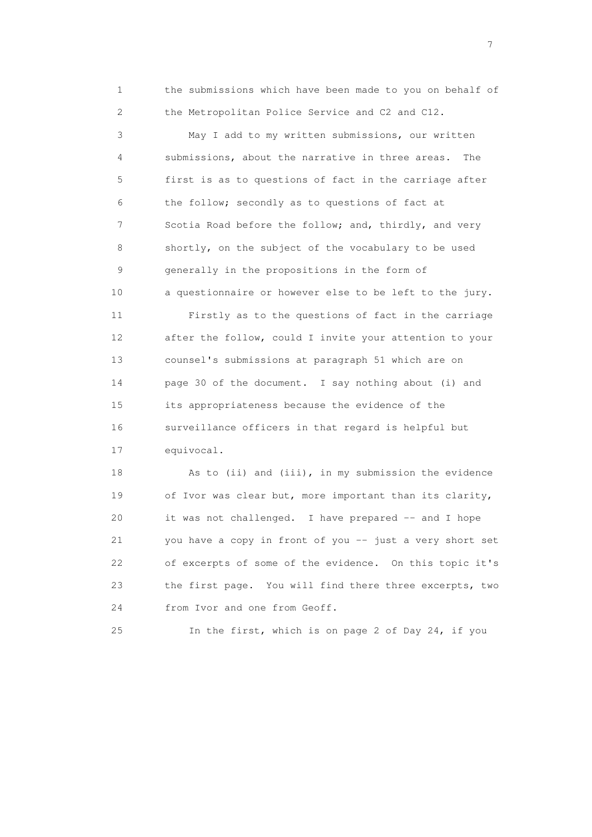1 the submissions which have been made to you on behalf of 2 the Metropolitan Police Service and C2 and C12.

 3 May I add to my written submissions, our written 4 submissions, about the narrative in three areas. The 5 first is as to questions of fact in the carriage after 6 the follow; secondly as to questions of fact at 7 Scotia Road before the follow; and, thirdly, and very 8 shortly, on the subject of the vocabulary to be used 9 generally in the propositions in the form of 10 a questionnaire or however else to be left to the jury.

 11 Firstly as to the questions of fact in the carriage 12 after the follow, could I invite your attention to your 13 counsel's submissions at paragraph 51 which are on 14 page 30 of the document. I say nothing about (i) and 15 its appropriateness because the evidence of the 16 surveillance officers in that regard is helpful but 17 equivocal.

18 As to (ii) and (iii), in my submission the evidence 19 of Ivor was clear but, more important than its clarity, 20 it was not challenged. I have prepared -- and I hope 21 you have a copy in front of you -- just a very short set 22 of excerpts of some of the evidence. On this topic it's 23 the first page. You will find there three excerpts, two 24 from Ivor and one from Geoff.

25 In the first, which is on page 2 of Day 24, if you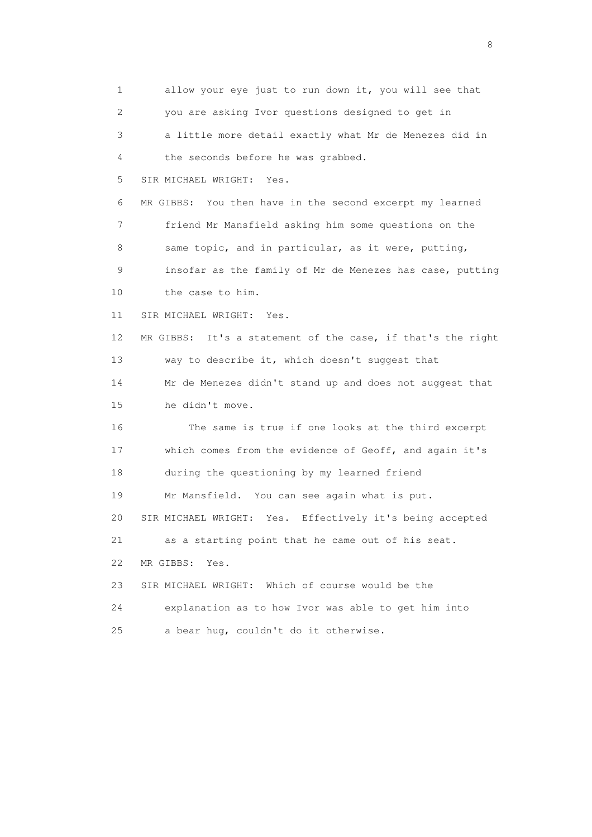1 allow your eye just to run down it, you will see that 2 you are asking Ivor questions designed to get in 3 a little more detail exactly what Mr de Menezes did in 4 the seconds before he was grabbed. 5 SIR MICHAEL WRIGHT: Yes. 6 MR GIBBS: You then have in the second excerpt my learned 7 friend Mr Mansfield asking him some questions on the 8 same topic, and in particular, as it were, putting, 9 insofar as the family of Mr de Menezes has case, putting 10 the case to him. 11 SIR MICHAEL WRIGHT: Yes. 12 MR GIBBS: It's a statement of the case, if that's the right 13 way to describe it, which doesn't suggest that 14 Mr de Menezes didn't stand up and does not suggest that 15 he didn't move. 16 The same is true if one looks at the third excerpt 17 which comes from the evidence of Geoff, and again it's 18 during the questioning by my learned friend 19 Mr Mansfield. You can see again what is put. 20 SIR MICHAEL WRIGHT: Yes. Effectively it's being accepted 21 as a starting point that he came out of his seat. 22 MR GIBBS: Yes. 23 SIR MICHAEL WRIGHT: Which of course would be the 24 explanation as to how Ivor was able to get him into 25 a bear hug, couldn't do it otherwise.

en de la construction de la construction de la construction de la construction de la construction de la constr<br>En 1980, en 1980, en 1980, en 1980, en 1980, en 1980, en 1980, en 1980, en 1980, en 1980, en 1980, en 1980, en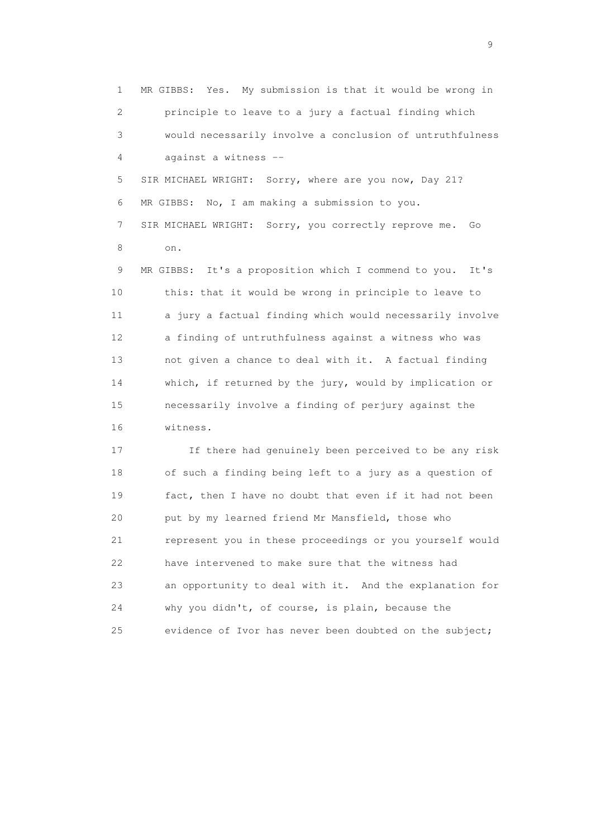1 MR GIBBS: Yes. My submission is that it would be wrong in 2 principle to leave to a jury a factual finding which 3 would necessarily involve a conclusion of untruthfulness 4 against a witness -- 5 SIR MICHAEL WRIGHT: Sorry, where are you now, Day 21?

 6 MR GIBBS: No, I am making a submission to you. 7 SIR MICHAEL WRIGHT: Sorry, you correctly reprove me. Go 8 on.

 9 MR GIBBS: It's a proposition which I commend to you. It's 10 this: that it would be wrong in principle to leave to 11 a jury a factual finding which would necessarily involve 12 a finding of untruthfulness against a witness who was 13 not given a chance to deal with it. A factual finding 14 which, if returned by the jury, would by implication or 15 necessarily involve a finding of perjury against the 16 witness.

 17 If there had genuinely been perceived to be any risk 18 of such a finding being left to a jury as a question of 19 fact, then I have no doubt that even if it had not been 20 put by my learned friend Mr Mansfield, those who 21 represent you in these proceedings or you yourself would 22 have intervened to make sure that the witness had 23 an opportunity to deal with it. And the explanation for 24 why you didn't, of course, is plain, because the 25 evidence of Ivor has never been doubted on the subject;

en de la construction de la construction de la construction de la construction de la construction de la constr<br>1911 : la construction de la construction de la construction de la construction de la construction de la const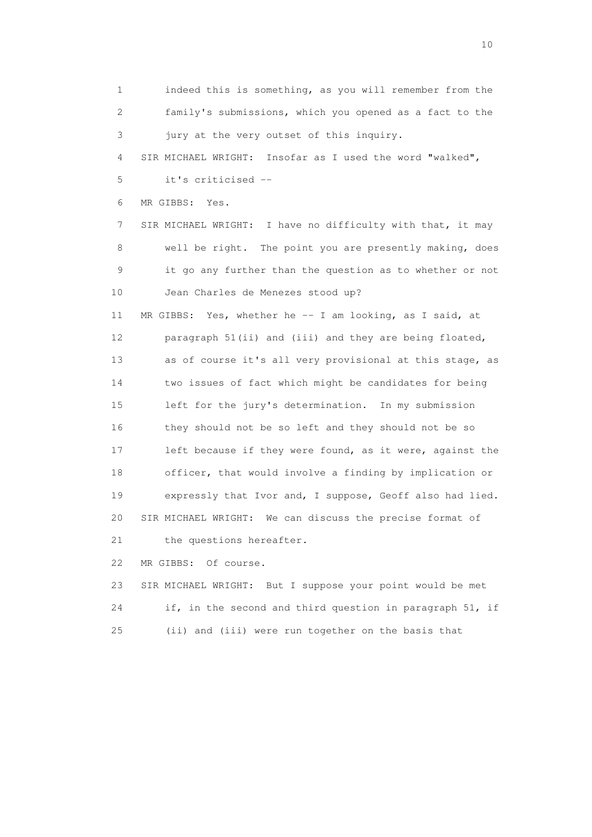1 indeed this is something, as you will remember from the 2 family's submissions, which you opened as a fact to the 3 jury at the very outset of this inquiry. 4 SIR MICHAEL WRIGHT: Insofar as I used the word "walked", 5 it's criticised -- 6 MR GIBBS: Yes. 7 SIR MICHAEL WRIGHT: I have no difficulty with that, it may 8 well be right. The point you are presently making, does 9 it go any further than the question as to whether or not 10 Jean Charles de Menezes stood up? 11 MR GIBBS: Yes, whether he -- I am looking, as I said, at 12 paragraph 51(ii) and (iii) and they are being floated, 13 as of course it's all very provisional at this stage, as 14 two issues of fact which might be candidates for being 15 left for the jury's determination. In my submission 16 they should not be so left and they should not be so 17 left because if they were found, as it were, against the 18 officer, that would involve a finding by implication or 19 expressly that Ivor and, I suppose, Geoff also had lied. 20 SIR MICHAEL WRIGHT: We can discuss the precise format of 21 the questions hereafter.

22 MR GIBBS: Of course.

 23 SIR MICHAEL WRIGHT: But I suppose your point would be met 24 if, in the second and third question in paragraph 51, if 25 (ii) and (iii) were run together on the basis that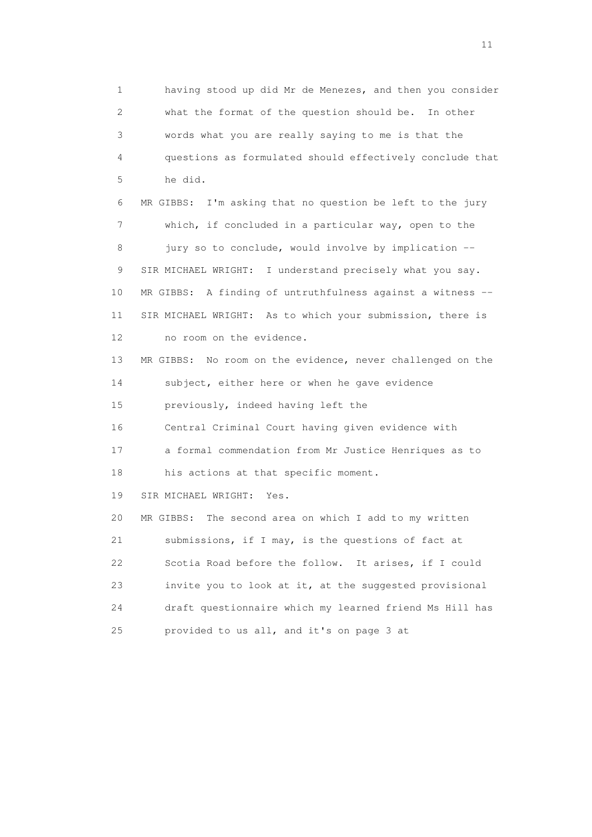1 having stood up did Mr de Menezes, and then you consider 2 what the format of the question should be. In other 3 words what you are really saying to me is that the 4 questions as formulated should effectively conclude that 5 he did. 6 MR GIBBS: I'm asking that no question be left to the jury 7 which, if concluded in a particular way, open to the 8 jury so to conclude, would involve by implication -- 9 SIR MICHAEL WRIGHT: I understand precisely what you say. 10 MR GIBBS: A finding of untruthfulness against a witness -- 11 SIR MICHAEL WRIGHT: As to which your submission, there is 12 no room on the evidence. 13 MR GIBBS: No room on the evidence, never challenged on the 14 subject, either here or when he gave evidence 15 previously, indeed having left the 16 Central Criminal Court having given evidence with 17 a formal commendation from Mr Justice Henriques as to 18 his actions at that specific moment. 19 SIR MICHAEL WRIGHT: Yes. 20 MR GIBBS: The second area on which I add to my written 21 submissions, if I may, is the questions of fact at 22 Scotia Road before the follow. It arises, if I could 23 invite you to look at it, at the suggested provisional 24 draft questionnaire which my learned friend Ms Hill has 25 provided to us all, and it's on page 3 at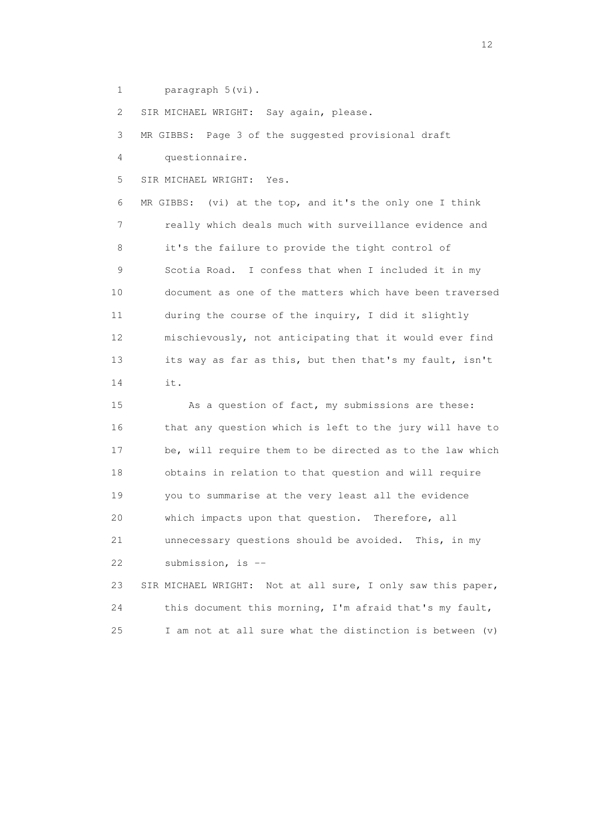1 paragraph 5(vi).

2 SIR MICHAEL WRIGHT: Say again, please.

 3 MR GIBBS: Page 3 of the suggested provisional draft 4 questionnaire.

5 SIR MICHAEL WRIGHT: Yes.

 6 MR GIBBS: (vi) at the top, and it's the only one I think 7 really which deals much with surveillance evidence and 8 it's the failure to provide the tight control of 9 Scotia Road. I confess that when I included it in my 10 document as one of the matters which have been traversed 11 during the course of the inquiry, I did it slightly 12 mischievously, not anticipating that it would ever find 13 its way as far as this, but then that's my fault, isn't 14 it.

 15 As a question of fact, my submissions are these: 16 that any question which is left to the jury will have to 17 be, will require them to be directed as to the law which 18 obtains in relation to that question and will require 19 you to summarise at the very least all the evidence 20 which impacts upon that question. Therefore, all 21 unnecessary questions should be avoided. This, in my 22 submission, is --

 23 SIR MICHAEL WRIGHT: Not at all sure, I only saw this paper, 24 this document this morning, I'm afraid that's my fault, 25 I am not at all sure what the distinction is between (v)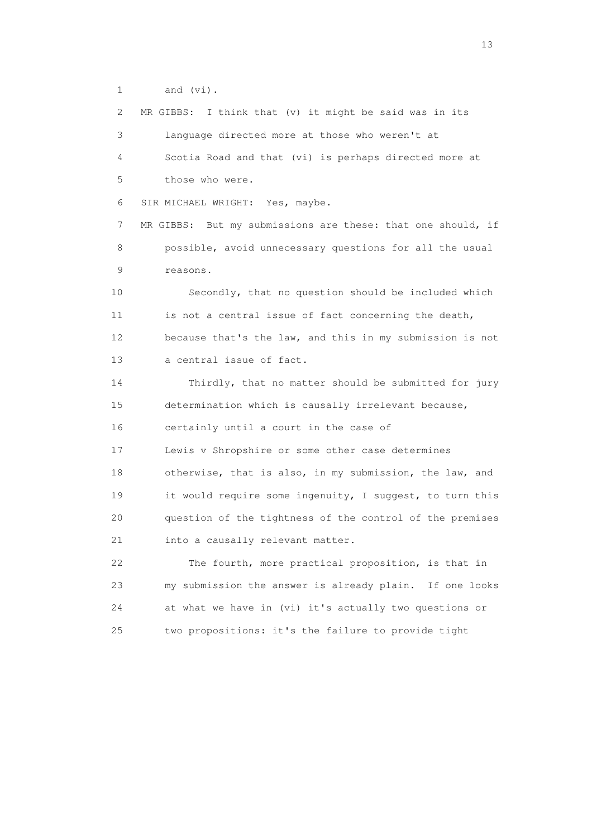1 and (vi).

 2 MR GIBBS: I think that (v) it might be said was in its 3 language directed more at those who weren't at 4 Scotia Road and that (vi) is perhaps directed more at 5 those who were. 6 SIR MICHAEL WRIGHT: Yes, maybe. 7 MR GIBBS: But my submissions are these: that one should, if 8 possible, avoid unnecessary questions for all the usual 9 reasons. 10 Secondly, that no question should be included which 11 is not a central issue of fact concerning the death, 12 because that's the law, and this in my submission is not 13 a central issue of fact. 14 Thirdly, that no matter should be submitted for jury 15 determination which is causally irrelevant because, 16 certainly until a court in the case of 17 Lewis v Shropshire or some other case determines 18 otherwise, that is also, in my submission, the law, and 19 it would require some ingenuity, I suggest, to turn this 20 question of the tightness of the control of the premises 21 into a causally relevant matter. 22 The fourth, more practical proposition, is that in 23 my submission the answer is already plain. If one looks 24 at what we have in (vi) it's actually two questions or 25 two propositions: it's the failure to provide tight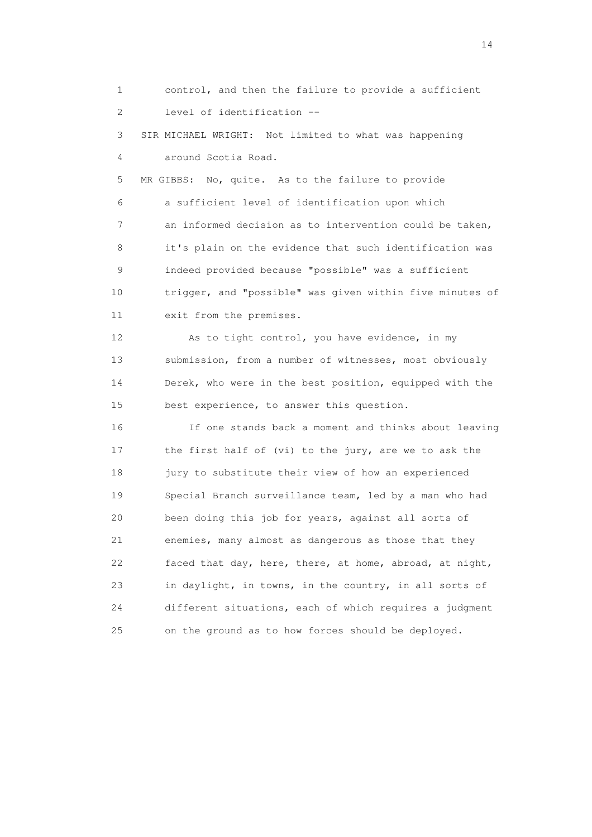1 control, and then the failure to provide a sufficient 2 level of identification -- 3 SIR MICHAEL WRIGHT: Not limited to what was happening 4 around Scotia Road. 5 MR GIBBS: No, quite. As to the failure to provide 6 a sufficient level of identification upon which 7 an informed decision as to intervention could be taken, 8 it's plain on the evidence that such identification was 9 indeed provided because "possible" was a sufficient 10 trigger, and "possible" was given within five minutes of 11 exit from the premises. 12 As to tight control, you have evidence, in my 13 submission, from a number of witnesses, most obviously 14 Derek, who were in the best position, equipped with the 15 best experience, to answer this question. 16 If one stands back a moment and thinks about leaving 17 the first half of (vi) to the jury, are we to ask the 18 jury to substitute their view of how an experienced 19 Special Branch surveillance team, led by a man who had 20 been doing this job for years, against all sorts of 21 enemies, many almost as dangerous as those that they 22 faced that day, here, there, at home, abroad, at night, 23 in daylight, in towns, in the country, in all sorts of 24 different situations, each of which requires a judgment 25 on the ground as to how forces should be deployed.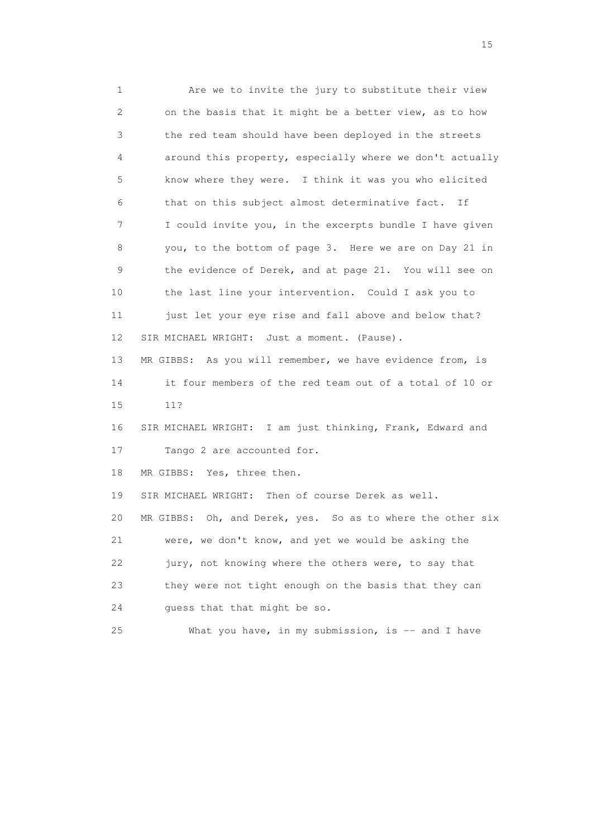1 Are we to invite the jury to substitute their view 2 on the basis that it might be a better view, as to how 3 the red team should have been deployed in the streets 4 around this property, especially where we don't actually 5 know where they were. I think it was you who elicited 6 that on this subject almost determinative fact. If 7 I could invite you, in the excerpts bundle I have given 8 you, to the bottom of page 3. Here we are on Day 21 in 9 the evidence of Derek, and at page 21. You will see on 10 the last line your intervention. Could I ask you to 11 just let your eye rise and fall above and below that? 12 SIR MICHAEL WRIGHT: Just a moment. (Pause). 13 MR GIBBS: As you will remember, we have evidence from, is 14 it four members of the red team out of a total of 10 or 15 11? 16 SIR MICHAEL WRIGHT: I am just thinking, Frank, Edward and 17 Tango 2 are accounted for. 18 MR GIBBS: Yes, three then. 19 SIR MICHAEL WRIGHT: Then of course Derek as well. 20 MR GIBBS: Oh, and Derek, yes. So as to where the other six 21 were, we don't know, and yet we would be asking the 22 jury, not knowing where the others were, to say that 23 they were not tight enough on the basis that they can 24 guess that that might be so. 25 What you have, in my submission, is -- and I have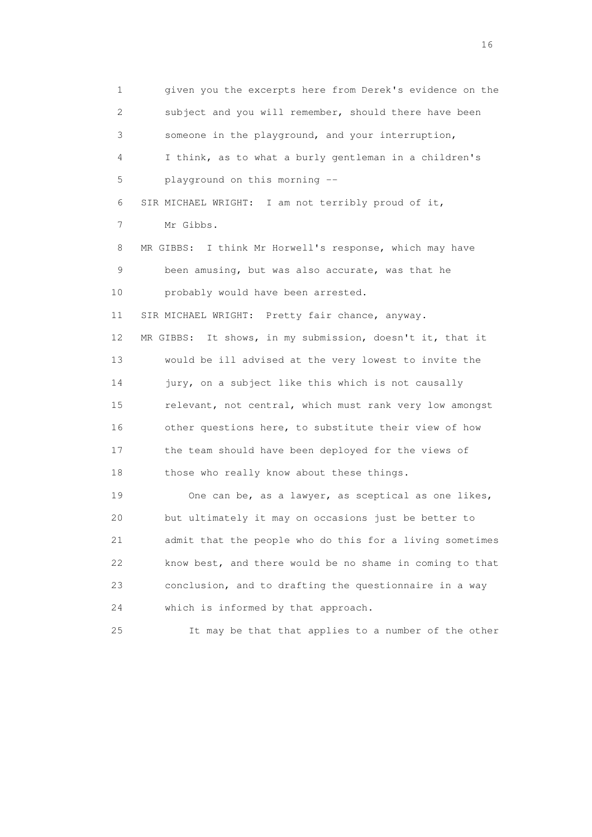1 given you the excerpts here from Derek's evidence on the 2 subject and you will remember, should there have been 3 someone in the playground, and your interruption, 4 I think, as to what a burly gentleman in a children's 5 playground on this morning -- 6 SIR MICHAEL WRIGHT: I am not terribly proud of it, 7 Mr Gibbs. 8 MR GIBBS: I think Mr Horwell's response, which may have 9 been amusing, but was also accurate, was that he 10 probably would have been arrested. 11 SIR MICHAEL WRIGHT: Pretty fair chance, anyway. 12 MR GIBBS: It shows, in my submission, doesn't it, that it 13 would be ill advised at the very lowest to invite the 14 jury, on a subject like this which is not causally 15 relevant, not central, which must rank very low amongst 16 other questions here, to substitute their view of how 17 the team should have been deployed for the views of 18 those who really know about these things. 19 One can be, as a lawyer, as sceptical as one likes, 20 but ultimately it may on occasions just be better to 21 admit that the people who do this for a living sometimes 22 know best, and there would be no shame in coming to that 23 conclusion, and to drafting the questionnaire in a way

24 which is informed by that approach.

25 It may be that that applies to a number of the other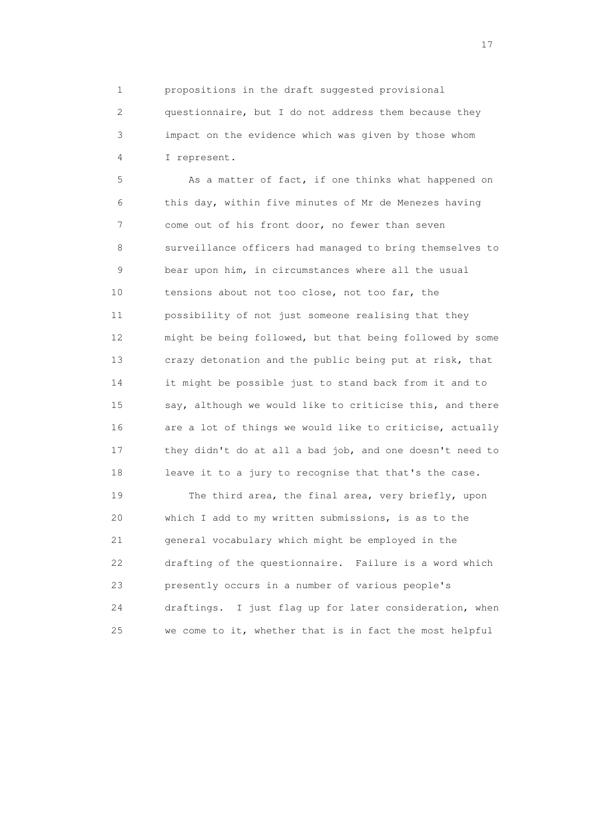1 propositions in the draft suggested provisional

 2 questionnaire, but I do not address them because they 3 impact on the evidence which was given by those whom 4 I represent.

 5 As a matter of fact, if one thinks what happened on 6 this day, within five minutes of Mr de Menezes having 7 come out of his front door, no fewer than seven 8 surveillance officers had managed to bring themselves to 9 bear upon him, in circumstances where all the usual 10 tensions about not too close, not too far, the 11 possibility of not just someone realising that they 12 might be being followed, but that being followed by some 13 crazy detonation and the public being put at risk, that 14 it might be possible just to stand back from it and to 15 say, although we would like to criticise this, and there 16 are a lot of things we would like to criticise, actually 17 they didn't do at all a bad job, and one doesn't need to 18 leave it to a jury to recognise that that's the case.

 19 The third area, the final area, very briefly, upon 20 which I add to my written submissions, is as to the 21 general vocabulary which might be employed in the 22 drafting of the questionnaire. Failure is a word which 23 presently occurs in a number of various people's 24 draftings. I just flag up for later consideration, when 25 we come to it, whether that is in fact the most helpful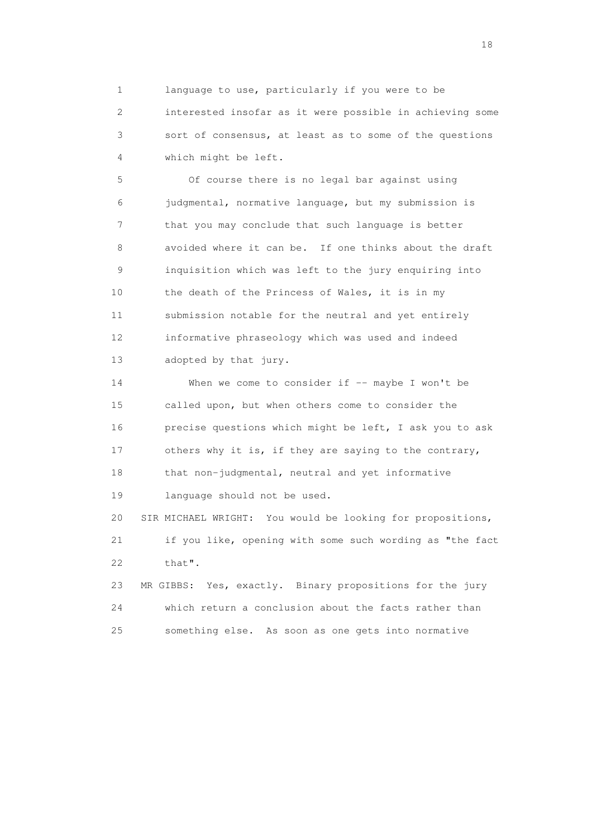1 language to use, particularly if you were to be 2 interested insofar as it were possible in achieving some 3 sort of consensus, at least as to some of the questions 4 which might be left.

 5 Of course there is no legal bar against using 6 judgmental, normative language, but my submission is 7 that you may conclude that such language is better 8 avoided where it can be. If one thinks about the draft 9 inquisition which was left to the jury enquiring into 10 the death of the Princess of Wales, it is in my 11 submission notable for the neutral and yet entirely 12 informative phraseology which was used and indeed 13 adopted by that jury.

14 When we come to consider if -- maybe I won't be 15 called upon, but when others come to consider the 16 precise questions which might be left, I ask you to ask 17 others why it is, if they are saying to the contrary, 18 that non-judgmental, neutral and yet informative 19 language should not be used. 20 SIR MICHAEL WRIGHT: You would be looking for propositions, 21 if you like, opening with some such wording as "the fact 22 that". 23 MR GIBBS: Yes, exactly. Binary propositions for the jury

 24 which return a conclusion about the facts rather than 25 something else. As soon as one gets into normative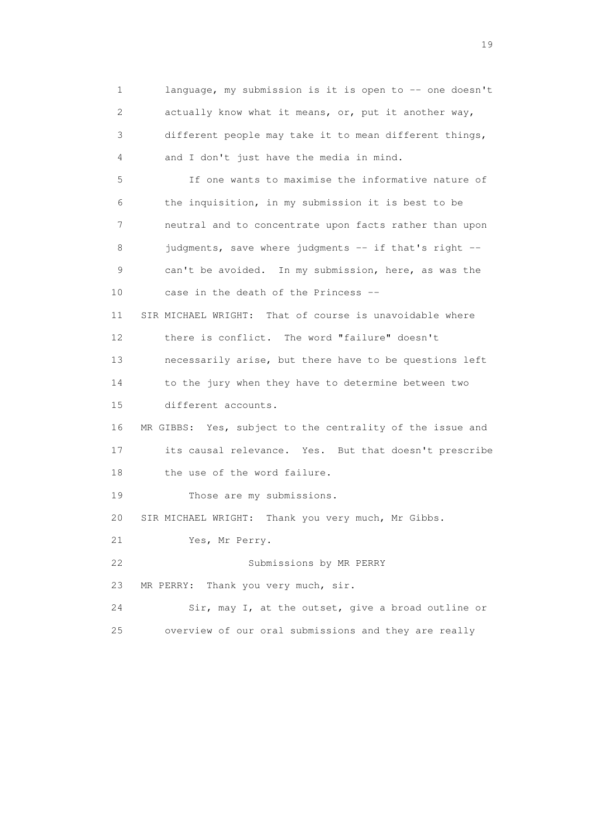1 language, my submission is it is open to -- one doesn't 2 actually know what it means, or, put it another way, 3 different people may take it to mean different things, 4 and I don't just have the media in mind. 5 If one wants to maximise the informative nature of 6 the inquisition, in my submission it is best to be 7 neutral and to concentrate upon facts rather than upon 8 judgments, save where judgments -- if that's right -- 9 can't be avoided. In my submission, here, as was the 10 case in the death of the Princess -- 11 SIR MICHAEL WRIGHT: That of course is unavoidable where 12 there is conflict. The word "failure" doesn't 13 necessarily arise, but there have to be questions left 14 to the jury when they have to determine between two 15 different accounts. 16 MR GIBBS: Yes, subject to the centrality of the issue and 17 its causal relevance. Yes. But that doesn't prescribe 18 the use of the word failure. 19 Those are my submissions. 20 SIR MICHAEL WRIGHT: Thank you very much, Mr Gibbs. 21 Yes, Mr Perry. 22 Submissions by MR PERRY 23 MR PERRY: Thank you very much, sir. 24 Sir, may I, at the outset, give a broad outline or 25 overview of our oral submissions and they are really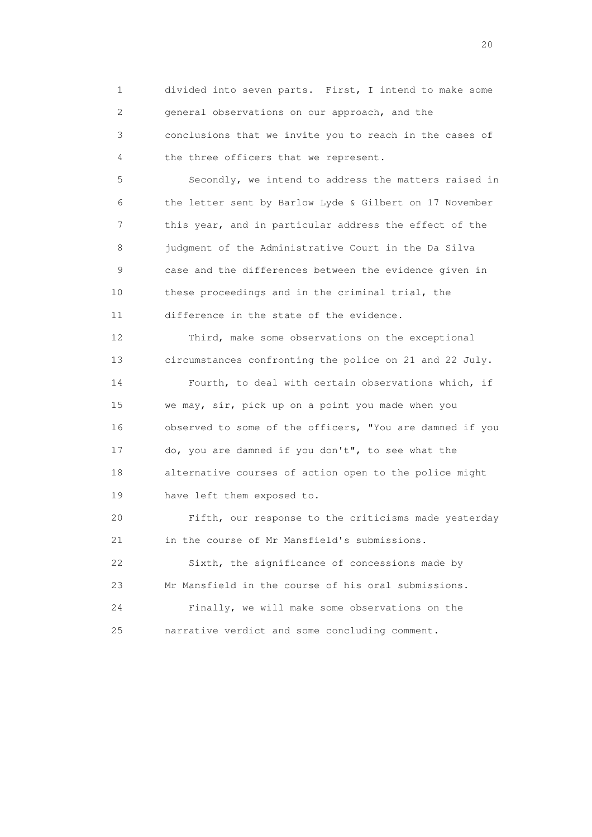1 divided into seven parts. First, I intend to make some 2 general observations on our approach, and the 3 conclusions that we invite you to reach in the cases of 4 the three officers that we represent.

 5 Secondly, we intend to address the matters raised in 6 the letter sent by Barlow Lyde & Gilbert on 17 November 7 this year, and in particular address the effect of the 8 judgment of the Administrative Court in the Da Silva 9 case and the differences between the evidence given in 10 these proceedings and in the criminal trial, the 11 difference in the state of the evidence.

 12 Third, make some observations on the exceptional 13 circumstances confronting the police on 21 and 22 July. 14 Fourth, to deal with certain observations which, if 15 we may, sir, pick up on a point you made when you 16 observed to some of the officers, "You are damned if you 17 do, you are damned if you don't", to see what the 18 alternative courses of action open to the police might 19 have left them exposed to.

 20 Fifth, our response to the criticisms made yesterday 21 in the course of Mr Mansfield's submissions. 22 Sixth, the significance of concessions made by 23 Mr Mansfield in the course of his oral submissions. 24 Finally, we will make some observations on the 25 narrative verdict and some concluding comment.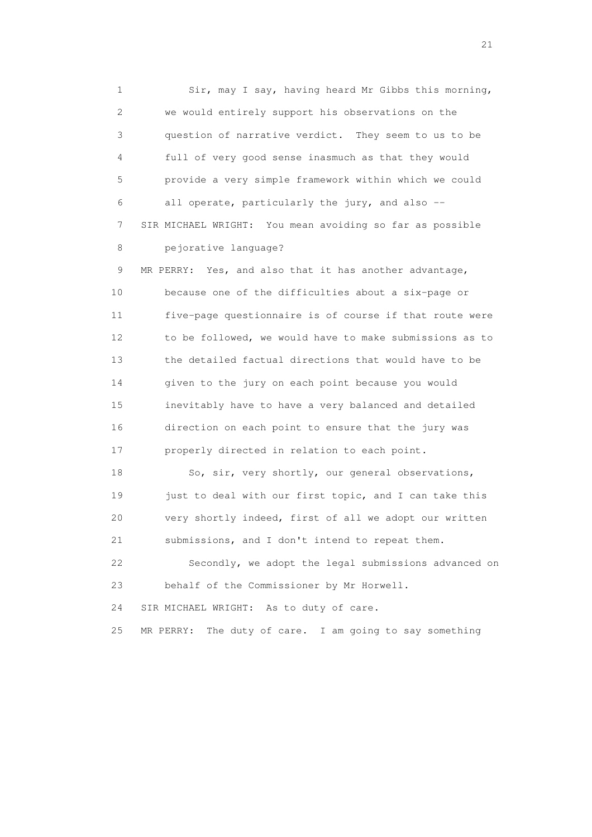1 Sir, may I say, having heard Mr Gibbs this morning, 2 we would entirely support his observations on the 3 question of narrative verdict. They seem to us to be 4 full of very good sense inasmuch as that they would 5 provide a very simple framework within which we could 6 all operate, particularly the jury, and also -- 7 SIR MICHAEL WRIGHT: You mean avoiding so far as possible 8 pejorative language?

 9 MR PERRY: Yes, and also that it has another advantage, 10 because one of the difficulties about a six-page or 11 five-page questionnaire is of course if that route were 12 to be followed, we would have to make submissions as to 13 the detailed factual directions that would have to be 14 given to the jury on each point because you would 15 inevitably have to have a very balanced and detailed 16 direction on each point to ensure that the jury was 17 properly directed in relation to each point.

18 So, sir, very shortly, our general observations, 19 just to deal with our first topic, and I can take this 20 very shortly indeed, first of all we adopt our written 21 submissions, and I don't intend to repeat them.

 22 Secondly, we adopt the legal submissions advanced on 23 behalf of the Commissioner by Mr Horwell.

24 SIR MICHAEL WRIGHT: As to duty of care.

25 MR PERRY: The duty of care. I am going to say something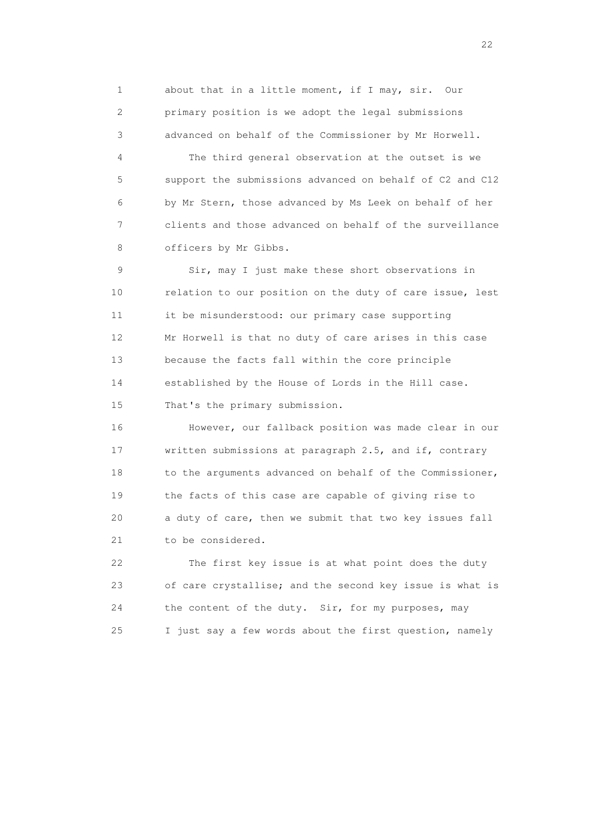1 about that in a little moment, if I may, sir. Our 2 primary position is we adopt the legal submissions 3 advanced on behalf of the Commissioner by Mr Horwell.

 4 The third general observation at the outset is we 5 support the submissions advanced on behalf of C2 and C12 6 by Mr Stern, those advanced by Ms Leek on behalf of her 7 clients and those advanced on behalf of the surveillance 8 officers by Mr Gibbs.

 9 Sir, may I just make these short observations in 10 relation to our position on the duty of care issue, lest 11 it be misunderstood: our primary case supporting 12 Mr Horwell is that no duty of care arises in this case 13 because the facts fall within the core principle 14 established by the House of Lords in the Hill case. 15 That's the primary submission.

 16 However, our fallback position was made clear in our 17 written submissions at paragraph 2.5, and if, contrary 18 to the arguments advanced on behalf of the Commissioner, 19 the facts of this case are capable of giving rise to 20 a duty of care, then we submit that two key issues fall 21 to be considered.

 22 The first key issue is at what point does the duty 23 of care crystallise; and the second key issue is what is 24 the content of the duty. Sir, for my purposes, may 25 I just say a few words about the first question, namely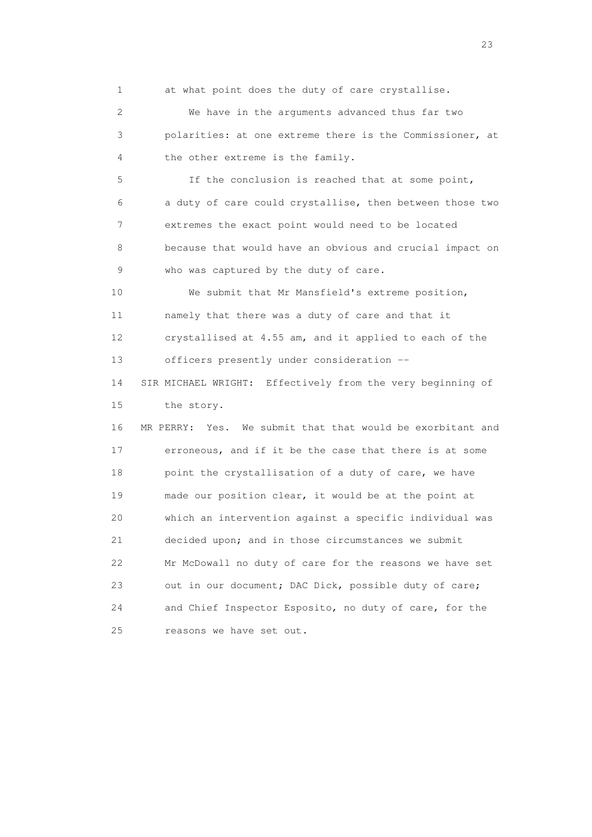1 at what point does the duty of care crystallise.

 2 We have in the arguments advanced thus far two 3 polarities: at one extreme there is the Commissioner, at 4 the other extreme is the family.

 5 If the conclusion is reached that at some point, 6 a duty of care could crystallise, then between those two 7 extremes the exact point would need to be located 8 because that would have an obvious and crucial impact on 9 who was captured by the duty of care.

 10 We submit that Mr Mansfield's extreme position, 11 namely that there was a duty of care and that it 12 crystallised at 4.55 am, and it applied to each of the 13 officers presently under consideration --

 14 SIR MICHAEL WRIGHT: Effectively from the very beginning of 15 the story.

 16 MR PERRY: Yes. We submit that that would be exorbitant and 17 erroneous, and if it be the case that there is at some 18 point the crystallisation of a duty of care, we have 19 made our position clear, it would be at the point at 20 which an intervention against a specific individual was 21 decided upon; and in those circumstances we submit 22 Mr McDowall no duty of care for the reasons we have set 23 out in our document; DAC Dick, possible duty of care; 24 and Chief Inspector Esposito, no duty of care, for the 25 reasons we have set out.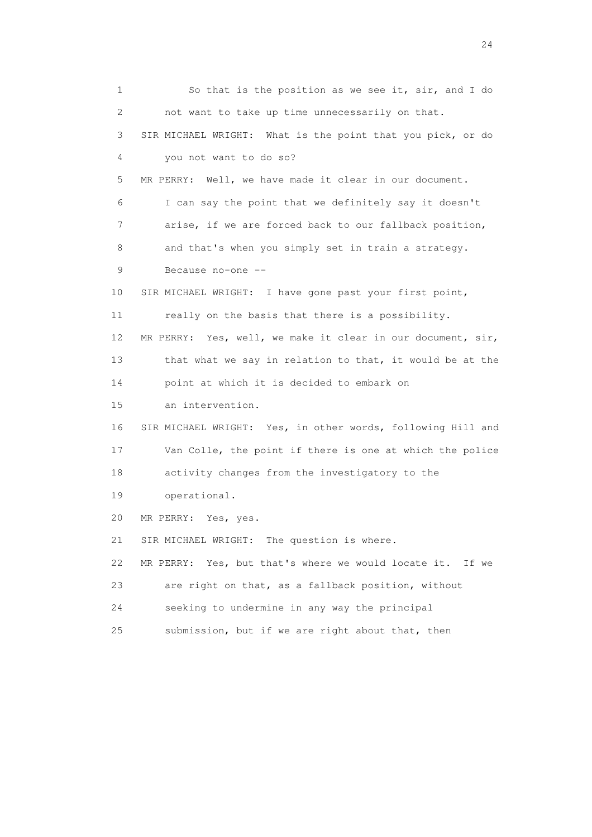1 So that is the position as we see it, sir, and I do 2 not want to take up time unnecessarily on that. 3 SIR MICHAEL WRIGHT: What is the point that you pick, or do 4 you not want to do so? 5 MR PERRY: Well, we have made it clear in our document. 6 I can say the point that we definitely say it doesn't 7 arise, if we are forced back to our fallback position, 8 and that's when you simply set in train a strategy. 9 Because no-one -- 10 SIR MICHAEL WRIGHT: I have gone past your first point, 11 really on the basis that there is a possibility. 12 MR PERRY: Yes, well, we make it clear in our document, sir, 13 that what we say in relation to that, it would be at the 14 point at which it is decided to embark on 15 an intervention. 16 SIR MICHAEL WRIGHT: Yes, in other words, following Hill and 17 Van Colle, the point if there is one at which the police 18 activity changes from the investigatory to the 19 operational. 20 MR PERRY: Yes, yes. 21 SIR MICHAEL WRIGHT: The question is where. 22 MR PERRY: Yes, but that's where we would locate it. If we 23 are right on that, as a fallback position, without 24 seeking to undermine in any way the principal 25 submission, but if we are right about that, then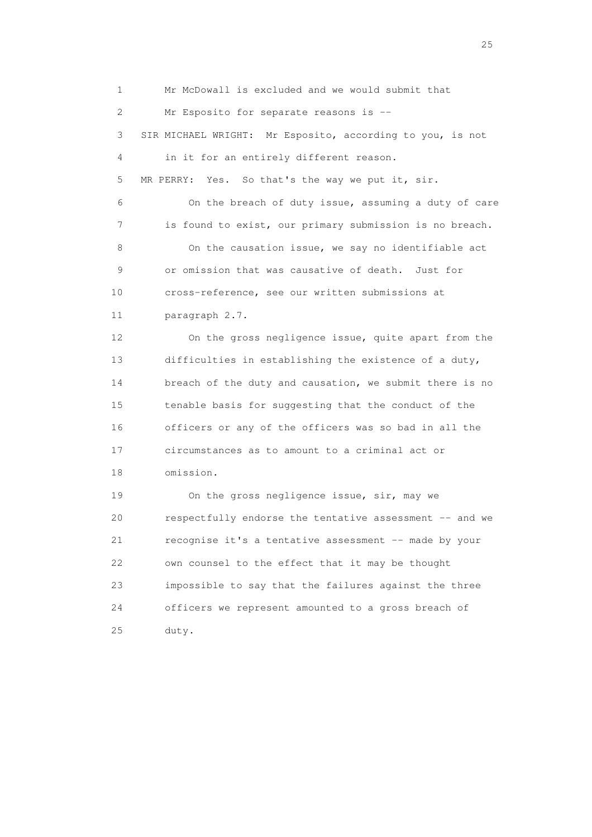1 Mr McDowall is excluded and we would submit that 2 Mr Esposito for separate reasons is -- 3 SIR MICHAEL WRIGHT: Mr Esposito, according to you, is not 4 in it for an entirely different reason. 5 MR PERRY: Yes. So that's the way we put it, sir. 6 On the breach of duty issue, assuming a duty of care 7 is found to exist, our primary submission is no breach. 8 On the causation issue, we say no identifiable act 9 or omission that was causative of death. Just for 10 cross-reference, see our written submissions at 11 paragraph 2.7. 12 On the gross negligence issue, quite apart from the 13 difficulties in establishing the existence of a duty, 14 breach of the duty and causation, we submit there is no 15 tenable basis for suggesting that the conduct of the 16 officers or any of the officers was so bad in all the 17 circumstances as to amount to a criminal act or 18 omission. 19 On the gross negligence issue, sir, may we 20 respectfully endorse the tentative assessment -- and we 21 recognise it's a tentative assessment -- made by your 22 own counsel to the effect that it may be thought 23 impossible to say that the failures against the three 24 officers we represent amounted to a gross breach of 25 duty.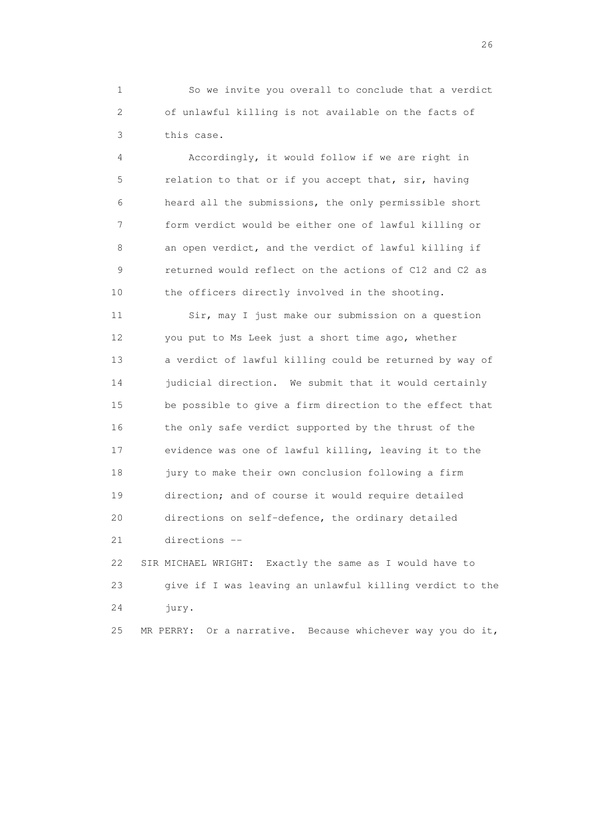1 So we invite you overall to conclude that a verdict 2 of unlawful killing is not available on the facts of 3 this case.

 4 Accordingly, it would follow if we are right in 5 relation to that or if you accept that, sir, having 6 heard all the submissions, the only permissible short 7 form verdict would be either one of lawful killing or 8 an open verdict, and the verdict of lawful killing if 9 returned would reflect on the actions of C12 and C2 as 10 the officers directly involved in the shooting.

 11 Sir, may I just make our submission on a question 12 you put to Ms Leek just a short time ago, whether 13 a verdict of lawful killing could be returned by way of 14 judicial direction. We submit that it would certainly 15 be possible to give a firm direction to the effect that 16 the only safe verdict supported by the thrust of the 17 evidence was one of lawful killing, leaving it to the 18 jury to make their own conclusion following a firm 19 direction; and of course it would require detailed 20 directions on self-defence, the ordinary detailed 21 directions --

 22 SIR MICHAEL WRIGHT: Exactly the same as I would have to 23 give if I was leaving an unlawful killing verdict to the 24 jury.

25 MR PERRY: Or a narrative. Because whichever way you do it,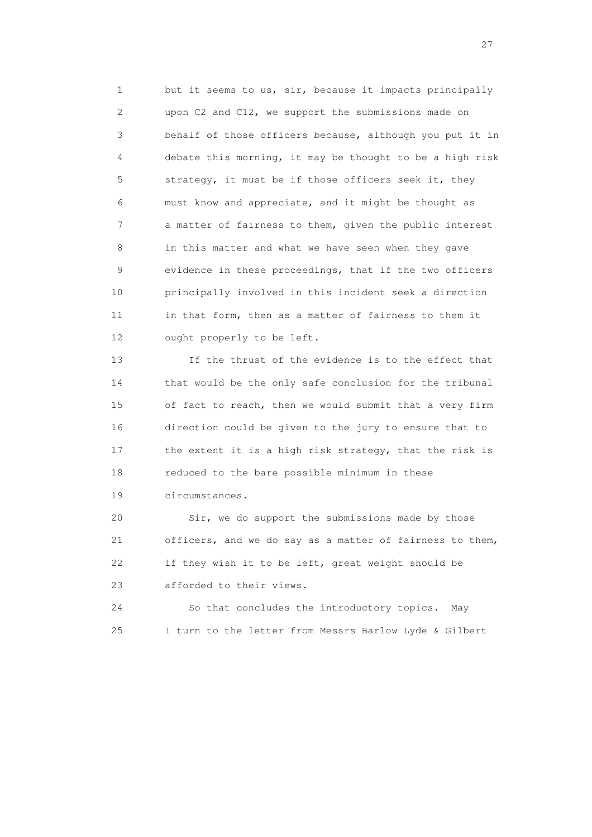1 but it seems to us, sir, because it impacts principally 2 upon C2 and C12, we support the submissions made on 3 behalf of those officers because, although you put it in 4 debate this morning, it may be thought to be a high risk 5 strategy, it must be if those officers seek it, they 6 must know and appreciate, and it might be thought as 7 a matter of fairness to them, given the public interest 8 in this matter and what we have seen when they gave 9 evidence in these proceedings, that if the two officers 10 principally involved in this incident seek a direction 11 in that form, then as a matter of fairness to them it 12 ought properly to be left.

 13 If the thrust of the evidence is to the effect that 14 that would be the only safe conclusion for the tribunal 15 of fact to reach, then we would submit that a very firm 16 direction could be given to the jury to ensure that to 17 the extent it is a high risk strategy, that the risk is 18 reduced to the bare possible minimum in these 19 circumstances.

 20 Sir, we do support the submissions made by those 21 officers, and we do say as a matter of fairness to them, 22 if they wish it to be left, great weight should be 23 afforded to their views.

 24 So that concludes the introductory topics. May 25 I turn to the letter from Messrs Barlow Lyde & Gilbert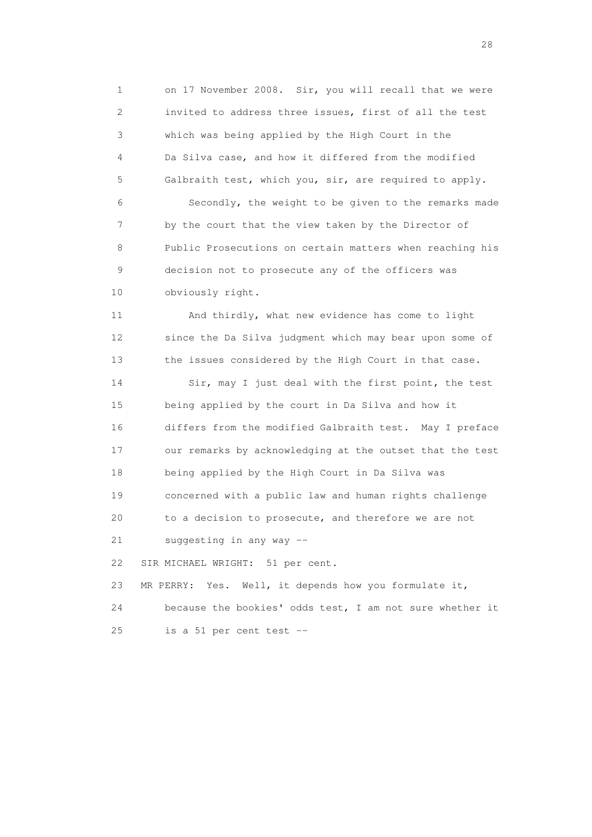1 on 17 November 2008. Sir, you will recall that we were 2 invited to address three issues, first of all the test 3 which was being applied by the High Court in the 4 Da Silva case, and how it differed from the modified 5 Galbraith test, which you, sir, are required to apply. 6 Secondly, the weight to be given to the remarks made 7 by the court that the view taken by the Director of 8 Public Prosecutions on certain matters when reaching his 9 decision not to prosecute any of the officers was 10 obviously right.

 11 And thirdly, what new evidence has come to light 12 since the Da Silva judgment which may bear upon some of 13 the issues considered by the High Court in that case.

14 Sir, may I just deal with the first point, the test 15 being applied by the court in Da Silva and how it 16 differs from the modified Galbraith test. May I preface 17 our remarks by acknowledging at the outset that the test 18 being applied by the High Court in Da Silva was 19 concerned with a public law and human rights challenge 20 to a decision to prosecute, and therefore we are not 21 suggesting in any way --

22 SIR MICHAEL WRIGHT: 51 per cent.

 23 MR PERRY: Yes. Well, it depends how you formulate it, 24 because the bookies' odds test, I am not sure whether it 25 is a 51 per cent test --

28 and 28 and 28 and 28 and 28 and 28 and 28 and 28 and 28 and 28 and 28 and 28 and 28 and 28 and 28 and 28 and 28 and 28 and 28 and 28 and 28 and 28 and 28 and 28 and 28 and 28 and 28 and 28 and 28 and 28 and 28 and 28 an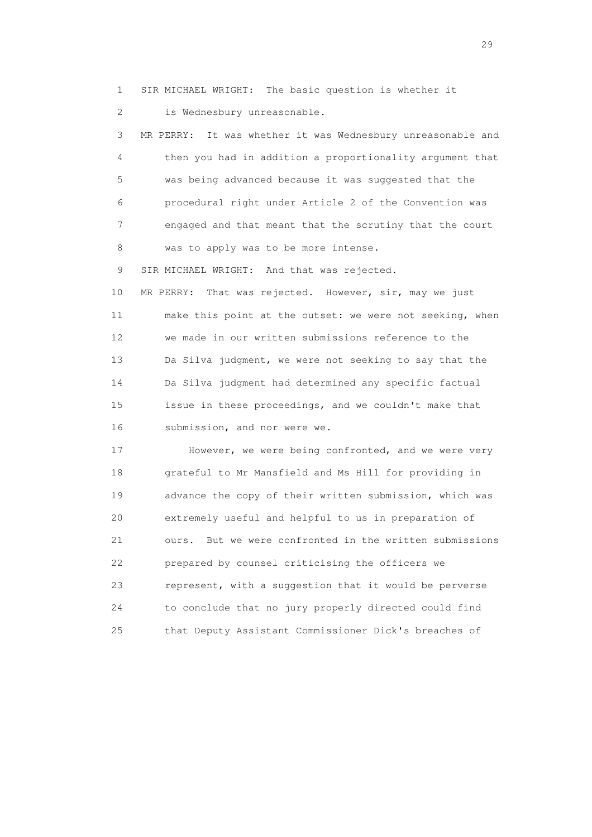1 SIR MICHAEL WRIGHT: The basic question is whether it 2 is Wednesbury unreasonable.

 3 MR PERRY: It was whether it was Wednesbury unreasonable and 4 then you had in addition a proportionality argument that 5 was being advanced because it was suggested that the 6 procedural right under Article 2 of the Convention was 7 engaged and that meant that the scrutiny that the court 8 was to apply was to be more intense.

9 SIR MICHAEL WRIGHT: And that was rejected.

 10 MR PERRY: That was rejected. However, sir, may we just 11 make this point at the outset: we were not seeking, when 12 we made in our written submissions reference to the 13 Da Silva judgment, we were not seeking to say that the 14 Da Silva judgment had determined any specific factual 15 issue in these proceedings, and we couldn't make that 16 submission, and nor were we.

 17 However, we were being confronted, and we were very 18 grateful to Mr Mansfield and Ms Hill for providing in 19 advance the copy of their written submission, which was 20 extremely useful and helpful to us in preparation of 21 ours. But we were confronted in the written submissions 22 prepared by counsel criticising the officers we 23 represent, with a suggestion that it would be perverse 24 to conclude that no jury properly directed could find 25 that Deputy Assistant Commissioner Dick's breaches of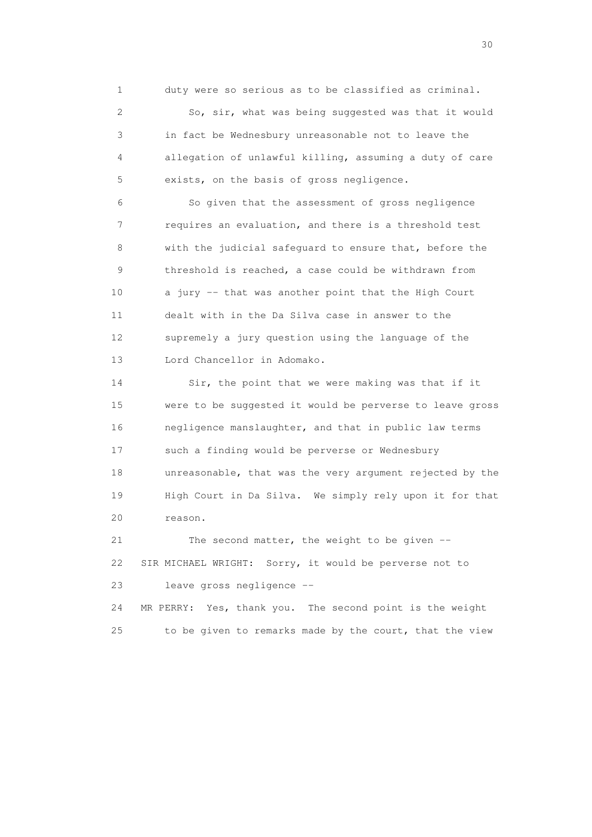1 duty were so serious as to be classified as criminal.

 2 So, sir, what was being suggested was that it would 3 in fact be Wednesbury unreasonable not to leave the 4 allegation of unlawful killing, assuming a duty of care 5 exists, on the basis of gross negligence.

 6 So given that the assessment of gross negligence 7 requires an evaluation, and there is a threshold test 8 with the judicial safeguard to ensure that, before the 9 threshold is reached, a case could be withdrawn from 10 a jury -- that was another point that the High Court 11 dealt with in the Da Silva case in answer to the 12 supremely a jury question using the language of the 13 Lord Chancellor in Adomako.

 14 Sir, the point that we were making was that if it 15 were to be suggested it would be perverse to leave gross 16 negligence manslaughter, and that in public law terms 17 such a finding would be perverse or Wednesbury 18 unreasonable, that was the very argument rejected by the 19 High Court in Da Silva. We simply rely upon it for that 20 reason.

 21 The second matter, the weight to be given -- 22 SIR MICHAEL WRIGHT: Sorry, it would be perverse not to 23 leave gross negligence --

 24 MR PERRY: Yes, thank you. The second point is the weight 25 to be given to remarks made by the court, that the view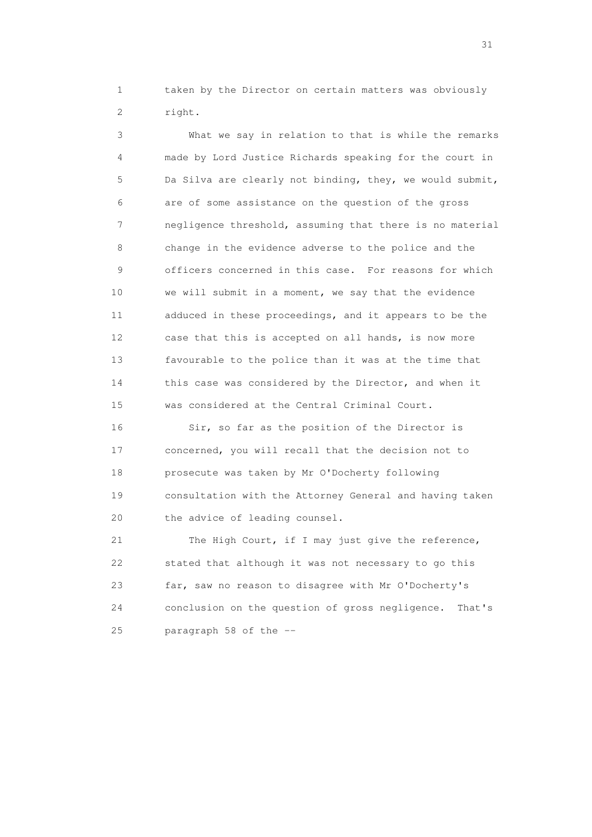1 taken by the Director on certain matters was obviously 2 right.

 3 What we say in relation to that is while the remarks 4 made by Lord Justice Richards speaking for the court in 5 Da Silva are clearly not binding, they, we would submit, 6 are of some assistance on the question of the gross 7 negligence threshold, assuming that there is no material 8 change in the evidence adverse to the police and the 9 officers concerned in this case. For reasons for which 10 we will submit in a moment, we say that the evidence 11 adduced in these proceedings, and it appears to be the 12 case that this is accepted on all hands, is now more 13 favourable to the police than it was at the time that 14 this case was considered by the Director, and when it 15 was considered at the Central Criminal Court.

16 Sir, so far as the position of the Director is 17 concerned, you will recall that the decision not to 18 prosecute was taken by Mr O'Docherty following 19 consultation with the Attorney General and having taken 20 the advice of leading counsel.

 21 The High Court, if I may just give the reference, 22 stated that although it was not necessary to go this 23 far, saw no reason to disagree with Mr O'Docherty's 24 conclusion on the question of gross negligence. That's 25 paragraph 58 of the --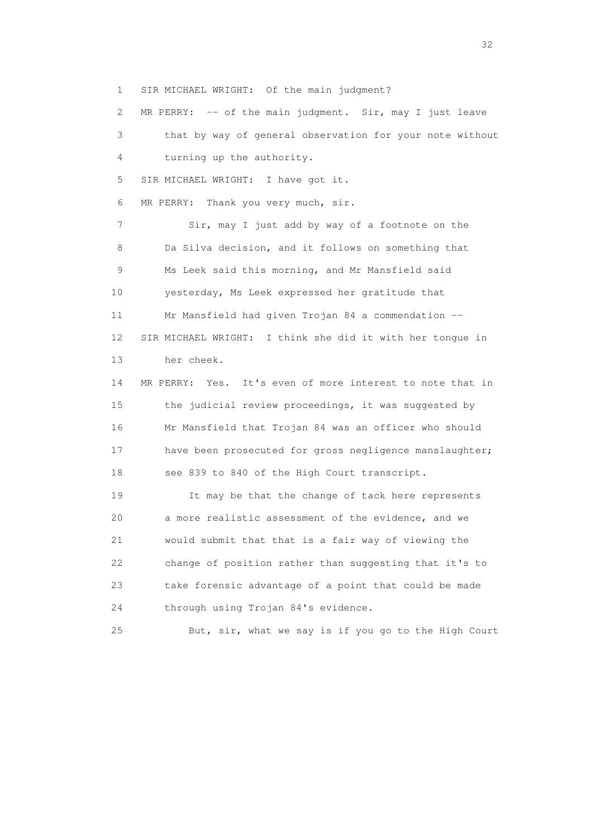1 SIR MICHAEL WRIGHT: Of the main judgment?

 2 MR PERRY: -- of the main judgment. Sir, may I just leave 3 that by way of general observation for your note without 4 turning up the authority. 5 SIR MICHAEL WRIGHT: I have got it. 6 MR PERRY: Thank you very much, sir. 7 Sir, may I just add by way of a footnote on the 8 Da Silva decision, and it follows on something that 9 Ms Leek said this morning, and Mr Mansfield said 10 yesterday, Ms Leek expressed her gratitude that 11 Mr Mansfield had given Trojan 84 a commendation -- 12 SIR MICHAEL WRIGHT: I think she did it with her tongue in 13 her cheek. 14 MR PERRY: Yes. It's even of more interest to note that in 15 the judicial review proceedings, it was suggested by 16 Mr Mansfield that Trojan 84 was an officer who should 17 have been prosecuted for gross negligence manslaughter; 18 see 839 to 840 of the High Court transcript. 19 It may be that the change of tack here represents 20 a more realistic assessment of the evidence, and we 21 would submit that that is a fair way of viewing the 22 change of position rather than suggesting that it's to 23 take forensic advantage of a point that could be made 24 through using Trojan 84's evidence.

25 But, sir, what we say is if you go to the High Court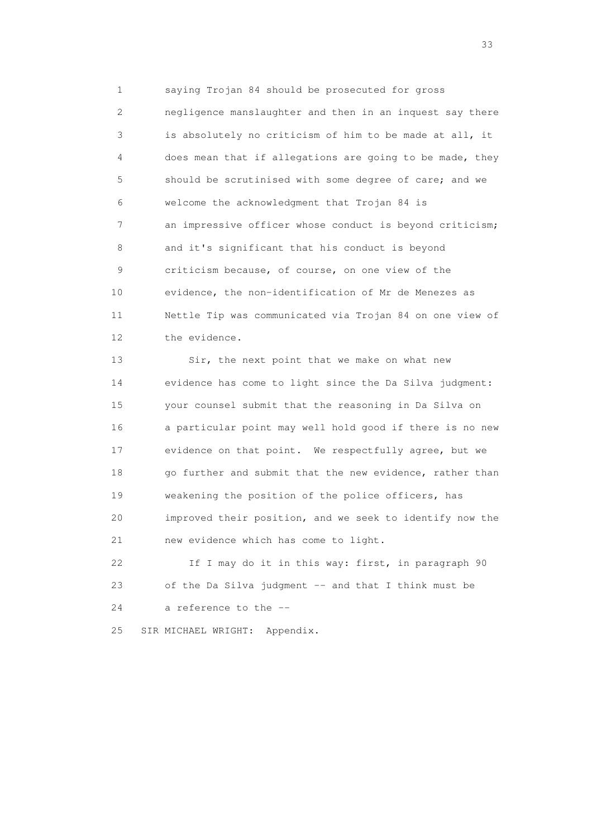1 saying Trojan 84 should be prosecuted for gross 2 negligence manslaughter and then in an inquest say there 3 is absolutely no criticism of him to be made at all, it 4 does mean that if allegations are going to be made, they 5 should be scrutinised with some degree of care; and we 6 welcome the acknowledgment that Trojan 84 is 7 an impressive officer whose conduct is beyond criticism; 8 and it's significant that his conduct is beyond 9 criticism because, of course, on one view of the 10 evidence, the non-identification of Mr de Menezes as 11 Nettle Tip was communicated via Trojan 84 on one view of 12 the evidence.

 13 Sir, the next point that we make on what new 14 evidence has come to light since the Da Silva judgment: 15 your counsel submit that the reasoning in Da Silva on 16 a particular point may well hold good if there is no new 17 evidence on that point. We respectfully agree, but we 18 go further and submit that the new evidence, rather than 19 weakening the position of the police officers, has 20 improved their position, and we seek to identify now the 21 new evidence which has come to light.

 22 If I may do it in this way: first, in paragraph 90 23 of the Da Silva judgment -- and that I think must be 24 a reference to the --

25 SIR MICHAEL WRIGHT: Appendix.

<u>33</u> and the state of the state of the state of the state of the state of the state of the state of the state of the state of the state of the state of the state of the state of the state of the state of the state of the s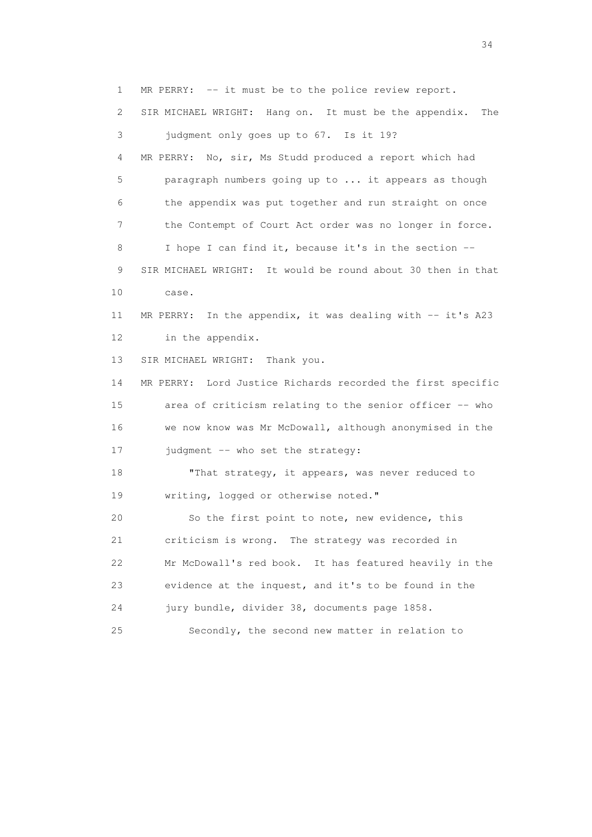1 MR PERRY: -- it must be to the police review report.

 2 SIR MICHAEL WRIGHT: Hang on. It must be the appendix. The 3 judgment only goes up to 67. Is it 19? 4 MR PERRY: No, sir, Ms Studd produced a report which had 5 paragraph numbers going up to ... it appears as though 6 the appendix was put together and run straight on once 7 the Contempt of Court Act order was no longer in force. 8 I hope I can find it, because it's in the section -- 9 SIR MICHAEL WRIGHT: It would be round about 30 then in that 10 case. 11 MR PERRY: In the appendix, it was dealing with -- it's A23 12 in the appendix. 13 SIR MICHAEL WRIGHT: Thank you. 14 MR PERRY: Lord Justice Richards recorded the first specific 15 area of criticism relating to the senior officer -- who 16 we now know was Mr McDowall, although anonymised in the 17 judgment -- who set the strategy: 18 "That strategy, it appears, was never reduced to 19 writing, logged or otherwise noted." 20 So the first point to note, new evidence, this 21 criticism is wrong. The strategy was recorded in 22 Mr McDowall's red book. It has featured heavily in the 23 evidence at the inquest, and it's to be found in the 24 jury bundle, divider 38, documents page 1858. 25 Secondly, the second new matter in relation to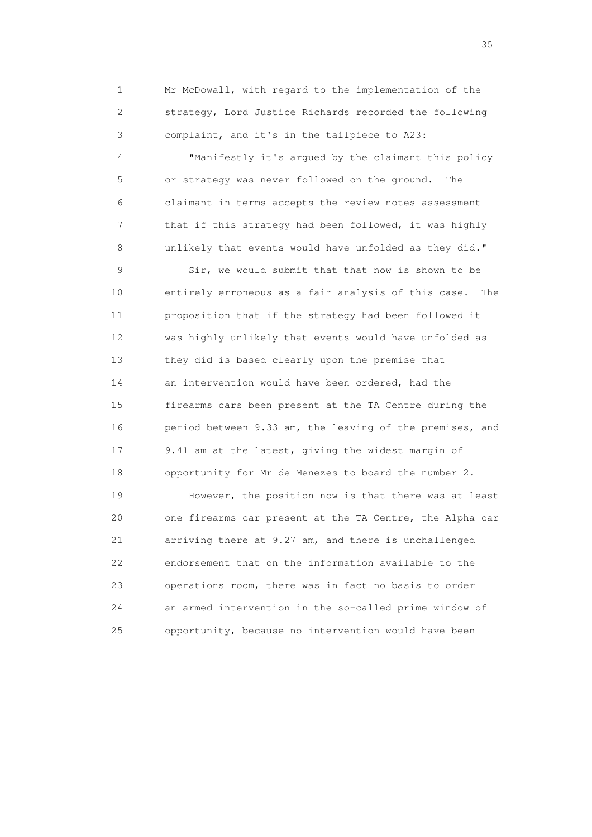1 Mr McDowall, with regard to the implementation of the 2 strategy, Lord Justice Richards recorded the following 3 complaint, and it's in the tailpiece to A23:

 4 "Manifestly it's argued by the claimant this policy 5 or strategy was never followed on the ground. The 6 claimant in terms accepts the review notes assessment 7 that if this strategy had been followed, it was highly 8 unlikely that events would have unfolded as they did."

 9 Sir, we would submit that that now is shown to be 10 entirely erroneous as a fair analysis of this case. The 11 proposition that if the strategy had been followed it 12 was highly unlikely that events would have unfolded as 13 they did is based clearly upon the premise that 14 an intervention would have been ordered, had the 15 firearms cars been present at the TA Centre during the 16 period between 9.33 am, the leaving of the premises, and 17 9.41 am at the latest, giving the widest margin of 18 opportunity for Mr de Menezes to board the number 2.

 19 However, the position now is that there was at least 20 one firearms car present at the TA Centre, the Alpha car 21 arriving there at 9.27 am, and there is unchallenged 22 endorsement that on the information available to the 23 operations room, there was in fact no basis to order 24 an armed intervention in the so-called prime window of 25 opportunity, because no intervention would have been

<u>35</u> and the state of the state of the state of the state of the state of the state of the state of the state of the state of the state of the state of the state of the state of the state of the state of the state of the s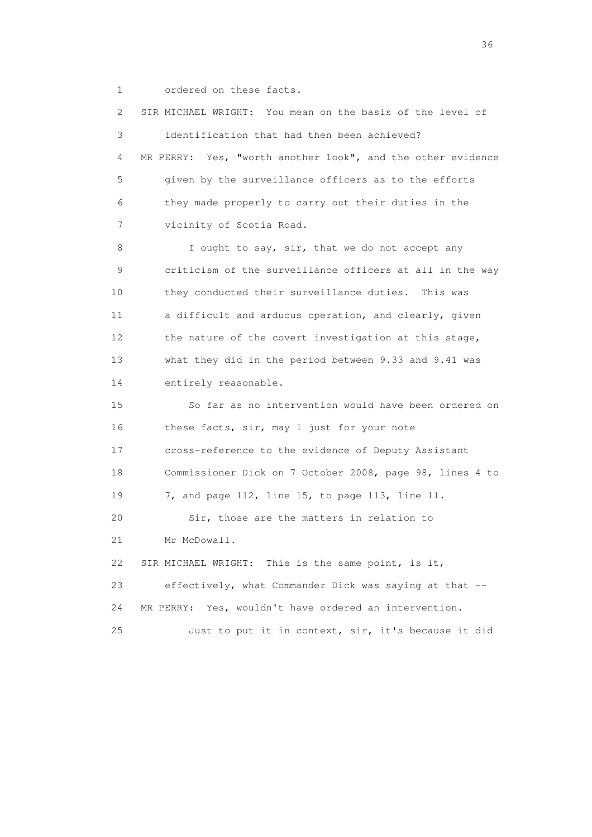1 ordered on these facts.

 2 SIR MICHAEL WRIGHT: You mean on the basis of the level of 3 identification that had then been achieved? 4 MR PERRY: Yes, "worth another look", and the other evidence 5 given by the surveillance officers as to the efforts 6 they made properly to carry out their duties in the 7 vicinity of Scotia Road. 8 I ought to say, sir, that we do not accept any 9 criticism of the surveillance officers at all in the way 10 they conducted their surveillance duties. This was 11 a difficult and arduous operation, and clearly, given 12 the nature of the covert investigation at this stage, 13 what they did in the period between 9.33 and 9.41 was 14 entirely reasonable. 15 So far as no intervention would have been ordered on 16 these facts, sir, may I just for your note 17 cross-reference to the evidence of Deputy Assistant 18 Commissioner Dick on 7 October 2008, page 98, lines 4 to 19 7, and page 112, line 15, to page 113, line 11. 20 Sir, those are the matters in relation to 21 Mr McDowall. 22 SIR MICHAEL WRIGHT: This is the same point, is it, 23 effectively, what Commander Dick was saying at that -- 24 MR PERRY: Yes, wouldn't have ordered an intervention. 25 Just to put it in context, sir, it's because it did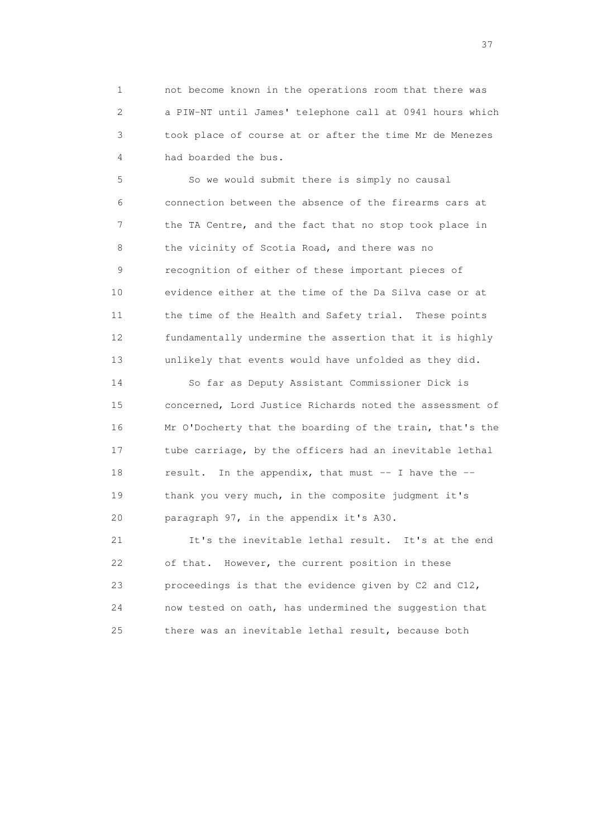1 not become known in the operations room that there was 2 a PIW-NT until James' telephone call at 0941 hours which 3 took place of course at or after the time Mr de Menezes 4 had boarded the bus.

 5 So we would submit there is simply no causal 6 connection between the absence of the firearms cars at 7 the TA Centre, and the fact that no stop took place in 8 the vicinity of Scotia Road, and there was no 9 recognition of either of these important pieces of 10 evidence either at the time of the Da Silva case or at 11 the time of the Health and Safety trial. These points 12 fundamentally undermine the assertion that it is highly 13 unlikely that events would have unfolded as they did.

 14 So far as Deputy Assistant Commissioner Dick is 15 concerned, Lord Justice Richards noted the assessment of 16 Mr O'Docherty that the boarding of the train, that's the 17 tube carriage, by the officers had an inevitable lethal 18 result. In the appendix, that must -- I have the -- 19 thank you very much, in the composite judgment it's 20 paragraph 97, in the appendix it's A30.

 21 It's the inevitable lethal result. It's at the end 22 of that. However, the current position in these 23 proceedings is that the evidence given by C2 and C12, 24 now tested on oath, has undermined the suggestion that 25 there was an inevitable lethal result, because both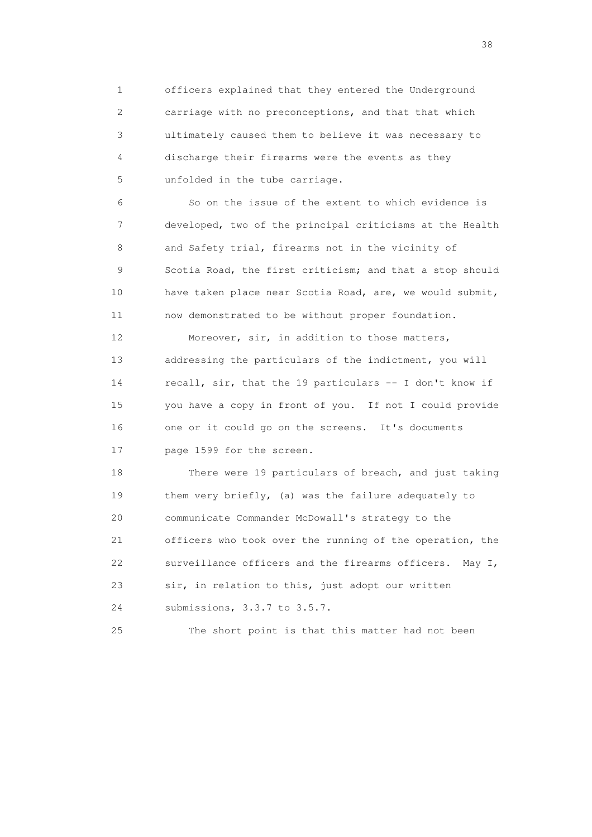1 officers explained that they entered the Underground 2 carriage with no preconceptions, and that that which 3 ultimately caused them to believe it was necessary to 4 discharge their firearms were the events as they 5 unfolded in the tube carriage.

 6 So on the issue of the extent to which evidence is 7 developed, two of the principal criticisms at the Health 8 and Safety trial, firearms not in the vicinity of 9 Scotia Road, the first criticism; and that a stop should 10 have taken place near Scotia Road, are, we would submit, 11 now demonstrated to be without proper foundation.

 12 Moreover, sir, in addition to those matters, 13 addressing the particulars of the indictment, you will 14 recall, sir, that the 19 particulars -- I don't know if 15 you have a copy in front of you. If not I could provide 16 one or it could go on the screens. It's documents 17 page 1599 for the screen.

 18 There were 19 particulars of breach, and just taking 19 them very briefly, (a) was the failure adequately to 20 communicate Commander McDowall's strategy to the 21 officers who took over the running of the operation, the 22 surveillance officers and the firearms officers. May I, 23 sir, in relation to this, just adopt our written 24 submissions, 3.3.7 to 3.5.7.

25 The short point is that this matter had not been

and the state of the state of the state of the state of the state of the state of the state of the state of the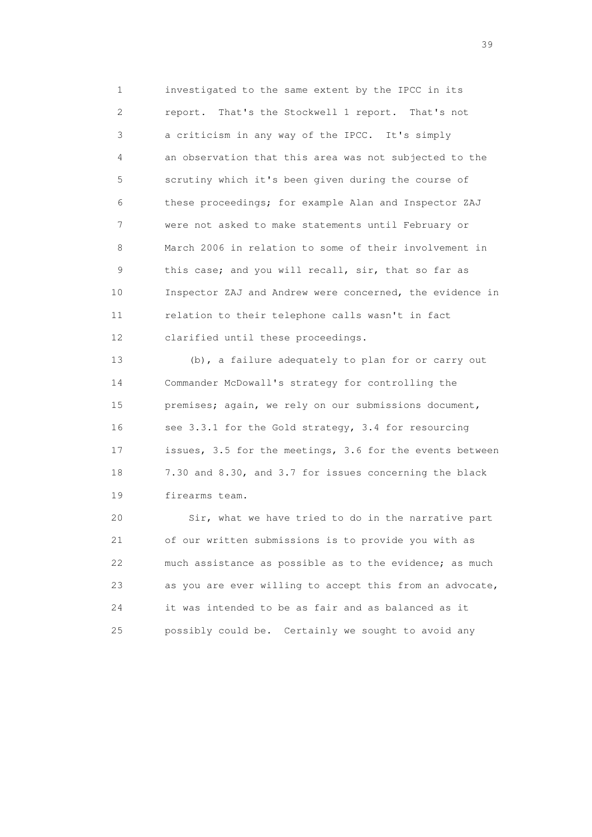1 investigated to the same extent by the IPCC in its 2 report. That's the Stockwell 1 report. That's not 3 a criticism in any way of the IPCC. It's simply 4 an observation that this area was not subjected to the 5 scrutiny which it's been given during the course of 6 these proceedings; for example Alan and Inspector ZAJ 7 were not asked to make statements until February or 8 March 2006 in relation to some of their involvement in 9 this case; and you will recall, sir, that so far as 10 Inspector ZAJ and Andrew were concerned, the evidence in 11 relation to their telephone calls wasn't in fact 12 clarified until these proceedings.

 13 (b), a failure adequately to plan for or carry out 14 Commander McDowall's strategy for controlling the 15 premises; again, we rely on our submissions document, 16 see 3.3.1 for the Gold strategy, 3.4 for resourcing 17 issues, 3.5 for the meetings, 3.6 for the events between 18 7.30 and 8.30, and 3.7 for issues concerning the black 19 firearms team.

 20 Sir, what we have tried to do in the narrative part 21 of our written submissions is to provide you with as 22 much assistance as possible as to the evidence; as much 23 as you are ever willing to accept this from an advocate, 24 it was intended to be as fair and as balanced as it 25 possibly could be. Certainly we sought to avoid any

 $39<sup>2</sup>$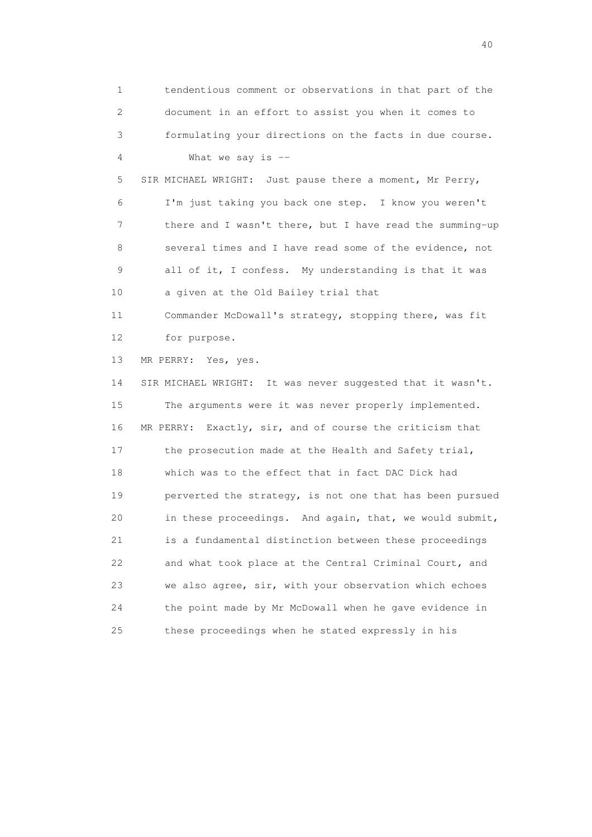1 tendentious comment or observations in that part of the 2 document in an effort to assist you when it comes to 3 formulating your directions on the facts in due course. 4 What we say is -- 5 SIR MICHAEL WRIGHT: Just pause there a moment, Mr Perry, 6 I'm just taking you back one step. I know you weren't 7 there and I wasn't there, but I have read the summing-up 8 several times and I have read some of the evidence, not 9 all of it, I confess. My understanding is that it was 10 a given at the Old Bailey trial that 11 Commander McDowall's strategy, stopping there, was fit 12 for purpose. 13 MR PERRY: Yes, yes. 14 SIR MICHAEL WRIGHT: It was never suggested that it wasn't. 15 The arguments were it was never properly implemented. 16 MR PERRY: Exactly, sir, and of course the criticism that 17 the prosecution made at the Health and Safety trial, 18 which was to the effect that in fact DAC Dick had 19 perverted the strategy, is not one that has been pursued 20 in these proceedings. And again, that, we would submit, 21 is a fundamental distinction between these proceedings 22 and what took place at the Central Criminal Court, and 23 we also agree, sir, with your observation which echoes 24 the point made by Mr McDowall when he gave evidence in 25 these proceedings when he stated expressly in his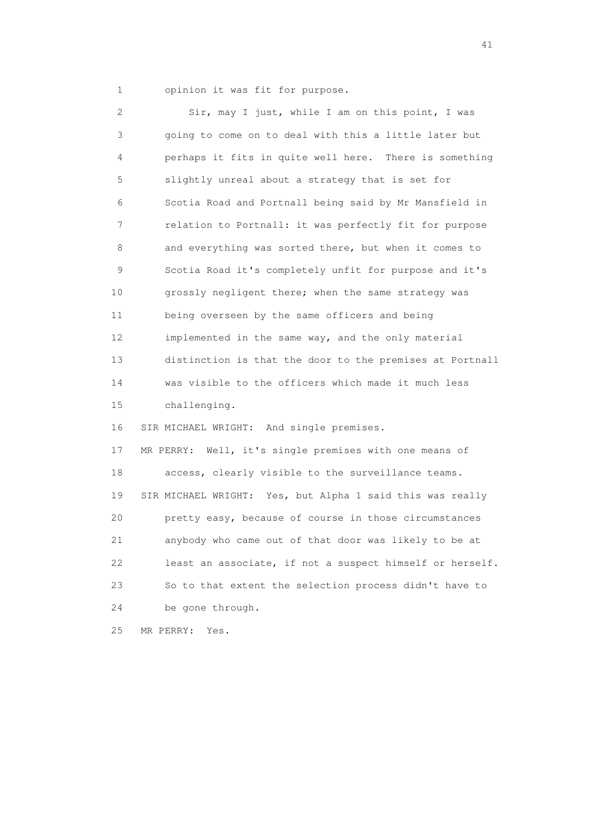1 opinion it was fit for purpose.

 2 Sir, may I just, while I am on this point, I was 3 going to come on to deal with this a little later but 4 perhaps it fits in quite well here. There is something 5 slightly unreal about a strategy that is set for 6 Scotia Road and Portnall being said by Mr Mansfield in 7 relation to Portnall: it was perfectly fit for purpose 8 and everything was sorted there, but when it comes to 9 Scotia Road it's completely unfit for purpose and it's 10 grossly negligent there; when the same strategy was 11 being overseen by the same officers and being 12 implemented in the same way, and the only material 13 distinction is that the door to the premises at Portnall 14 was visible to the officers which made it much less 15 challenging. 16 SIR MICHAEL WRIGHT: And single premises. 17 MR PERRY: Well, it's single premises with one means of 18 access, clearly visible to the surveillance teams. 19 SIR MICHAEL WRIGHT: Yes, but Alpha 1 said this was really 20 pretty easy, because of course in those circumstances 21 anybody who came out of that door was likely to be at 22 least an associate, if not a suspect himself or herself. 23 So to that extent the selection process didn't have to 24 be gone through. 25 MR PERRY: Yes.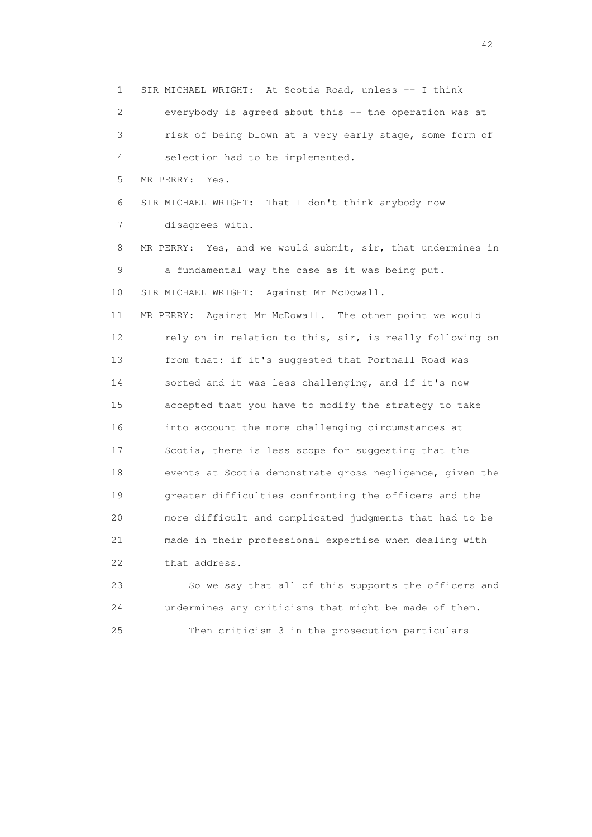1 SIR MICHAEL WRIGHT: At Scotia Road, unless -- I think 2 everybody is agreed about this -- the operation was at 3 risk of being blown at a very early stage, some form of 4 selection had to be implemented. 5 MR PERRY: Yes. 6 SIR MICHAEL WRIGHT: That I don't think anybody now 7 disagrees with. 8 MR PERRY: Yes, and we would submit, sir, that undermines in 9 a fundamental way the case as it was being put. 10 SIR MICHAEL WRIGHT: Against Mr McDowall. 11 MR PERRY: Against Mr McDowall. The other point we would 12 rely on in relation to this, sir, is really following on 13 from that: if it's suggested that Portnall Road was 14 sorted and it was less challenging, and if it's now 15 accepted that you have to modify the strategy to take 16 into account the more challenging circumstances at 17 Scotia, there is less scope for suggesting that the 18 events at Scotia demonstrate gross negligence, given the 19 greater difficulties confronting the officers and the 20 more difficult and complicated judgments that had to be 21 made in their professional expertise when dealing with 22 that address. 23 So we say that all of this supports the officers and

 24 undermines any criticisms that might be made of them. 25 Then criticism 3 in the prosecution particulars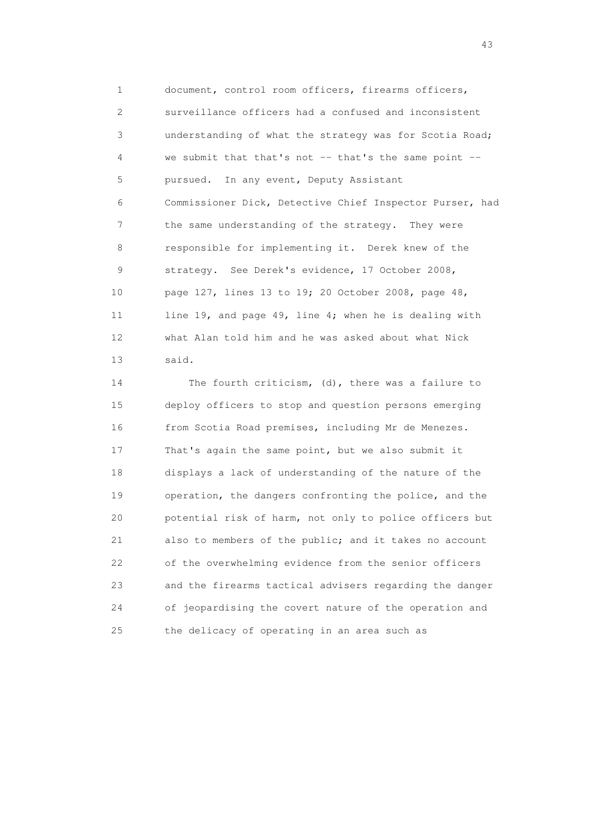1 document, control room officers, firearms officers, 2 surveillance officers had a confused and inconsistent 3 understanding of what the strategy was for Scotia Road; 4 we submit that that's not -- that's the same point -- 5 pursued. In any event, Deputy Assistant 6 Commissioner Dick, Detective Chief Inspector Purser, had 7 the same understanding of the strategy. They were 8 responsible for implementing it. Derek knew of the 9 strategy. See Derek's evidence, 17 October 2008, 10 page 127, lines 13 to 19; 20 October 2008, page 48, 11 line 19, and page 49, line 4; when he is dealing with 12 what Alan told him and he was asked about what Nick 13 said.

 14 The fourth criticism, (d), there was a failure to 15 deploy officers to stop and question persons emerging 16 from Scotia Road premises, including Mr de Menezes. 17 That's again the same point, but we also submit it 18 displays a lack of understanding of the nature of the 19 operation, the dangers confronting the police, and the 20 potential risk of harm, not only to police officers but 21 also to members of the public; and it takes no account 22 of the overwhelming evidence from the senior officers 23 and the firearms tactical advisers regarding the danger 24 of jeopardising the covert nature of the operation and 25 the delicacy of operating in an area such as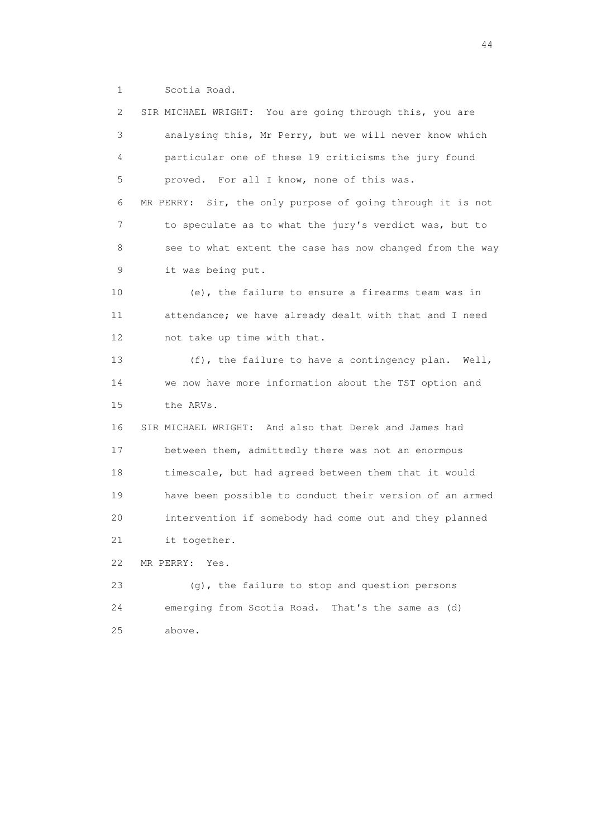1 Scotia Road.

 2 SIR MICHAEL WRIGHT: You are going through this, you are 3 analysing this, Mr Perry, but we will never know which 4 particular one of these 19 criticisms the jury found 5 proved. For all I know, none of this was. 6 MR PERRY: Sir, the only purpose of going through it is not 7 to speculate as to what the jury's verdict was, but to 8 see to what extent the case has now changed from the way 9 it was being put. 10 (e), the failure to ensure a firearms team was in 11 attendance; we have already dealt with that and I need 12 not take up time with that. 13 (f), the failure to have a contingency plan. Well, 14 we now have more information about the TST option and 15 the ARVs. 16 SIR MICHAEL WRIGHT: And also that Derek and James had 17 between them, admittedly there was not an enormous 18 timescale, but had agreed between them that it would 19 have been possible to conduct their version of an armed 20 intervention if somebody had come out and they planned 21 it together. 22 MR PERRY: Yes. 23 (g), the failure to stop and question persons 24 emerging from Scotia Road. That's the same as (d) 25 above.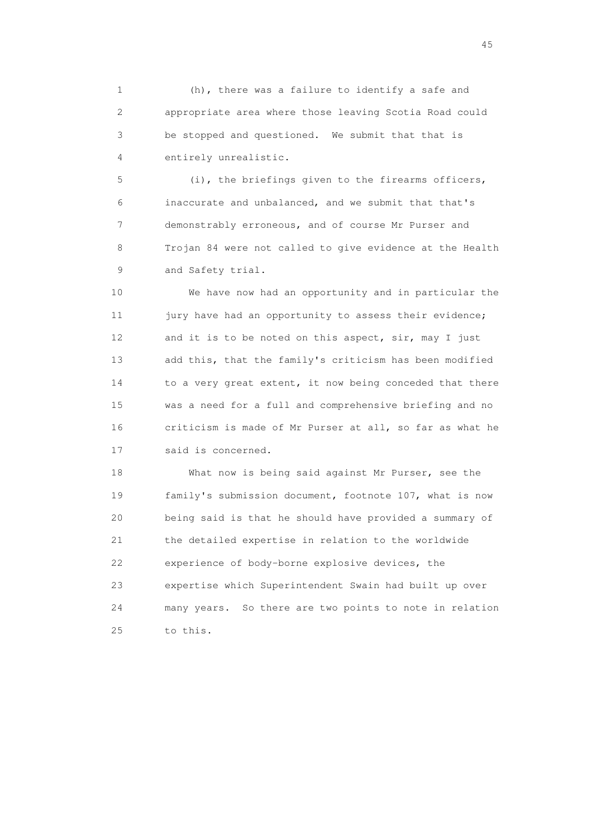1 (h), there was a failure to identify a safe and 2 appropriate area where those leaving Scotia Road could 3 be stopped and questioned. We submit that that is 4 entirely unrealistic.

 5 (i), the briefings given to the firearms officers, 6 inaccurate and unbalanced, and we submit that that's 7 demonstrably erroneous, and of course Mr Purser and 8 Trojan 84 were not called to give evidence at the Health 9 and Safety trial.

 10 We have now had an opportunity and in particular the 11 jury have had an opportunity to assess their evidence; 12 and it is to be noted on this aspect, sir, may I just 13 add this, that the family's criticism has been modified 14 to a very great extent, it now being conceded that there 15 was a need for a full and comprehensive briefing and no 16 criticism is made of Mr Purser at all, so far as what he 17 said is concerned.

 18 What now is being said against Mr Purser, see the 19 family's submission document, footnote 107, what is now 20 being said is that he should have provided a summary of 21 the detailed expertise in relation to the worldwide 22 experience of body-borne explosive devices, the 23 expertise which Superintendent Swain had built up over 24 many years. So there are two points to note in relation 25 to this.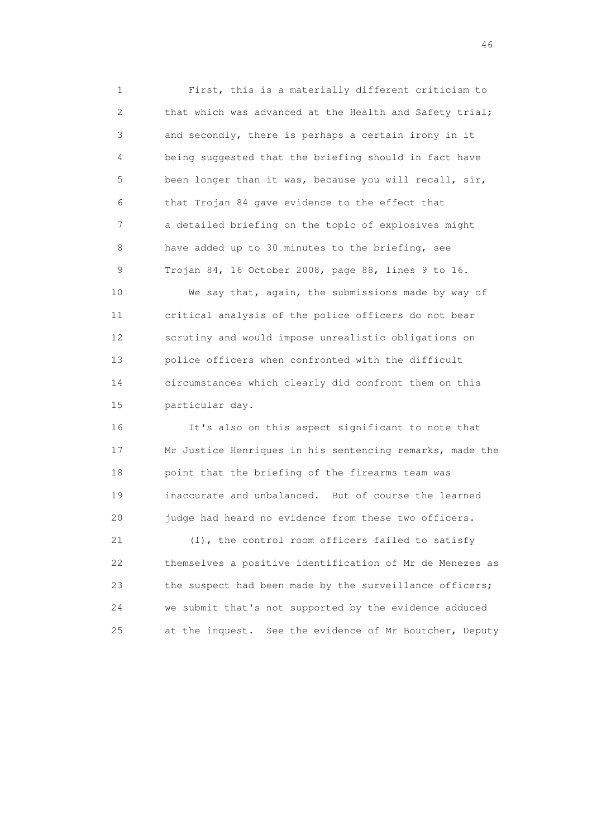1 First, this is a materially different criticism to 2 that which was advanced at the Health and Safety trial; 3 and secondly, there is perhaps a certain irony in it 4 being suggested that the briefing should in fact have 5 been longer than it was, because you will recall, sir, 6 that Trojan 84 gave evidence to the effect that 7 a detailed briefing on the topic of explosives might 8 have added up to 30 minutes to the briefing, see 9 Trojan 84, 16 October 2008, page 88, lines 9 to 16.

 10 We say that, again, the submissions made by way of 11 critical analysis of the police officers do not bear 12 scrutiny and would impose unrealistic obligations on 13 police officers when confronted with the difficult 14 circumstances which clearly did confront them on this 15 particular day.

 16 It's also on this aspect significant to note that 17 Mr Justice Henriques in his sentencing remarks, made the 18 point that the briefing of the firearms team was 19 inaccurate and unbalanced. But of course the learned 20 judge had heard no evidence from these two officers.

 21 (l), the control room officers failed to satisfy 22 themselves a positive identification of Mr de Menezes as 23 the suspect had been made by the surveillance officers; 24 we submit that's not supported by the evidence adduced 25 at the inquest. See the evidence of Mr Boutcher, Deputy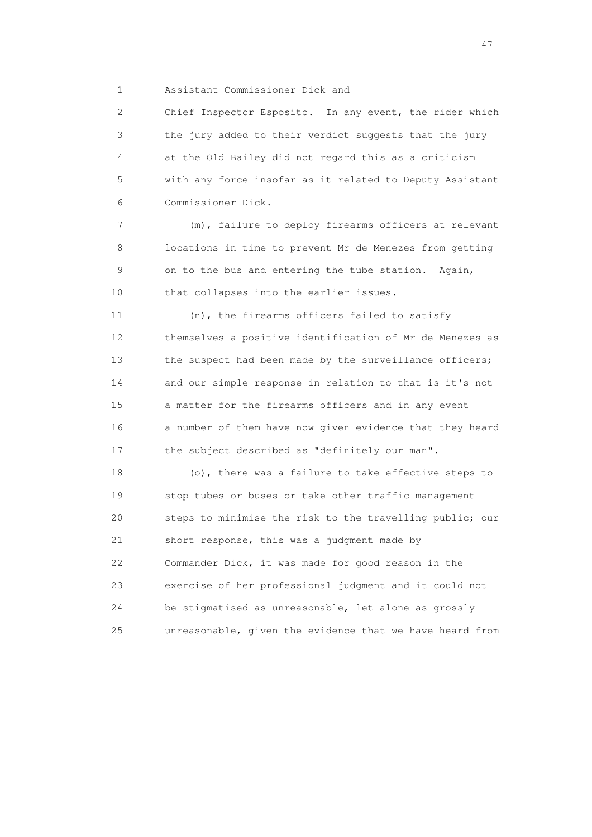1 Assistant Commissioner Dick and

 2 Chief Inspector Esposito. In any event, the rider which 3 the jury added to their verdict suggests that the jury 4 at the Old Bailey did not regard this as a criticism 5 with any force insofar as it related to Deputy Assistant 6 Commissioner Dick.

 7 (m), failure to deploy firearms officers at relevant 8 locations in time to prevent Mr de Menezes from getting 9 on to the bus and entering the tube station. Again, 10 that collapses into the earlier issues.

 11 (n), the firearms officers failed to satisfy 12 themselves a positive identification of Mr de Menezes as 13 the suspect had been made by the surveillance officers; 14 and our simple response in relation to that is it's not 15 a matter for the firearms officers and in any event 16 a number of them have now given evidence that they heard 17 the subject described as "definitely our man".

 18 (o), there was a failure to take effective steps to 19 stop tubes or buses or take other traffic management 20 steps to minimise the risk to the travelling public; our 21 short response, this was a judgment made by 22 Commander Dick, it was made for good reason in the 23 exercise of her professional judgment and it could not 24 be stigmatised as unreasonable, let alone as grossly 25 unreasonable, given the evidence that we have heard from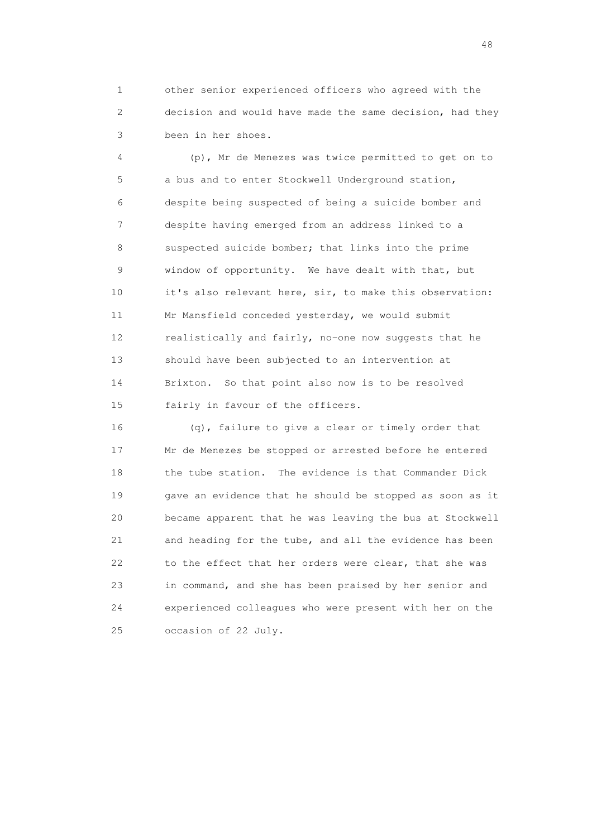1 other senior experienced officers who agreed with the 2 decision and would have made the same decision, had they 3 been in her shoes.

 4 (p), Mr de Menezes was twice permitted to get on to 5 a bus and to enter Stockwell Underground station, 6 despite being suspected of being a suicide bomber and 7 despite having emerged from an address linked to a 8 suspected suicide bomber; that links into the prime 9 window of opportunity. We have dealt with that, but 10 it's also relevant here, sir, to make this observation: 11 Mr Mansfield conceded yesterday, we would submit 12 realistically and fairly, no-one now suggests that he 13 should have been subjected to an intervention at 14 Brixton. So that point also now is to be resolved 15 fairly in favour of the officers.

 16 (q), failure to give a clear or timely order that 17 Mr de Menezes be stopped or arrested before he entered 18 the tube station. The evidence is that Commander Dick 19 gave an evidence that he should be stopped as soon as it 20 became apparent that he was leaving the bus at Stockwell 21 and heading for the tube, and all the evidence has been 22 to the effect that her orders were clear, that she was 23 in command, and she has been praised by her senior and 24 experienced colleagues who were present with her on the 25 occasion of 22 July.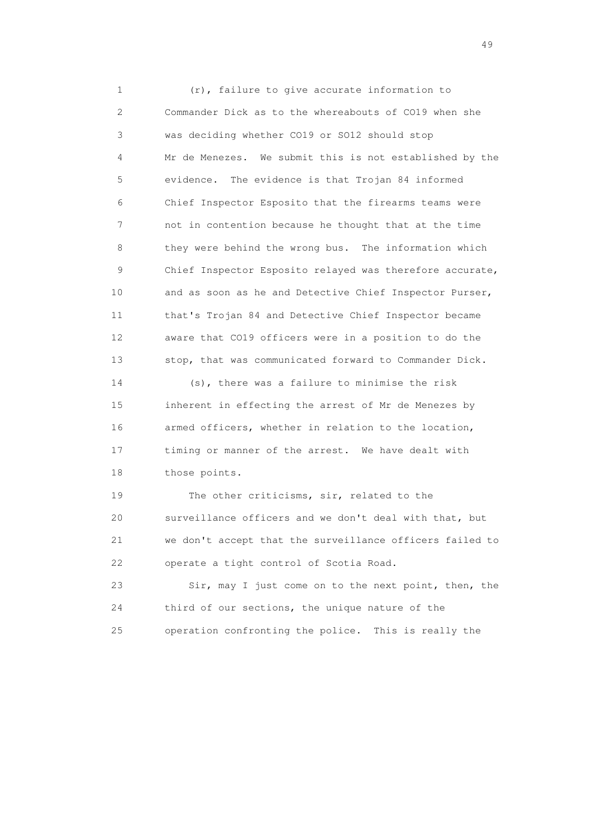1 (r), failure to give accurate information to 2 Commander Dick as to the whereabouts of CO19 when she 3 was deciding whether CO19 or SO12 should stop 4 Mr de Menezes. We submit this is not established by the 5 evidence. The evidence is that Trojan 84 informed 6 Chief Inspector Esposito that the firearms teams were 7 not in contention because he thought that at the time 8 they were behind the wrong bus. The information which 9 Chief Inspector Esposito relayed was therefore accurate, 10 and as soon as he and Detective Chief Inspector Purser, 11 that's Trojan 84 and Detective Chief Inspector became 12 aware that CO19 officers were in a position to do the 13 stop, that was communicated forward to Commander Dick.

 14 (s), there was a failure to minimise the risk 15 inherent in effecting the arrest of Mr de Menezes by 16 armed officers, whether in relation to the location, 17 timing or manner of the arrest. We have dealt with 18 those points.

19 The other criticisms, sir, related to the 20 surveillance officers and we don't deal with that, but 21 we don't accept that the surveillance officers failed to 22 operate a tight control of Scotia Road.

 23 Sir, may I just come on to the next point, then, the 24 third of our sections, the unique nature of the 25 operation confronting the police. This is really the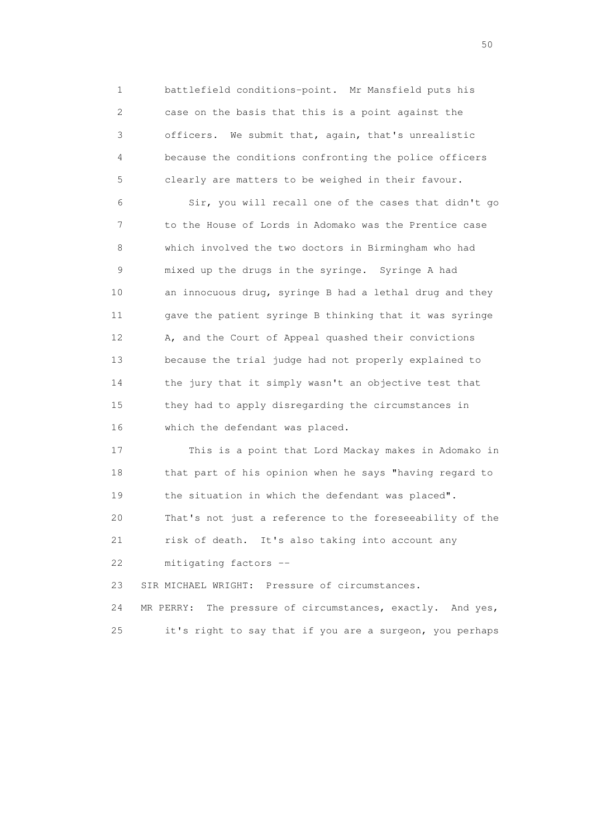1 battlefield conditions-point. Mr Mansfield puts his 2 case on the basis that this is a point against the 3 officers. We submit that, again, that's unrealistic 4 because the conditions confronting the police officers 5 clearly are matters to be weighed in their favour.

 6 Sir, you will recall one of the cases that didn't go 7 to the House of Lords in Adomako was the Prentice case 8 which involved the two doctors in Birmingham who had 9 mixed up the drugs in the syringe. Syringe A had 10 an innocuous drug, syringe B had a lethal drug and they 11 gave the patient syringe B thinking that it was syringe 12 A, and the Court of Appeal quashed their convictions 13 because the trial judge had not properly explained to 14 the jury that it simply wasn't an objective test that 15 they had to apply disregarding the circumstances in 16 which the defendant was placed.

 17 This is a point that Lord Mackay makes in Adomako in 18 that part of his opinion when he says "having regard to 19 the situation in which the defendant was placed". 20 That's not just a reference to the foreseeability of the 21 risk of death. It's also taking into account any 22 mitigating factors --

23 SIR MICHAEL WRIGHT: Pressure of circumstances.

 24 MR PERRY: The pressure of circumstances, exactly. And yes, 25 it's right to say that if you are a surgeon, you perhaps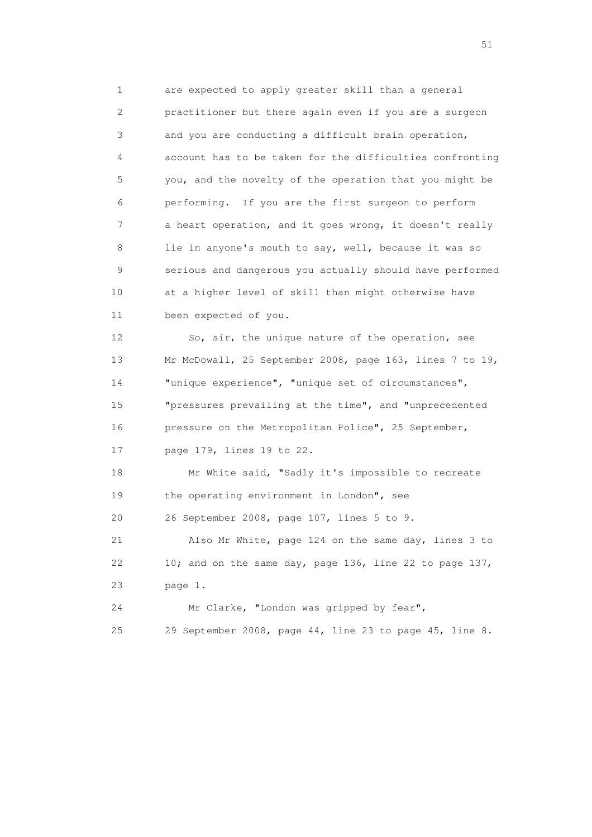1 are expected to apply greater skill than a general 2 practitioner but there again even if you are a surgeon 3 and you are conducting a difficult brain operation, 4 account has to be taken for the difficulties confronting 5 you, and the novelty of the operation that you might be 6 performing. If you are the first surgeon to perform 7 a heart operation, and it goes wrong, it doesn't really 8 lie in anyone's mouth to say, well, because it was so 9 serious and dangerous you actually should have performed 10 at a higher level of skill than might otherwise have 11 been expected of you.

 12 So, sir, the unique nature of the operation, see 13 Mr McDowall, 25 September 2008, page 163, lines 7 to 19, 14 "unique experience", "unique set of circumstances", 15 "pressures prevailing at the time", and "unprecedented 16 pressure on the Metropolitan Police", 25 September, 17 page 179, lines 19 to 22.

 18 Mr White said, "Sadly it's impossible to recreate 19 the operating environment in London", see 20 26 September 2008, page 107, lines 5 to 9.

 21 Also Mr White, page 124 on the same day, lines 3 to 22 10; and on the same day, page 136, line 22 to page 137, 23 page 1.

 24 Mr Clarke, "London was gripped by fear", 25 29 September 2008, page 44, line 23 to page 45, line 8.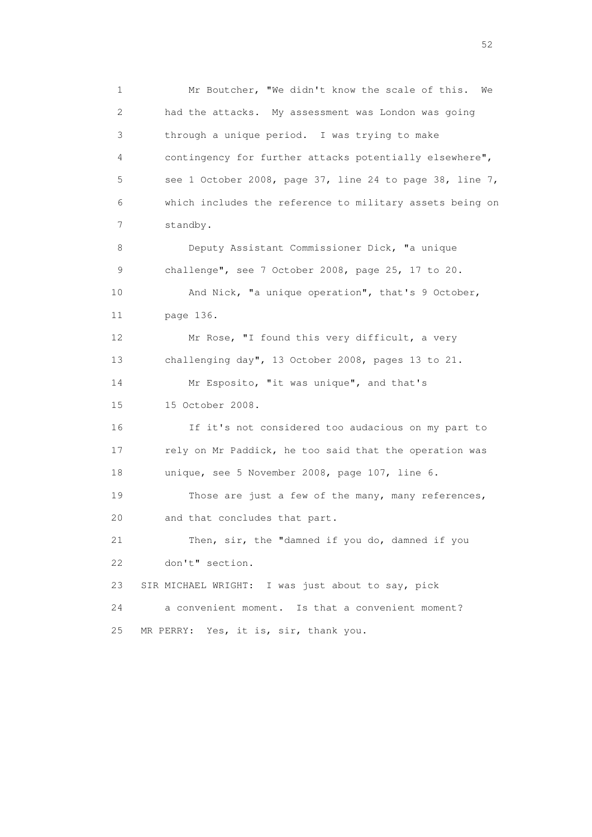1 Mr Boutcher, "We didn't know the scale of this. We 2 had the attacks. My assessment was London was going 3 through a unique period. I was trying to make 4 contingency for further attacks potentially elsewhere", 5 see 1 October 2008, page 37, line 24 to page 38, line 7, 6 which includes the reference to military assets being on 7 standby. 8 Deputy Assistant Commissioner Dick, "a unique 9 challenge", see 7 October 2008, page 25, 17 to 20. 10 And Nick, "a unique operation", that's 9 October, 11 page 136.

 12 Mr Rose, "I found this very difficult, a very 13 challenging day", 13 October 2008, pages 13 to 21.

14 Mr Esposito, "it was unique", and that's 15 15 October 2008.

 16 If it's not considered too audacious on my part to 17 rely on Mr Paddick, he too said that the operation was 18 unique, see 5 November 2008, page 107, line 6.

 19 Those are just a few of the many, many references, 20 and that concludes that part.

 21 Then, sir, the "damned if you do, damned if you 22 don't" section.

23 SIR MICHAEL WRIGHT: I was just about to say, pick

 24 a convenient moment. Is that a convenient moment? 25 MR PERRY: Yes, it is, sir, thank you.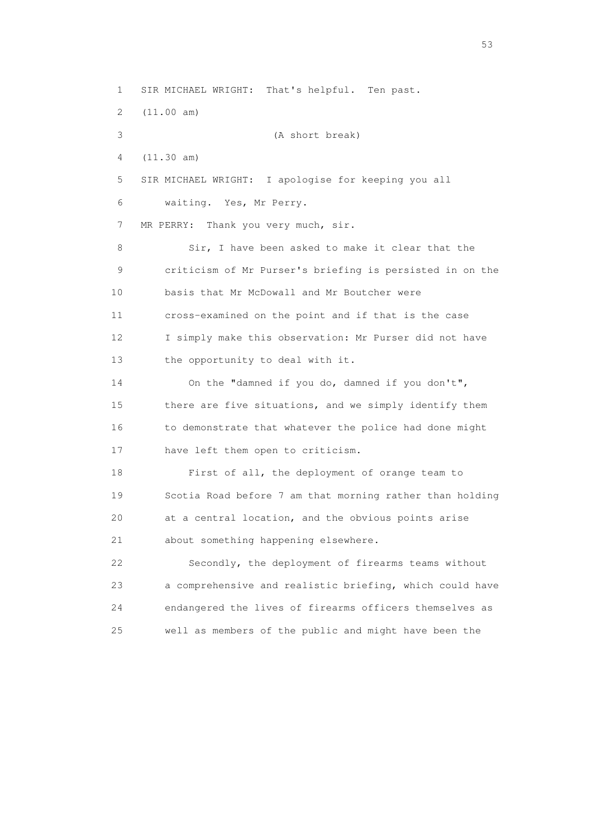1 SIR MICHAEL WRIGHT: That's helpful. Ten past. 2 (11.00 am) 3 (A short break) 4 (11.30 am) 5 SIR MICHAEL WRIGHT: I apologise for keeping you all 6 waiting. Yes, Mr Perry. 7 MR PERRY: Thank you very much, sir. 8 Sir, I have been asked to make it clear that the 9 criticism of Mr Purser's briefing is persisted in on the 10 basis that Mr McDowall and Mr Boutcher were 11 cross-examined on the point and if that is the case 12 I simply make this observation: Mr Purser did not have 13 the opportunity to deal with it. 14 On the "damned if you do, damned if you don't", 15 there are five situations, and we simply identify them 16 to demonstrate that whatever the police had done might 17 have left them open to criticism. 18 First of all, the deployment of orange team to 19 Scotia Road before 7 am that morning rather than holding 20 at a central location, and the obvious points arise 21 about something happening elsewhere. 22 Secondly, the deployment of firearms teams without 23 a comprehensive and realistic briefing, which could have 24 endangered the lives of firearms officers themselves as 25 well as members of the public and might have been the

 $\sim$  53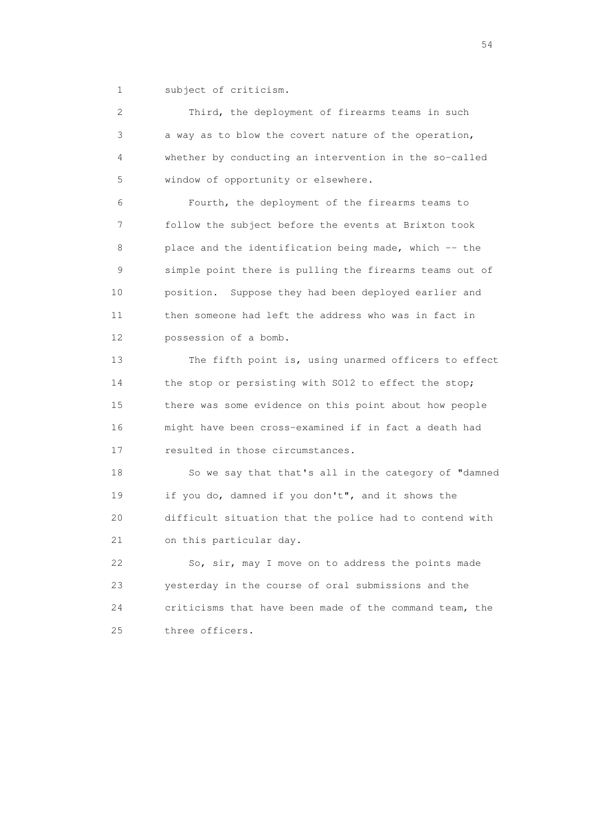1 subject of criticism.

 2 Third, the deployment of firearms teams in such 3 a way as to blow the covert nature of the operation, 4 whether by conducting an intervention in the so-called 5 window of opportunity or elsewhere.

 6 Fourth, the deployment of the firearms teams to 7 follow the subject before the events at Brixton took 8 place and the identification being made, which -- the 9 simple point there is pulling the firearms teams out of 10 position. Suppose they had been deployed earlier and 11 then someone had left the address who was in fact in 12 possession of a bomb.

 13 The fifth point is, using unarmed officers to effect 14 the stop or persisting with SO12 to effect the stop; 15 there was some evidence on this point about how people 16 might have been cross-examined if in fact a death had 17 resulted in those circumstances.

 18 So we say that that's all in the category of "damned 19 if you do, damned if you don't", and it shows the 20 difficult situation that the police had to contend with 21 on this particular day.

 22 So, sir, may I move on to address the points made 23 yesterday in the course of oral submissions and the 24 criticisms that have been made of the command team, the 25 three officers.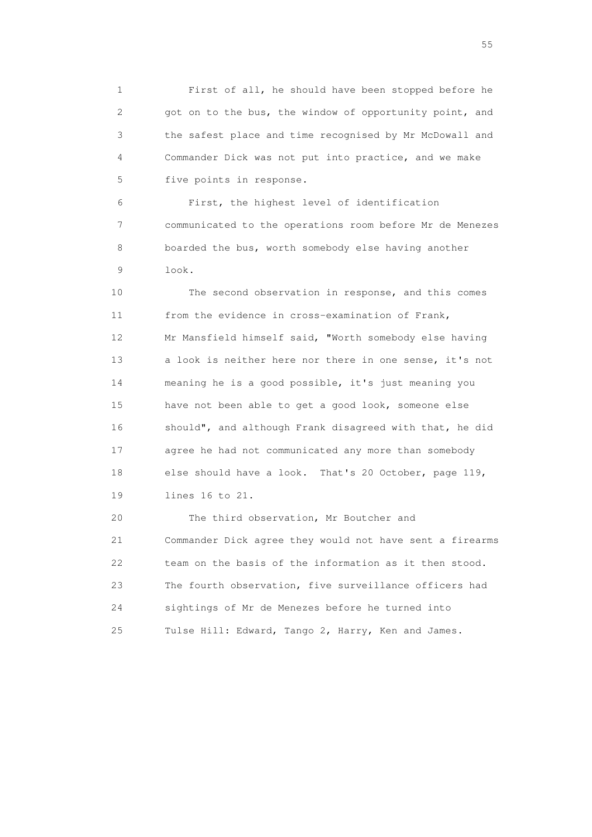1 First of all, he should have been stopped before he 2 got on to the bus, the window of opportunity point, and 3 the safest place and time recognised by Mr McDowall and 4 Commander Dick was not put into practice, and we make 5 five points in response.

 6 First, the highest level of identification 7 communicated to the operations room before Mr de Menezes 8 boarded the bus, worth somebody else having another 9 look.

 10 The second observation in response, and this comes 11 from the evidence in cross-examination of Frank, 12 Mr Mansfield himself said, "Worth somebody else having 13 a look is neither here nor there in one sense, it's not 14 meaning he is a good possible, it's just meaning you 15 have not been able to get a good look, someone else 16 should", and although Frank disagreed with that, he did 17 agree he had not communicated any more than somebody 18 else should have a look. That's 20 October, page 119, 19 lines 16 to 21.

 20 The third observation, Mr Boutcher and 21 Commander Dick agree they would not have sent a firearms 22 team on the basis of the information as it then stood. 23 The fourth observation, five surveillance officers had 24 sightings of Mr de Menezes before he turned into 25 Tulse Hill: Edward, Tango 2, Harry, Ken and James.

the state of the state of the state of the state of the state of the state of the state of the state of the state of the state of the state of the state of the state of the state of the state of the state of the state of t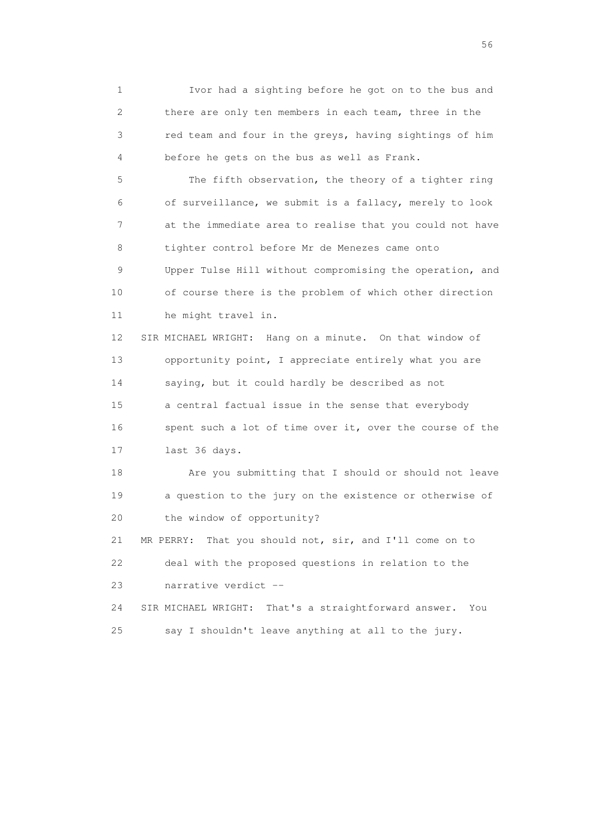1 Ivor had a sighting before he got on to the bus and 2 there are only ten members in each team, three in the 3 red team and four in the greys, having sightings of him 4 before he gets on the bus as well as Frank.

 5 The fifth observation, the theory of a tighter ring 6 of surveillance, we submit is a fallacy, merely to look 7 at the immediate area to realise that you could not have 8 tighter control before Mr de Menezes came onto 9 Upper Tulse Hill without compromising the operation, and 10 of course there is the problem of which other direction 11 he might travel in.

 12 SIR MICHAEL WRIGHT: Hang on a minute. On that window of 13 opportunity point, I appreciate entirely what you are 14 saying, but it could hardly be described as not 15 a central factual issue in the sense that everybody 16 spent such a lot of time over it, over the course of the 17 last 36 days.

 18 Are you submitting that I should or should not leave 19 a question to the jury on the existence or otherwise of 20 the window of opportunity?

 21 MR PERRY: That you should not, sir, and I'll come on to 22 deal with the proposed questions in relation to the 23 narrative verdict --

 24 SIR MICHAEL WRIGHT: That's a straightforward answer. You 25 say I shouldn't leave anything at all to the jury.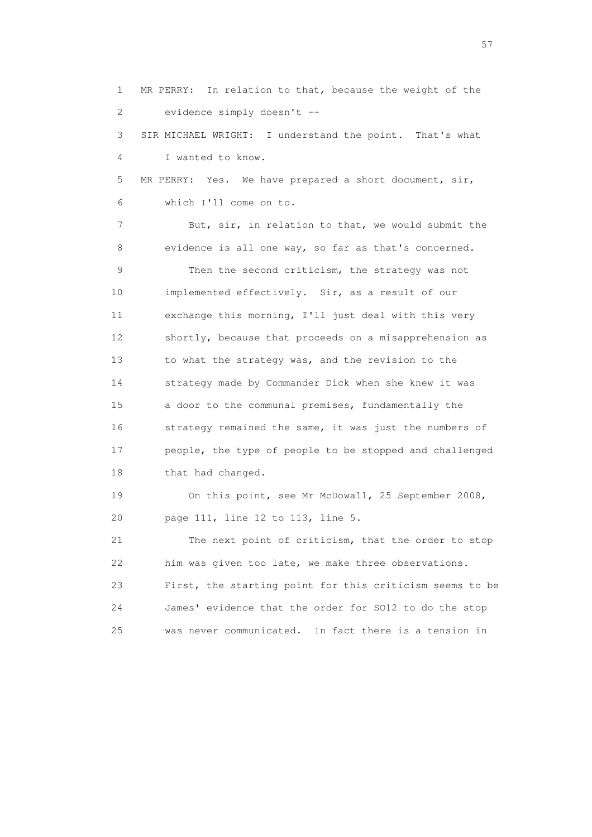1 MR PERRY: In relation to that, because the weight of the 2 evidence simply doesn't -- 3 SIR MICHAEL WRIGHT: I understand the point. That's what 4 I wanted to know. 5 MR PERRY: Yes. We have prepared a short document, sir, 6 which I'll come on to. 7 But, sir, in relation to that, we would submit the 8 evidence is all one way, so far as that's concerned. 9 Then the second criticism, the strategy was not 10 implemented effectively. Sir, as a result of our 11 exchange this morning, I'll just deal with this very 12 shortly, because that proceeds on a misapprehension as 13 to what the strategy was, and the revision to the 14 strategy made by Commander Dick when she knew it was 15 a door to the communal premises, fundamentally the 16 strategy remained the same, it was just the numbers of 17 people, the type of people to be stopped and challenged 18 that had changed. 19 On this point, see Mr McDowall, 25 September 2008, 20 page 111, line 12 to 113, line 5. 21 The next point of criticism, that the order to stop 22 him was given too late, we make three observations. 23 First, the starting point for this criticism seems to be 24 James' evidence that the order for SO12 to do the stop 25 was never communicated. In fact there is a tension in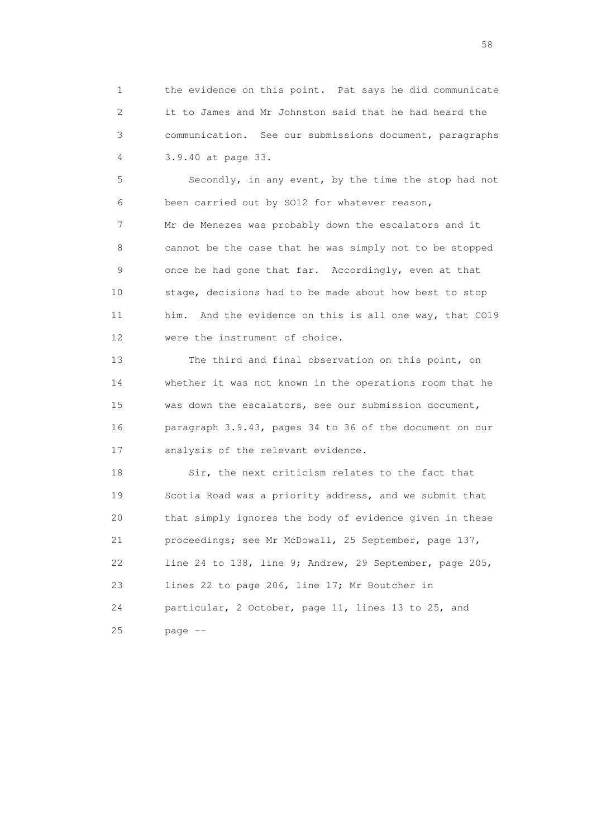1 the evidence on this point. Pat says he did communicate 2 it to James and Mr Johnston said that he had heard the 3 communication. See our submissions document, paragraphs 4 3.9.40 at page 33.

 5 Secondly, in any event, by the time the stop had not 6 been carried out by SO12 for whatever reason, 7 Mr de Menezes was probably down the escalators and it 8 cannot be the case that he was simply not to be stopped 9 once he had gone that far. Accordingly, even at that 10 stage, decisions had to be made about how best to stop 11 him. And the evidence on this is all one way, that CO19 12 were the instrument of choice.

 13 The third and final observation on this point, on 14 whether it was not known in the operations room that he 15 was down the escalators, see our submission document, 16 paragraph 3.9.43, pages 34 to 36 of the document on our 17 analysis of the relevant evidence.

 18 Sir, the next criticism relates to the fact that 19 Scotia Road was a priority address, and we submit that 20 that simply ignores the body of evidence given in these 21 proceedings; see Mr McDowall, 25 September, page 137, 22 line 24 to 138, line 9; Andrew, 29 September, page 205, 23 lines 22 to page 206, line 17; Mr Boutcher in 24 particular, 2 October, page 11, lines 13 to 25, and 25 page --

the state of the state of the state of the state of the state of the state of the state of the state of the state of the state of the state of the state of the state of the state of the state of the state of the state of t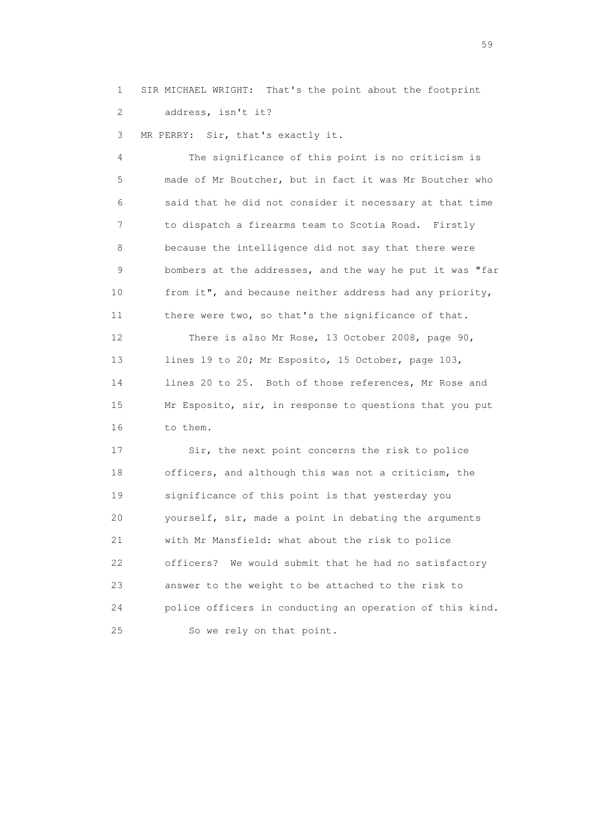1 SIR MICHAEL WRIGHT: That's the point about the footprint 2 address, isn't it?

3 MR PERRY: Sir, that's exactly it.

 4 The significance of this point is no criticism is 5 made of Mr Boutcher, but in fact it was Mr Boutcher who 6 said that he did not consider it necessary at that time 7 to dispatch a firearms team to Scotia Road. Firstly 8 because the intelligence did not say that there were 9 bombers at the addresses, and the way he put it was "far 10 from it", and because neither address had any priority, 11 there were two, so that's the significance of that. 12 There is also Mr Rose, 13 October 2008, page 90,

13 lines 19 to 20; Mr Esposito, 15 October, page 103, 14 lines 20 to 25. Both of those references, Mr Rose and 15 Mr Esposito, sir, in response to questions that you put 16 to them.

17 Sir, the next point concerns the risk to police 18 officers, and although this was not a criticism, the 19 significance of this point is that yesterday you 20 yourself, sir, made a point in debating the arguments 21 with Mr Mansfield: what about the risk to police 22 officers? We would submit that he had no satisfactory 23 answer to the weight to be attached to the risk to 24 police officers in conducting an operation of this kind. 25 So we rely on that point.

 $59<sub>2</sub>$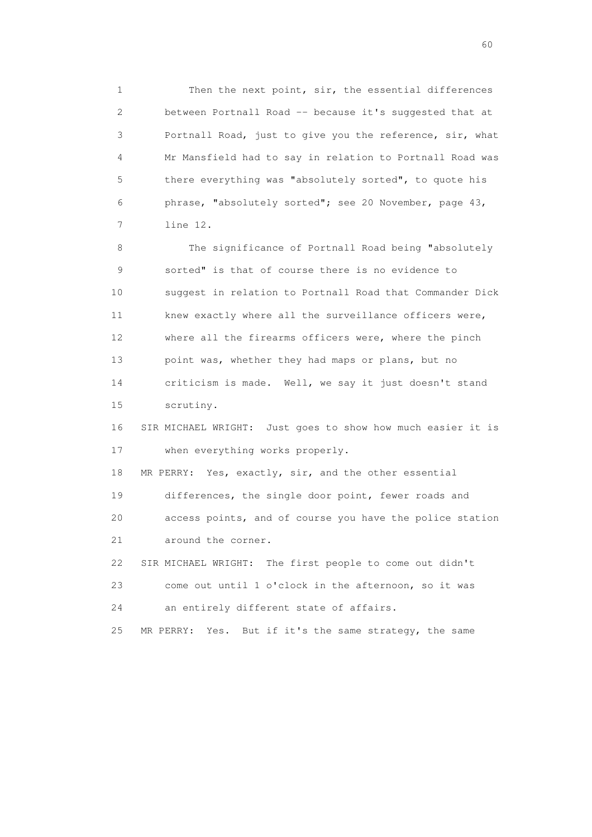1 Then the next point, sir, the essential differences 2 between Portnall Road -- because it's suggested that at 3 Portnall Road, just to give you the reference, sir, what 4 Mr Mansfield had to say in relation to Portnall Road was 5 there everything was "absolutely sorted", to quote his 6 phrase, "absolutely sorted"; see 20 November, page 43, 7 line 12.

 8 The significance of Portnall Road being "absolutely 9 sorted" is that of course there is no evidence to 10 suggest in relation to Portnall Road that Commander Dick 11 knew exactly where all the surveillance officers were, 12 where all the firearms officers were, where the pinch 13 point was, whether they had maps or plans, but no 14 criticism is made. Well, we say it just doesn't stand 15 scrutiny.

 16 SIR MICHAEL WRIGHT: Just goes to show how much easier it is 17 when everything works properly.

 18 MR PERRY: Yes, exactly, sir, and the other essential 19 differences, the single door point, fewer roads and 20 access points, and of course you have the police station 21 around the corner.

 22 SIR MICHAEL WRIGHT: The first people to come out didn't 23 come out until 1 o'clock in the afternoon, so it was 24 an entirely different state of affairs.

25 MR PERRY: Yes. But if it's the same strategy, the same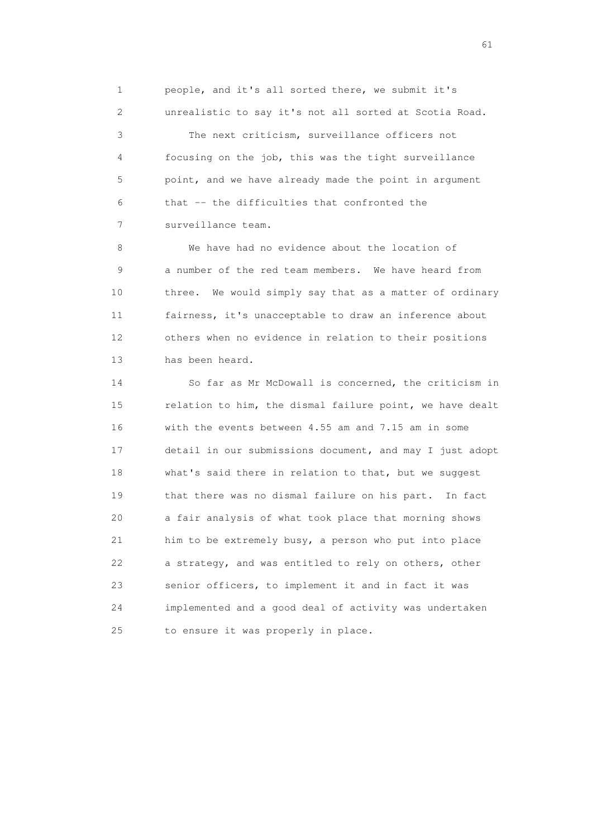1 people, and it's all sorted there, we submit it's 2 unrealistic to say it's not all sorted at Scotia Road.

 3 The next criticism, surveillance officers not 4 focusing on the job, this was the tight surveillance 5 point, and we have already made the point in argument 6 that -- the difficulties that confronted the 7 surveillance team.

 8 We have had no evidence about the location of 9 a number of the red team members. We have heard from 10 three. We would simply say that as a matter of ordinary 11 fairness, it's unacceptable to draw an inference about 12 others when no evidence in relation to their positions 13 has been heard.

 14 So far as Mr McDowall is concerned, the criticism in 15 relation to him, the dismal failure point, we have dealt 16 with the events between 4.55 am and 7.15 am in some 17 detail in our submissions document, and may I just adopt 18 what's said there in relation to that, but we suggest 19 that there was no dismal failure on his part. In fact 20 a fair analysis of what took place that morning shows 21 him to be extremely busy, a person who put into place 22 a strategy, and was entitled to rely on others, other 23 senior officers, to implement it and in fact it was 24 implemented and a good deal of activity was undertaken 25 to ensure it was properly in place.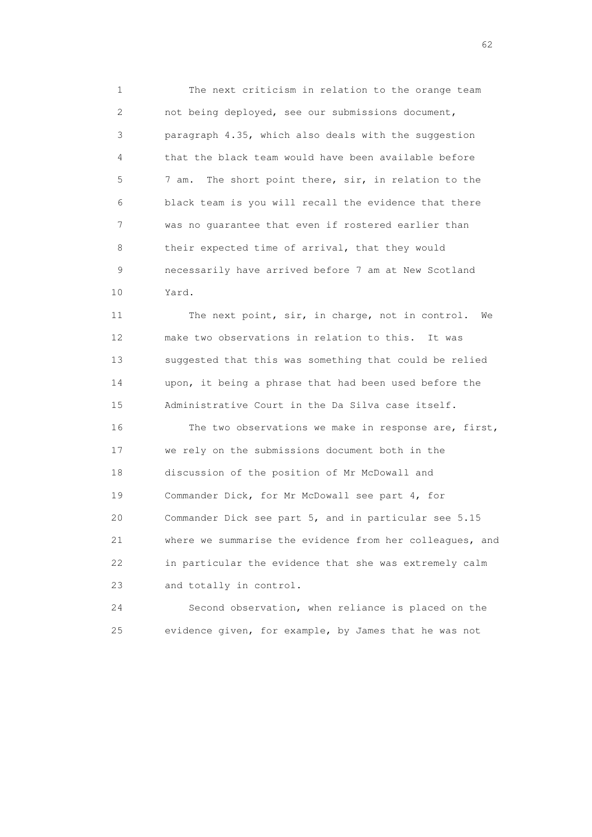1 The next criticism in relation to the orange team 2 not being deployed, see our submissions document, 3 paragraph 4.35, which also deals with the suggestion 4 that the black team would have been available before 5 7 am. The short point there, sir, in relation to the 6 black team is you will recall the evidence that there 7 was no guarantee that even if rostered earlier than 8 their expected time of arrival, that they would 9 necessarily have arrived before 7 am at New Scotland 10 Yard.

 11 The next point, sir, in charge, not in control. We 12 make two observations in relation to this. It was 13 suggested that this was something that could be relied 14 upon, it being a phrase that had been used before the 15 Administrative Court in the Da Silva case itself. 16 The two observations we make in response are, first, 17 we rely on the submissions document both in the 18 discussion of the position of Mr McDowall and 19 Commander Dick, for Mr McDowall see part 4, for 20 Commander Dick see part 5, and in particular see 5.15

 21 where we summarise the evidence from her colleagues, and 22 in particular the evidence that she was extremely calm 23 and totally in control.

 24 Second observation, when reliance is placed on the 25 evidence given, for example, by James that he was not

 $\sim$  62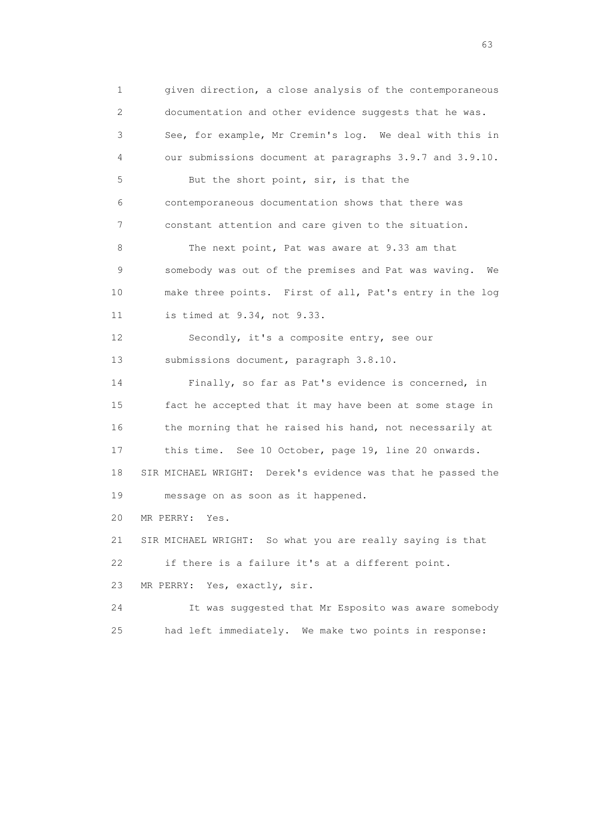1 given direction, a close analysis of the contemporaneous 2 documentation and other evidence suggests that he was. 3 See, for example, Mr Cremin's log. We deal with this in 4 our submissions document at paragraphs 3.9.7 and 3.9.10. 5 But the short point, sir, is that the 6 contemporaneous documentation shows that there was 7 constant attention and care given to the situation. 8 The next point, Pat was aware at 9.33 am that 9 somebody was out of the premises and Pat was waving. We 10 make three points. First of all, Pat's entry in the log 11 is timed at 9.34, not 9.33. 12 Secondly, it's a composite entry, see our 13 submissions document, paragraph 3.8.10. 14 Finally, so far as Pat's evidence is concerned, in 15 fact he accepted that it may have been at some stage in 16 the morning that he raised his hand, not necessarily at 17 this time. See 10 October, page 19, line 20 onwards. 18 SIR MICHAEL WRIGHT: Derek's evidence was that he passed the 19 message on as soon as it happened. 20 MR PERRY: Yes. 21 SIR MICHAEL WRIGHT: So what you are really saying is that 22 if there is a failure it's at a different point. 23 MR PERRY: Yes, exactly, sir. 24 It was suggested that Mr Esposito was aware somebody 25 had left immediately. We make two points in response:

experience of the contract of the contract of the contract of the contract of the contract of the contract of the contract of the contract of the contract of the contract of the contract of the contract of the contract of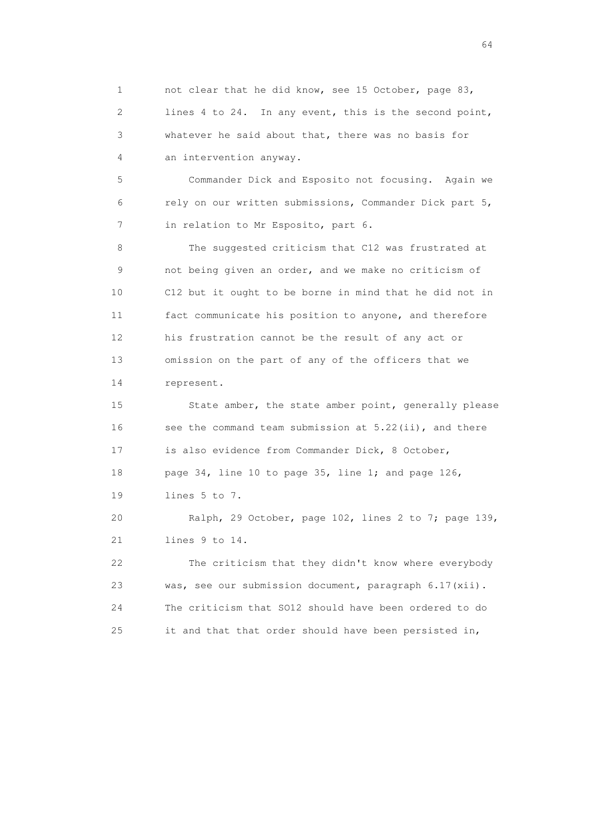1 not clear that he did know, see 15 October, page 83, 2 lines 4 to 24. In any event, this is the second point, 3 whatever he said about that, there was no basis for 4 an intervention anyway.

 5 Commander Dick and Esposito not focusing. Again we 6 rely on our written submissions, Commander Dick part 5, 7 in relation to Mr Esposito, part 6.

8 The suggested criticism that C12 was frustrated at 9 not being given an order, and we make no criticism of 10 C12 but it ought to be borne in mind that he did not in 11 fact communicate his position to anyone, and therefore 12 his frustration cannot be the result of any act or 13 omission on the part of any of the officers that we 14 represent.

 15 State amber, the state amber point, generally please 16 see the command team submission at 5.22(ii), and there 17 is also evidence from Commander Dick, 8 October, 18 page 34, line 10 to page 35, line 1; and page 126, 19 lines 5 to 7.

 20 Ralph, 29 October, page 102, lines 2 to 7; page 139, 21 lines 9 to 14.

 22 The criticism that they didn't know where everybody 23 was, see our submission document, paragraph 6.17(xii). 24 The criticism that SO12 should have been ordered to do 25 it and that that order should have been persisted in,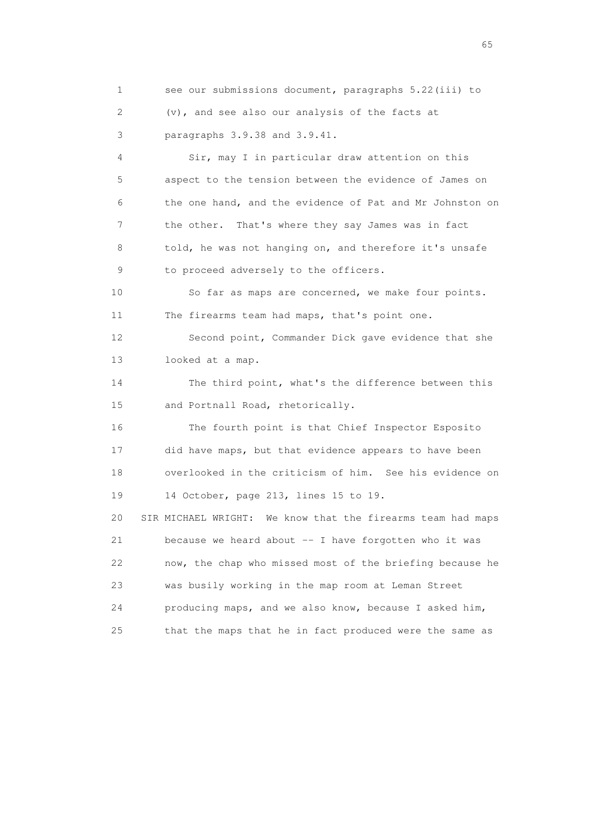1 see our submissions document, paragraphs 5.22(iii) to 2 (v), and see also our analysis of the facts at 3 paragraphs 3.9.38 and 3.9.41.

 4 Sir, may I in particular draw attention on this 5 aspect to the tension between the evidence of James on 6 the one hand, and the evidence of Pat and Mr Johnston on 7 the other. That's where they say James was in fact 8 told, he was not hanging on, and therefore it's unsafe 9 to proceed adversely to the officers.

 10 So far as maps are concerned, we make four points. 11 The firearms team had maps, that's point one.

 12 Second point, Commander Dick gave evidence that she 13 looked at a map.

 14 The third point, what's the difference between this 15 and Portnall Road, rhetorically.

 16 The fourth point is that Chief Inspector Esposito 17 did have maps, but that evidence appears to have been 18 overlooked in the criticism of him. See his evidence on 19 14 October, page 213, lines 15 to 19.

 20 SIR MICHAEL WRIGHT: We know that the firearms team had maps 21 because we heard about -- I have forgotten who it was 22 now, the chap who missed most of the briefing because he 23 was busily working in the map room at Leman Street 24 producing maps, and we also know, because I asked him, 25 that the maps that he in fact produced were the same as

 $\sim$  65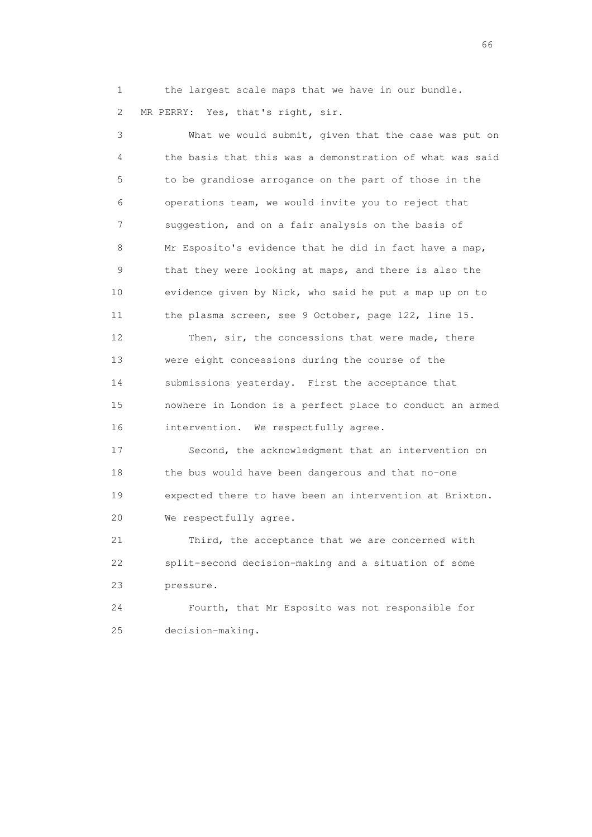1 the largest scale maps that we have in our bundle. 2 MR PERRY: Yes, that's right, sir.

 3 What we would submit, given that the case was put on 4 the basis that this was a demonstration of what was said 5 to be grandiose arrogance on the part of those in the 6 operations team, we would invite you to reject that 7 suggestion, and on a fair analysis on the basis of 8 Mr Esposito's evidence that he did in fact have a map, 9 that they were looking at maps, and there is also the 10 evidence given by Nick, who said he put a map up on to 11 the plasma screen, see 9 October, page 122, line 15. 12 Then, sir, the concessions that were made, there

 13 were eight concessions during the course of the 14 submissions yesterday. First the acceptance that 15 nowhere in London is a perfect place to conduct an armed 16 intervention. We respectfully agree.

 17 Second, the acknowledgment that an intervention on 18 the bus would have been dangerous and that no-one 19 expected there to have been an intervention at Brixton. 20 We respectfully agree.

 21 Third, the acceptance that we are concerned with 22 split-second decision-making and a situation of some 23 pressure.

 24 Fourth, that Mr Esposito was not responsible for 25 decision-making.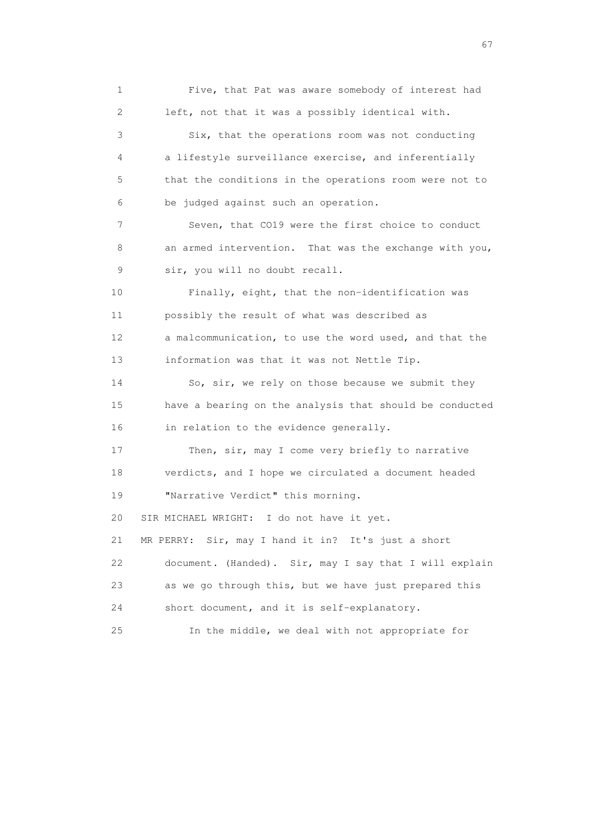1 Five, that Pat was aware somebody of interest had 2 left, not that it was a possibly identical with. 3 Six, that the operations room was not conducting 4 a lifestyle surveillance exercise, and inferentially 5 that the conditions in the operations room were not to 6 be judged against such an operation. 7 Seven, that CO19 were the first choice to conduct 8 an armed intervention. That was the exchange with you, 9 sir, you will no doubt recall. 10 Finally, eight, that the non-identification was 11 possibly the result of what was described as 12 a malcommunication, to use the word used, and that the 13 information was that it was not Nettle Tip. 14 So, sir, we rely on those because we submit they 15 have a bearing on the analysis that should be conducted 16 in relation to the evidence generally. 17 Then, sir, may I come very briefly to narrative 18 verdicts, and I hope we circulated a document headed 19 "Narrative Verdict" this morning. 20 SIR MICHAEL WRIGHT: I do not have it yet. 21 MR PERRY: Sir, may I hand it in? It's just a short 22 document. (Handed). Sir, may I say that I will explain 23 as we go through this, but we have just prepared this 24 short document, and it is self-explanatory. 25 In the middle, we deal with not appropriate for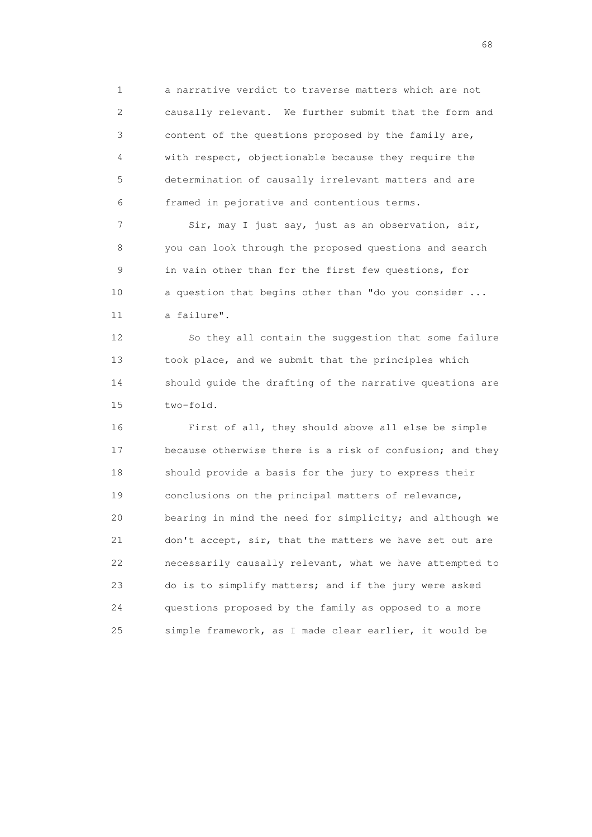1 a narrative verdict to traverse matters which are not 2 causally relevant. We further submit that the form and 3 content of the questions proposed by the family are, 4 with respect, objectionable because they require the 5 determination of causally irrelevant matters and are 6 framed in pejorative and contentious terms.

7 Sir, may I just say, just as an observation, sir, 8 you can look through the proposed questions and search 9 in vain other than for the first few questions, for 10 a question that begins other than "do you consider ... 11 a failure".

 12 So they all contain the suggestion that some failure 13 took place, and we submit that the principles which 14 should guide the drafting of the narrative questions are 15 two-fold.

 16 First of all, they should above all else be simple 17 because otherwise there is a risk of confusion; and they 18 should provide a basis for the jury to express their 19 conclusions on the principal matters of relevance, 20 bearing in mind the need for simplicity; and although we 21 don't accept, sir, that the matters we have set out are 22 necessarily causally relevant, what we have attempted to 23 do is to simplify matters; and if the jury were asked 24 questions proposed by the family as opposed to a more 25 simple framework, as I made clear earlier, it would be

entration of the contract of the contract of the contract of the contract of the contract of the contract of the contract of the contract of the contract of the contract of the contract of the contract of the contract of t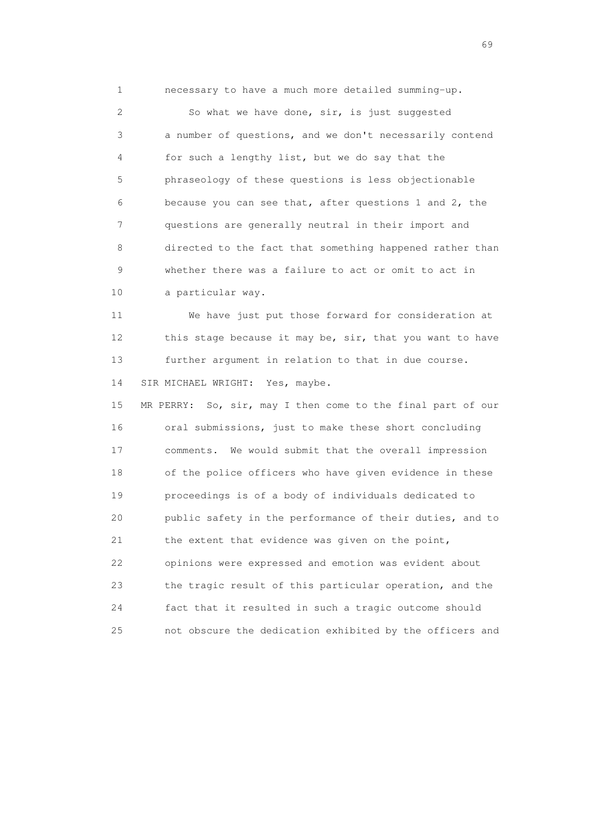1 necessary to have a much more detailed summing-up.

 2 So what we have done, sir, is just suggested 3 a number of questions, and we don't necessarily contend 4 for such a lengthy list, but we do say that the 5 phraseology of these questions is less objectionable 6 because you can see that, after questions 1 and 2, the 7 questions are generally neutral in their import and 8 directed to the fact that something happened rather than 9 whether there was a failure to act or omit to act in 10 a particular way.

 11 We have just put those forward for consideration at 12 this stage because it may be, sir, that you want to have 13 further argument in relation to that in due course. 14 SIR MICHAEL WRIGHT: Yes, maybe.

 15 MR PERRY: So, sir, may I then come to the final part of our 16 oral submissions, just to make these short concluding 17 comments. We would submit that the overall impression 18 of the police officers who have given evidence in these 19 proceedings is of a body of individuals dedicated to 20 public safety in the performance of their duties, and to 21 the extent that evidence was given on the point, 22 opinions were expressed and emotion was evident about 23 the tragic result of this particular operation, and the 24 fact that it resulted in such a tragic outcome should 25 not obscure the dedication exhibited by the officers and

entral de la construction de la construction de la construction de la construction de la construction de la co<br>1990 : la construction de la construction de la construction de la construction de la construction de la const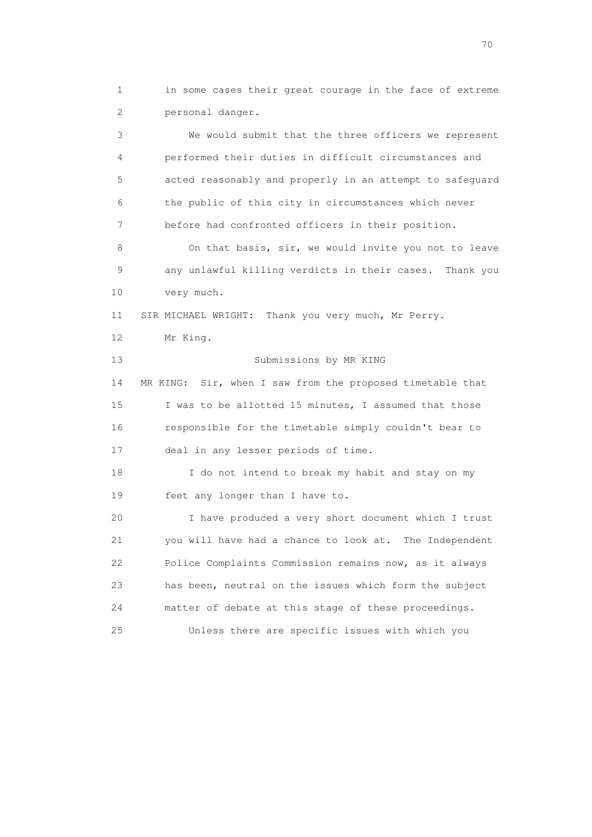1 in some cases their great courage in the face of extreme 2 personal danger.

 3 We would submit that the three officers we represent 4 performed their duties in difficult circumstances and 5 acted reasonably and properly in an attempt to safeguard 6 the public of this city in circumstances which never 7 before had confronted officers in their position. 8 On that basis, sir, we would invite you not to leave 9 any unlawful killing verdicts in their cases. Thank you 10 very much. 11 SIR MICHAEL WRIGHT: Thank you very much, Mr Perry. 12 Mr King. 13 Submissions by MR KING 14 MR KING: Sir, when I saw from the proposed timetable that 15 I was to be allotted 15 minutes, I assumed that those 16 responsible for the timetable simply couldn't bear to 17 deal in any lesser periods of time. 18 I do not intend to break my habit and stay on my 19 feet any longer than I have to. 20 I have produced a very short document which I trust 21 you will have had a chance to look at. The Independent 22 Police Complaints Commission remains now, as it always 23 has been, neutral on the issues which form the subject 24 matter of debate at this stage of these proceedings. 25 Unless there are specific issues with which you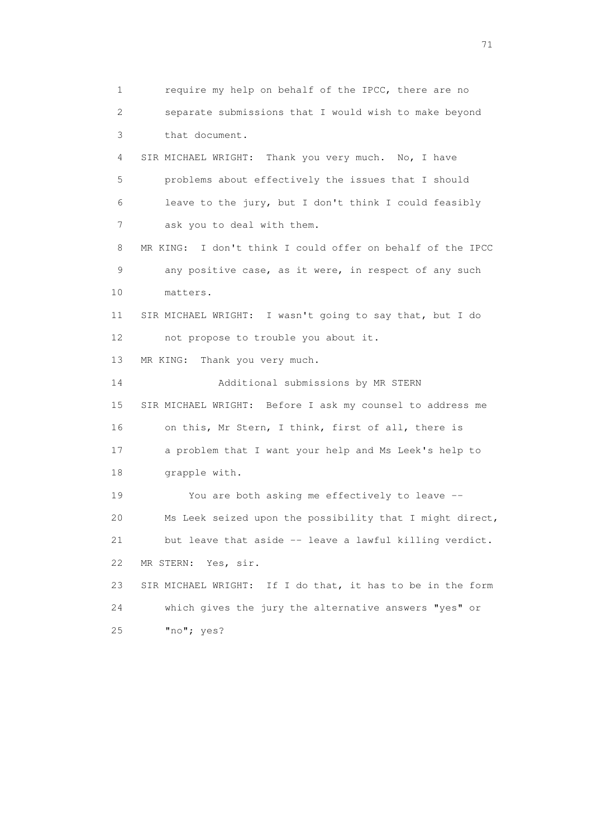1 require my help on behalf of the IPCC, there are no 2 separate submissions that I would wish to make beyond 3 that document. 4 SIR MICHAEL WRIGHT: Thank you very much. No, I have 5 problems about effectively the issues that I should 6 leave to the jury, but I don't think I could feasibly 7 ask you to deal with them. 8 MR KING: I don't think I could offer on behalf of the IPCC 9 any positive case, as it were, in respect of any such 10 matters. 11 SIR MICHAEL WRIGHT: I wasn't going to say that, but I do 12 not propose to trouble you about it. 13 MR KING: Thank you very much. 14 Additional submissions by MR STERN 15 SIR MICHAEL WRIGHT: Before I ask my counsel to address me 16 on this, Mr Stern, I think, first of all, there is 17 a problem that I want your help and Ms Leek's help to 18 grapple with. 19 You are both asking me effectively to leave -- 20 Ms Leek seized upon the possibility that I might direct, 21 but leave that aside -- leave a lawful killing verdict. 22 MR STERN: Yes, sir. 23 SIR MICHAEL WRIGHT: If I do that, it has to be in the form 24 which gives the jury the alternative answers "yes" or 25 "no"; yes?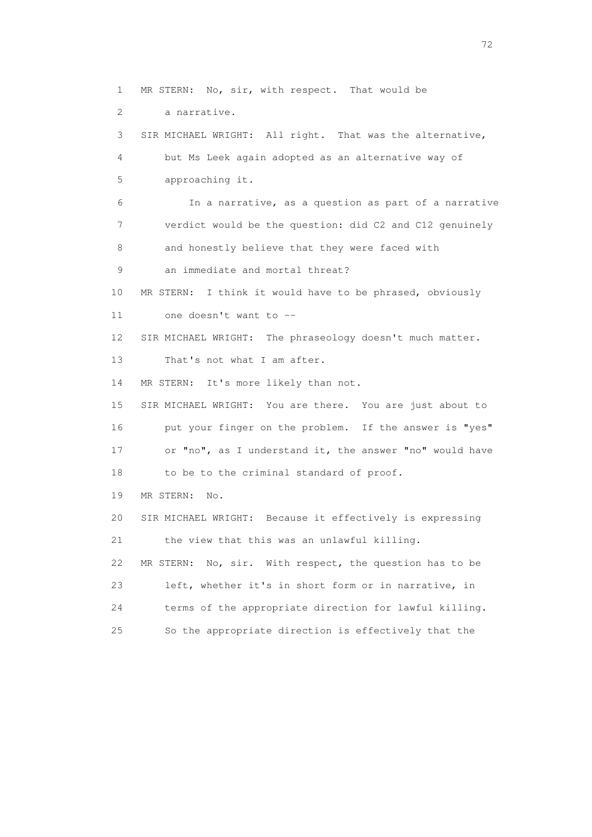2 a narrative. 3 SIR MICHAEL WRIGHT: All right. That was the alternative, 4 but Ms Leek again adopted as an alternative way of 5 approaching it. 6 In a narrative, as a question as part of a narrative

1 MR STERN: No, sir, with respect. That would be

 7 verdict would be the question: did C2 and C12 genuinely 8 and honestly believe that they were faced with

- 9 an immediate and mortal threat?
- 10 MR STERN: I think it would have to be phrased, obviously 11 one doesn't want to --

12 SIR MICHAEL WRIGHT: The phraseology doesn't much matter.

13 That's not what I am after.

14 MR STERN: It's more likely than not.

 15 SIR MICHAEL WRIGHT: You are there. You are just about to 16 put your finger on the problem. If the answer is "yes" 17 or "no", as I understand it, the answer "no" would have 18 to be to the criminal standard of proof.

19 MR STERN: No.

 20 SIR MICHAEL WRIGHT: Because it effectively is expressing 21 the view that this was an unlawful killing. 22 MR STERN: No, sir. With respect, the question has to be

 23 left, whether it's in short form or in narrative, in 24 terms of the appropriate direction for lawful killing. 25 So the appropriate direction is effectively that the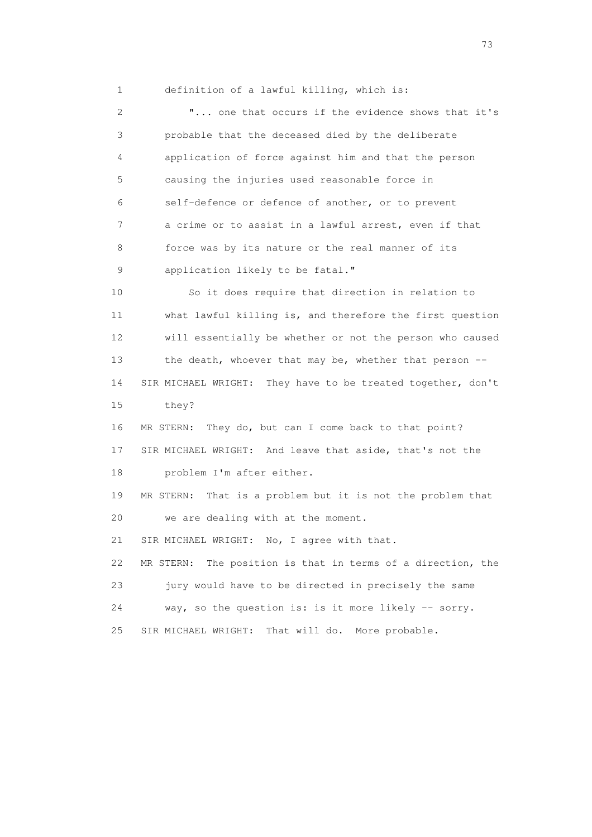1 definition of a lawful killing, which is:

 2 "... one that occurs if the evidence shows that it's 3 probable that the deceased died by the deliberate 4 application of force against him and that the person 5 causing the injuries used reasonable force in 6 self-defence or defence of another, or to prevent 7 a crime or to assist in a lawful arrest, even if that 8 force was by its nature or the real manner of its 9 application likely to be fatal." 10 So it does require that direction in relation to 11 what lawful killing is, and therefore the first question 12 will essentially be whether or not the person who caused 13 the death, whoever that may be, whether that person -- 14 SIR MICHAEL WRIGHT: They have to be treated together, don't 15 they? 16 MR STERN: They do, but can I come back to that point? 17 SIR MICHAEL WRIGHT: And leave that aside, that's not the 18 problem I'm after either. 19 MR STERN: That is a problem but it is not the problem that 20 we are dealing with at the moment. 21 SIR MICHAEL WRIGHT: No, I agree with that. 22 MR STERN: The position is that in terms of a direction, the 23 jury would have to be directed in precisely the same 24 way, so the question is: is it more likely -- sorry. 25 SIR MICHAEL WRIGHT: That will do. More probable.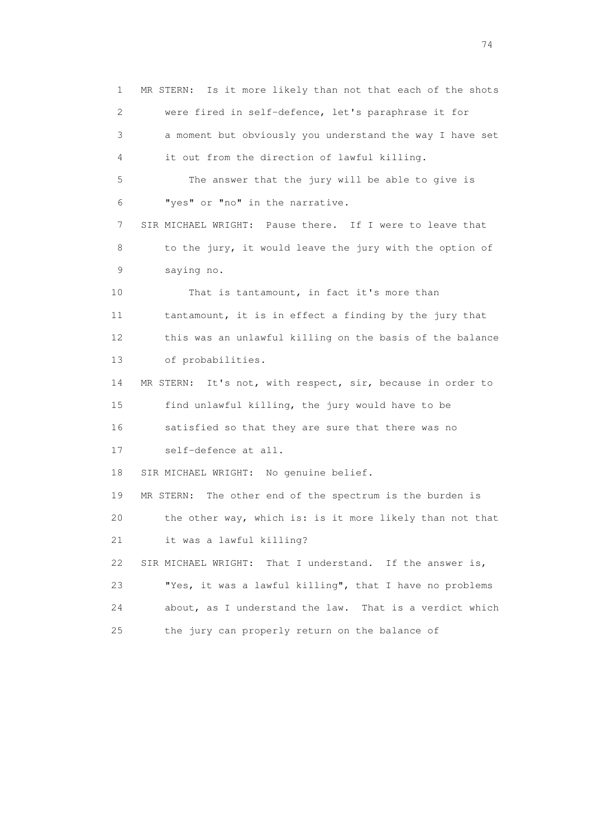1 MR STERN: Is it more likely than not that each of the shots 2 were fired in self-defence, let's paraphrase it for 3 a moment but obviously you understand the way I have set 4 it out from the direction of lawful killing. 5 The answer that the jury will be able to give is 6 "yes" or "no" in the narrative. 7 SIR MICHAEL WRIGHT: Pause there. If I were to leave that 8 to the jury, it would leave the jury with the option of 9 saying no. 10 That is tantamount, in fact it's more than 11 tantamount, it is in effect a finding by the jury that 12 this was an unlawful killing on the basis of the balance 13 of probabilities. 14 MR STERN: It's not, with respect, sir, because in order to 15 find unlawful killing, the jury would have to be 16 satisfied so that they are sure that there was no 17 self-defence at all. 18 SIR MICHAEL WRIGHT: No genuine belief. 19 MR STERN: The other end of the spectrum is the burden is 20 the other way, which is: is it more likely than not that 21 it was a lawful killing? 22 SIR MICHAEL WRIGHT: That I understand. If the answer is, 23 "Yes, it was a lawful killing", that I have no problems 24 about, as I understand the law. That is a verdict which 25 the jury can properly return on the balance of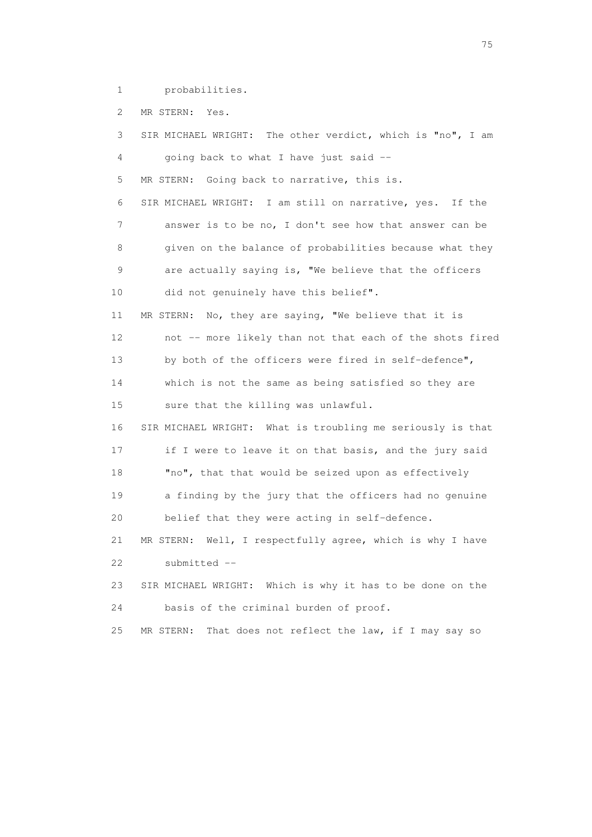1 probabilities.

2 MR STERN: Yes.

 3 SIR MICHAEL WRIGHT: The other verdict, which is "no", I am 4 going back to what I have just said -- 5 MR STERN: Going back to narrative, this is. 6 SIR MICHAEL WRIGHT: I am still on narrative, yes. If the 7 answer is to be no, I don't see how that answer can be 8 given on the balance of probabilities because what they 9 are actually saying is, "We believe that the officers 10 did not genuinely have this belief". 11 MR STERN: No, they are saying, "We believe that it is 12 not -- more likely than not that each of the shots fired 13 by both of the officers were fired in self-defence", 14 which is not the same as being satisfied so they are 15 sure that the killing was unlawful. 16 SIR MICHAEL WRIGHT: What is troubling me seriously is that 17 if I were to leave it on that basis, and the jury said 18 "no", that that would be seized upon as effectively 19 a finding by the jury that the officers had no genuine 20 belief that they were acting in self-defence. 21 MR STERN: Well, I respectfully agree, which is why I have 22 submitted -- 23 SIR MICHAEL WRIGHT: Which is why it has to be done on the 24 basis of the criminal burden of proof. 25 MR STERN: That does not reflect the law, if I may say so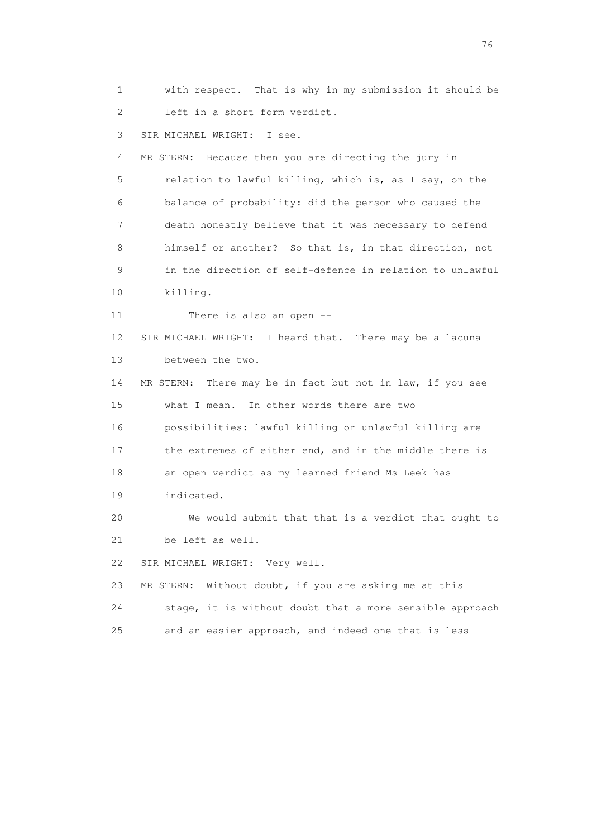1 with respect. That is why in my submission it should be 2 left in a short form verdict. 3 SIR MICHAEL WRIGHT: I see. 4 MR STERN: Because then you are directing the jury in 5 relation to lawful killing, which is, as I say, on the 6 balance of probability: did the person who caused the 7 death honestly believe that it was necessary to defend 8 himself or another? So that is, in that direction, not 9 in the direction of self-defence in relation to unlawful 10 killing. 11 There is also an open -- 12 SIR MICHAEL WRIGHT: I heard that. There may be a lacuna 13 between the two. 14 MR STERN: There may be in fact but not in law, if you see 15 what I mean. In other words there are two 16 possibilities: lawful killing or unlawful killing are 17 the extremes of either end, and in the middle there is 18 an open verdict as my learned friend Ms Leek has 19 indicated. 20 We would submit that that is a verdict that ought to 21 be left as well. 22 SIR MICHAEL WRIGHT: Very well. 23 MR STERN: Without doubt, if you are asking me at this 24 stage, it is without doubt that a more sensible approach 25 and an easier approach, and indeed one that is less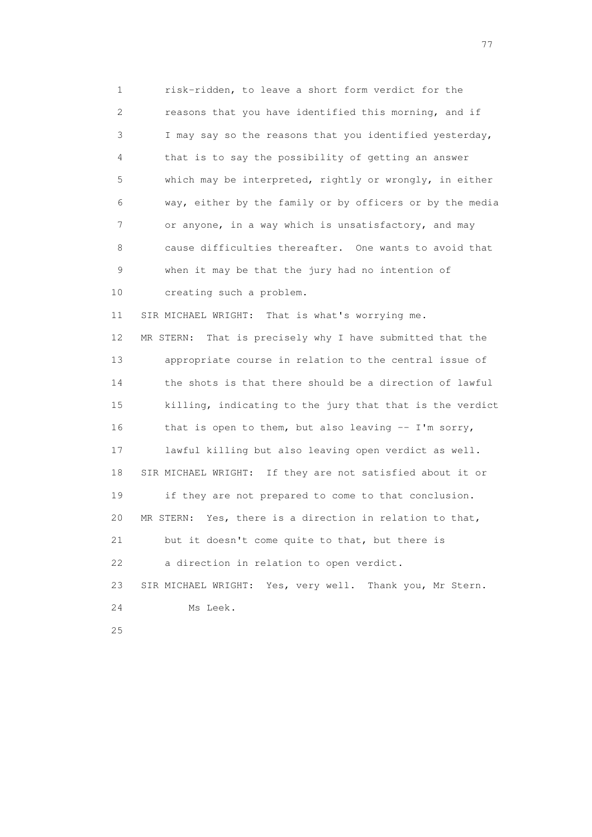1 risk-ridden, to leave a short form verdict for the 2 reasons that you have identified this morning, and if 3 I may say so the reasons that you identified yesterday, 4 that is to say the possibility of getting an answer 5 which may be interpreted, rightly or wrongly, in either 6 way, either by the family or by officers or by the media 7 or anyone, in a way which is unsatisfactory, and may 8 cause difficulties thereafter. One wants to avoid that 9 when it may be that the jury had no intention of 10 creating such a problem. 11 SIR MICHAEL WRIGHT: That is what's worrying me. 12 MR STERN: That is precisely why I have submitted that the 13 appropriate course in relation to the central issue of 14 the shots is that there should be a direction of lawful 15 killing, indicating to the jury that that is the verdict 16 that is open to them, but also leaving -- I'm sorry, 17 lawful killing but also leaving open verdict as well. 18 SIR MICHAEL WRIGHT: If they are not satisfied about it or 19 if they are not prepared to come to that conclusion. 20 MR STERN: Yes, there is a direction in relation to that, 21 but it doesn't come quite to that, but there is 22 a direction in relation to open verdict. 23 SIR MICHAEL WRIGHT: Yes, very well. Thank you, Mr Stern. 24 Ms Leek. 25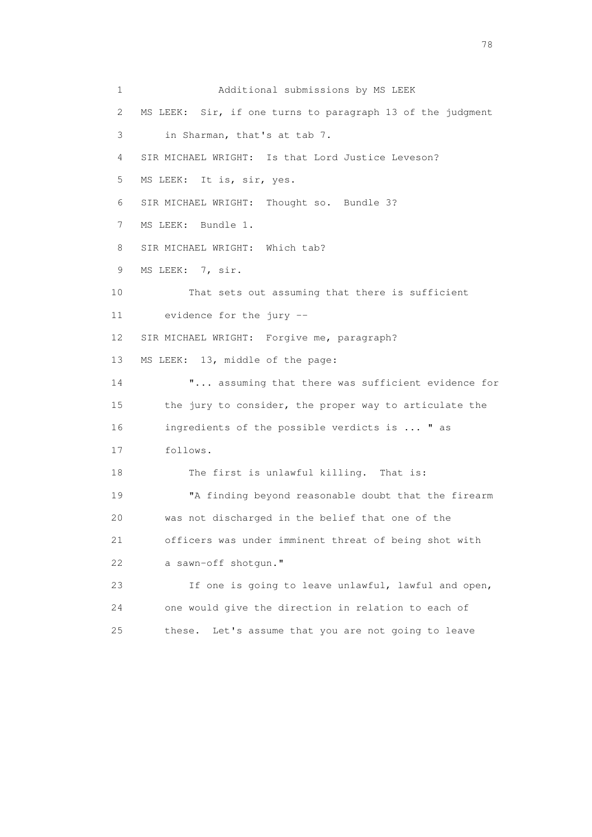1 Additional submissions by MS LEEK 2 MS LEEK: Sir, if one turns to paragraph 13 of the judgment 3 in Sharman, that's at tab 7. 4 SIR MICHAEL WRIGHT: Is that Lord Justice Leveson? 5 MS LEEK: It is, sir, yes. 6 SIR MICHAEL WRIGHT: Thought so. Bundle 3? 7 MS LEEK: Bundle 1. 8 SIR MICHAEL WRIGHT: Which tab? 9 MS LEEK: 7, sir. 10 That sets out assuming that there is sufficient 11 evidence for the jury -- 12 SIR MICHAEL WRIGHT: Forgive me, paragraph? 13 MS LEEK: 13, middle of the page: 14 **"...** assuming that there was sufficient evidence for 15 the jury to consider, the proper way to articulate the 16 ingredients of the possible verdicts is ... " as 17 follows. 18 The first is unlawful killing. That is: 19 "A finding beyond reasonable doubt that the firearm 20 was not discharged in the belief that one of the 21 officers was under imminent threat of being shot with 22 a sawn-off shotgun." 23 If one is going to leave unlawful, lawful and open, 24 one would give the direction in relation to each of 25 these. Let's assume that you are not going to leave

n and the state of the state of the state of the state of the state of the state of the state of the state of the state of the state of the state of the state of the state of the state of the state of the state of the stat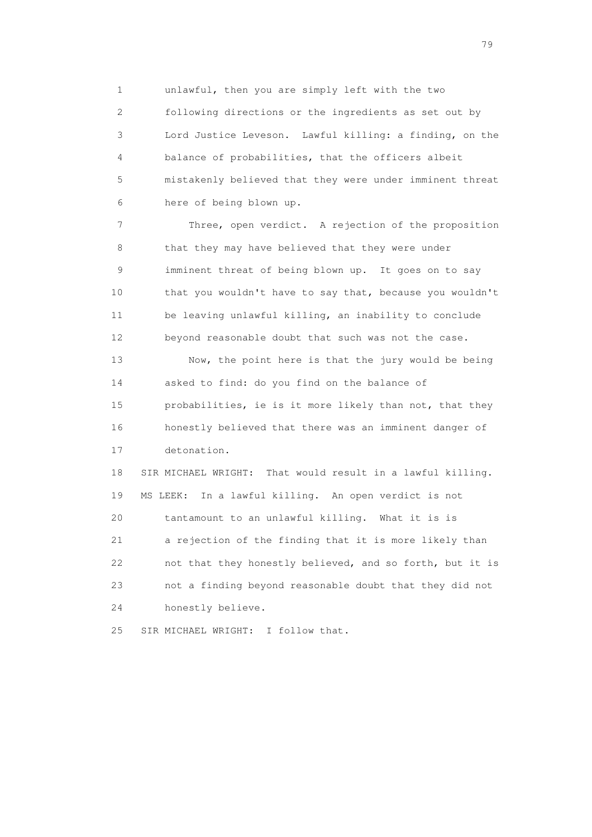1 unlawful, then you are simply left with the two

 2 following directions or the ingredients as set out by 3 Lord Justice Leveson. Lawful killing: a finding, on the 4 balance of probabilities, that the officers albeit 5 mistakenly believed that they were under imminent threat 6 here of being blown up.

 7 Three, open verdict. A rejection of the proposition 8 that they may have believed that they were under 9 imminent threat of being blown up. It goes on to say 10 that you wouldn't have to say that, because you wouldn't 11 be leaving unlawful killing, an inability to conclude 12 beyond reasonable doubt that such was not the case. 13 Now, the point here is that the jury would be being 14 asked to find: do you find on the balance of 15 probabilities, ie is it more likely than not, that they 16 honestly believed that there was an imminent danger of 17 detonation. 18 SIR MICHAEL WRIGHT: That would result in a lawful killing. 19 MS LEEK: In a lawful killing. An open verdict is not 20 tantamount to an unlawful killing. What it is is 21 a rejection of the finding that it is more likely than 22 not that they honestly believed, and so forth, but it is 23 not a finding beyond reasonable doubt that they did not

24 honestly believe.

25 SIR MICHAEL WRIGHT: I follow that.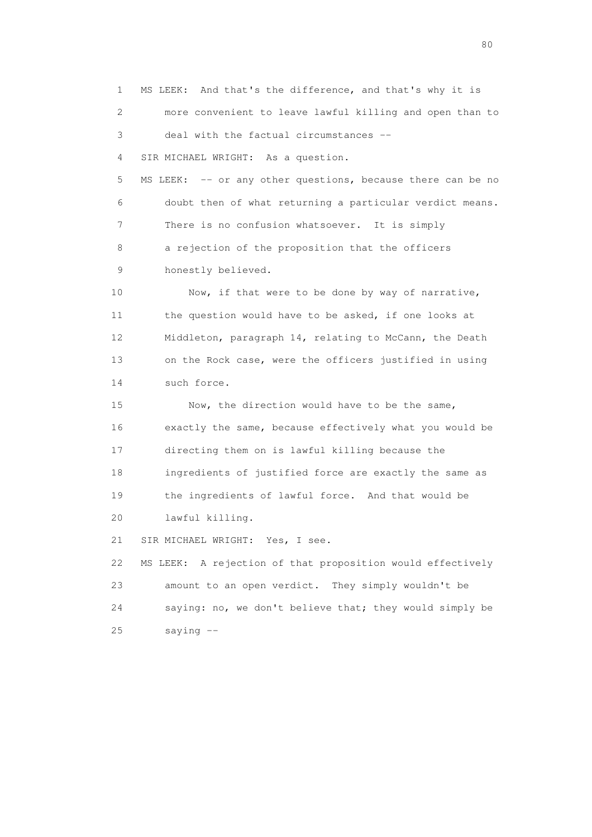1 MS LEEK: And that's the difference, and that's why it is 2 more convenient to leave lawful killing and open than to 3 deal with the factual circumstances -- 4 SIR MICHAEL WRIGHT: As a question. 5 MS LEEK: -- or any other questions, because there can be no 6 doubt then of what returning a particular verdict means. 7 There is no confusion whatsoever. It is simply 8 a rejection of the proposition that the officers 9 honestly believed. 10 Now, if that were to be done by way of narrative, 11 the question would have to be asked, if one looks at 12 Middleton, paragraph 14, relating to McCann, the Death 13 on the Rock case, were the officers justified in using 14 such force. 15 Now, the direction would have to be the same, 16 exactly the same, because effectively what you would be 17 directing them on is lawful killing because the 18 ingredients of justified force are exactly the same as 19 the ingredients of lawful force. And that would be 20 lawful killing. 21 SIR MICHAEL WRIGHT: Yes, I see. 22 MS LEEK: A rejection of that proposition would effectively 23 amount to an open verdict. They simply wouldn't be 24 saying: no, we don't believe that; they would simply be 25 saying --

entration of the state of the state of the state of the state of the state of the state of the state of the state of the state of the state of the state of the state of the state of the state of the state of the state of t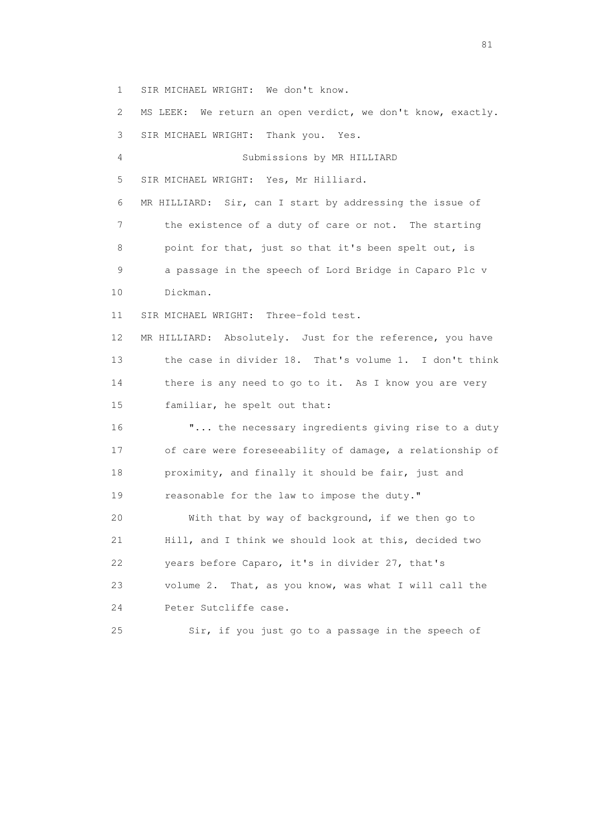1 SIR MICHAEL WRIGHT: We don't know.

 2 MS LEEK: We return an open verdict, we don't know, exactly. 3 SIR MICHAEL WRIGHT: Thank you. Yes. 4 Submissions by MR HILLIARD 5 SIR MICHAEL WRIGHT: Yes, Mr Hilliard. 6 MR HILLIARD: Sir, can I start by addressing the issue of 7 the existence of a duty of care or not. The starting 8 point for that, just so that it's been spelt out, is 9 a passage in the speech of Lord Bridge in Caparo Plc v 10 Dickman. 11 SIR MICHAEL WRIGHT: Three-fold test. 12 MR HILLIARD: Absolutely. Just for the reference, you have 13 the case in divider 18. That's volume 1. I don't think 14 there is any need to go to it. As I know you are very 15 familiar, he spelt out that: 16 "... the necessary ingredients giving rise to a duty 17 of care were foreseeability of damage, a relationship of 18 proximity, and finally it should be fair, just and 19 reasonable for the law to impose the duty." 20 With that by way of background, if we then go to 21 Hill, and I think we should look at this, decided two 22 years before Caparo, it's in divider 27, that's 23 volume 2. That, as you know, was what I will call the 24 Peter Sutcliffe case.

25 Sir, if you just go to a passage in the speech of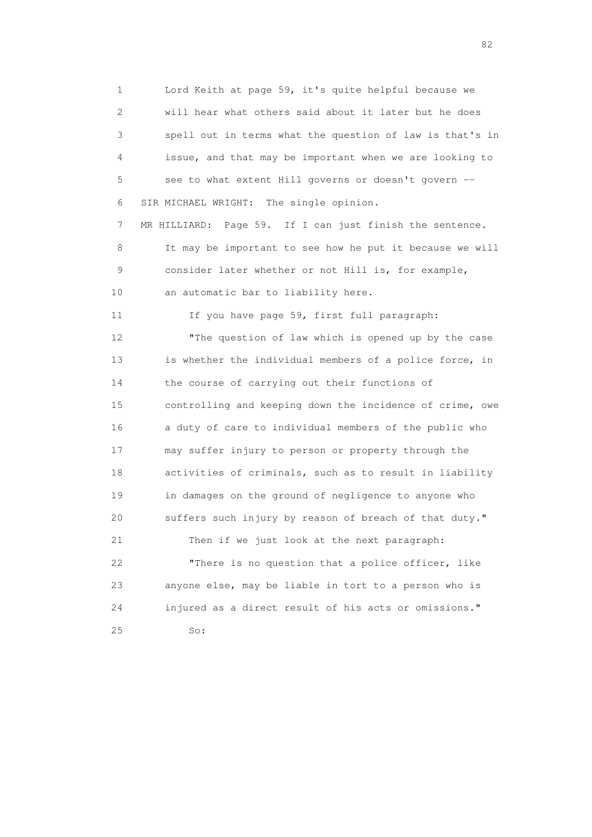1 Lord Keith at page 59, it's quite helpful because we 2 will hear what others said about it later but he does 3 spell out in terms what the question of law is that's in 4 issue, and that may be important when we are looking to 5 see to what extent Hill governs or doesn't govern -- 6 SIR MICHAEL WRIGHT: The single opinion. 7 MR HILLIARD: Page 59. If I can just finish the sentence. 8 It may be important to see how he put it because we will 9 consider later whether or not Hill is, for example, 10 an automatic bar to liability here. 11 If you have page 59, first full paragraph: 12 "The question of law which is opened up by the case 13 is whether the individual members of a police force, in 14 the course of carrying out their functions of 15 controlling and keeping down the incidence of crime, owe 16 a duty of care to individual members of the public who 17 may suffer injury to person or property through the 18 activities of criminals, such as to result in liability 19 in damages on the ground of negligence to anyone who 20 suffers such injury by reason of breach of that duty." 21 Then if we just look at the next paragraph: 22 "There is no question that a police officer, like 23 anyone else, may be liable in tort to a person who is 24 injured as a direct result of his acts or omissions." 25 So:

experience of the state of the state of the state of the state of the state of the state of the state of the s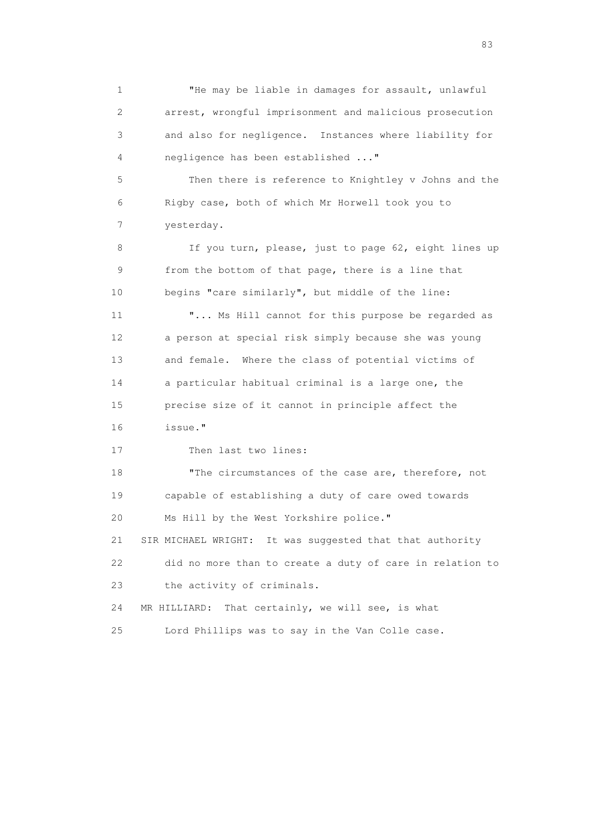1 "He may be liable in damages for assault, unlawful 2 arrest, wrongful imprisonment and malicious prosecution 3 and also for negligence. Instances where liability for 4 negligence has been established ..." 5 Then there is reference to Knightley v Johns and the 6 Rigby case, both of which Mr Horwell took you to 7 yesterday. 8 If you turn, please, just to page 62, eight lines up 9 from the bottom of that page, there is a line that 10 begins "care similarly", but middle of the line: 11 "... Ms Hill cannot for this purpose be regarded as 12 a person at special risk simply because she was young 13 and female. Where the class of potential victims of 14 a particular habitual criminal is a large one, the 15 precise size of it cannot in principle affect the 16 issue." 17 Then last two lines: 18 The circumstances of the case are, therefore, not 19 capable of establishing a duty of care owed towards 20 Ms Hill by the West Yorkshire police." 21 SIR MICHAEL WRIGHT: It was suggested that that authority 22 did no more than to create a duty of care in relation to 23 the activity of criminals.

 24 MR HILLIARD: That certainly, we will see, is what 25 Lord Phillips was to say in the Van Colle case.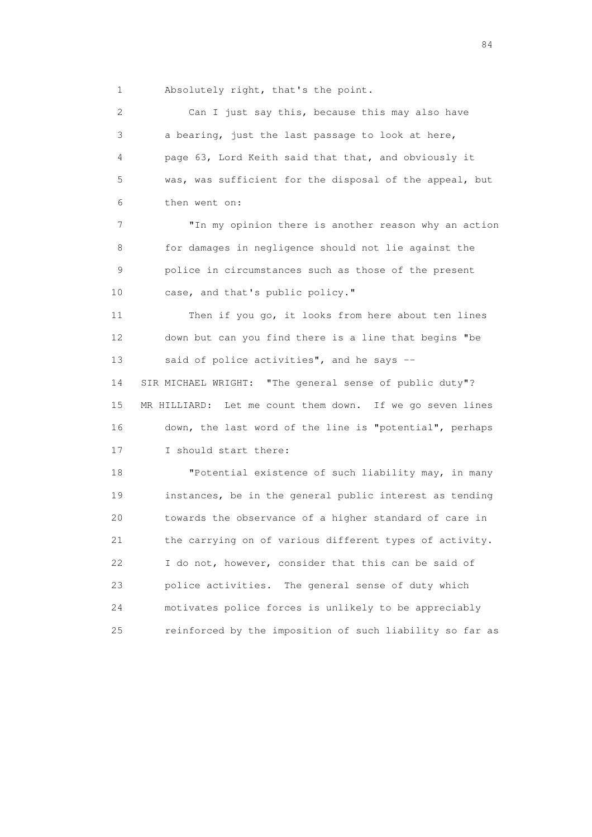1 Absolutely right, that's the point.

 2 Can I just say this, because this may also have 3 a bearing, just the last passage to look at here, 4 page 63, Lord Keith said that that, and obviously it 5 was, was sufficient for the disposal of the appeal, but 6 then went on: 7 "In my opinion there is another reason why an action 8 for damages in negligence should not lie against the 9 police in circumstances such as those of the present 10 case, and that's public policy." 11 Then if you go, it looks from here about ten lines 12 down but can you find there is a line that begins "be 13 said of police activities", and he says -- 14 SIR MICHAEL WRIGHT: "The general sense of public duty"? 15 MR HILLIARD: Let me count them down. If we go seven lines 16 down, the last word of the line is "potential", perhaps 17 I should start there: 18 "Potential existence of such liability may, in many 19 instances, be in the general public interest as tending 20 towards the observance of a higher standard of care in 21 the carrying on of various different types of activity. 22 I do not, however, consider that this can be said of 23 police activities. The general sense of duty which 24 motivates police forces is unlikely to be appreciably 25 reinforced by the imposition of such liability so far as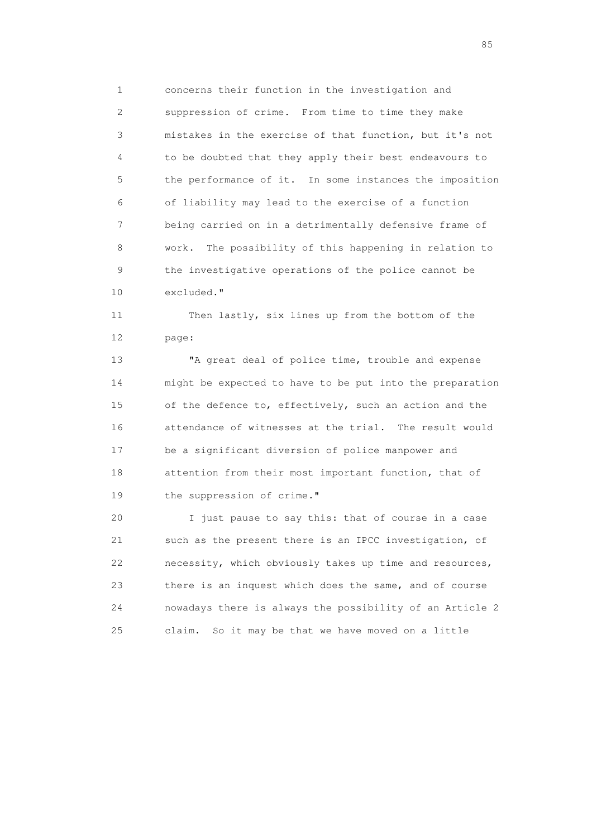1 concerns their function in the investigation and 2 suppression of crime. From time to time they make 3 mistakes in the exercise of that function, but it's not 4 to be doubted that they apply their best endeavours to 5 the performance of it. In some instances the imposition 6 of liability may lead to the exercise of a function 7 being carried on in a detrimentally defensive frame of 8 work. The possibility of this happening in relation to 9 the investigative operations of the police cannot be 10 excluded."

 11 Then lastly, six lines up from the bottom of the 12 page:

 13 "A great deal of police time, trouble and expense 14 might be expected to have to be put into the preparation 15 of the defence to, effectively, such an action and the 16 attendance of witnesses at the trial. The result would 17 be a significant diversion of police manpower and 18 attention from their most important function, that of 19 the suppression of crime."

 20 I just pause to say this: that of course in a case 21 such as the present there is an IPCC investigation, of 22 necessity, which obviously takes up time and resources, 23 there is an inquest which does the same, and of course 24 nowadays there is always the possibility of an Article 2 25 claim. So it may be that we have moved on a little

experience of the contract of the contract of the contract of the contract of the contract of the contract of the contract of the contract of the contract of the contract of the contract of the contract of the contract of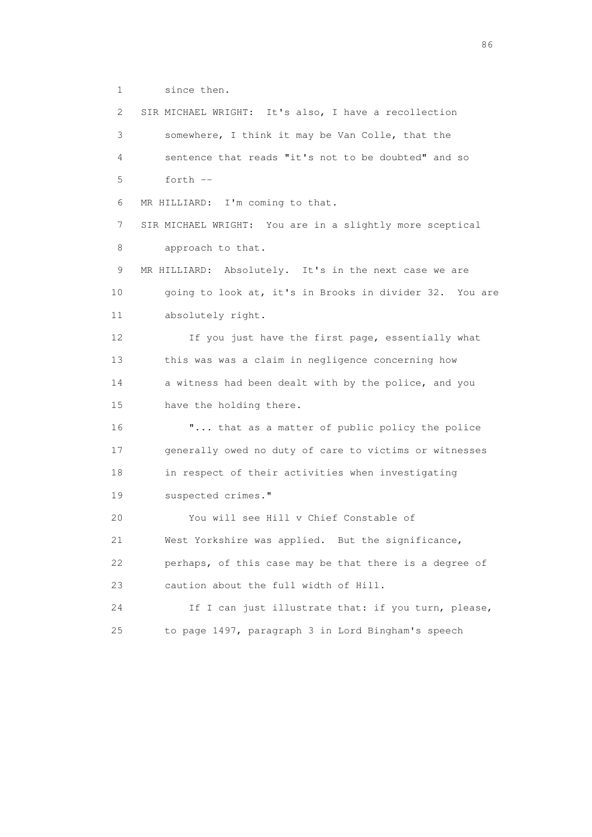1 since then.

 2 SIR MICHAEL WRIGHT: It's also, I have a recollection 3 somewhere, I think it may be Van Colle, that the 4 sentence that reads "it's not to be doubted" and so 5 forth -- 6 MR HILLIARD: I'm coming to that. 7 SIR MICHAEL WRIGHT: You are in a slightly more sceptical 8 approach to that. 9 MR HILLIARD: Absolutely. It's in the next case we are 10 going to look at, it's in Brooks in divider 32. You are 11 absolutely right. 12 If you just have the first page, essentially what 13 this was was a claim in negligence concerning how 14 a witness had been dealt with by the police, and you 15 have the holding there. 16  $\ldots$  that as a matter of public policy the police 17 generally owed no duty of care to victims or witnesses 18 in respect of their activities when investigating 19 suspected crimes." 20 You will see Hill v Chief Constable of 21 West Yorkshire was applied. But the significance, 22 perhaps, of this case may be that there is a degree of 23 caution about the full width of Hill. 24 If I can just illustrate that: if you turn, please, 25 to page 1497, paragraph 3 in Lord Bingham's speech

entration of the contract of the contract of the contract of the contract of the contract of the contract of the contract of the contract of the contract of the contract of the contract of the contract of the contract of t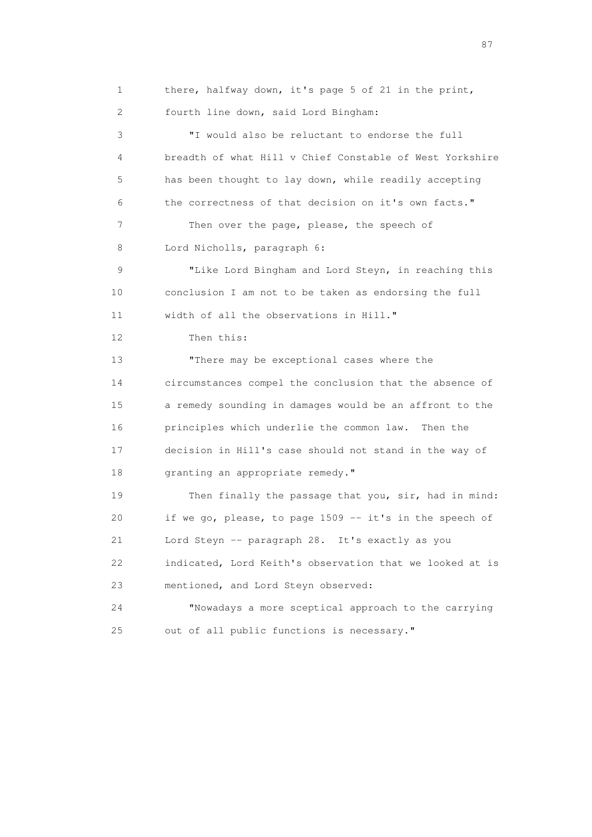1 there, halfway down, it's page 5 of 21 in the print, 2 fourth line down, said Lord Bingham: 3 "I would also be reluctant to endorse the full 4 breadth of what Hill v Chief Constable of West Yorkshire 5 has been thought to lay down, while readily accepting 6 the correctness of that decision on it's own facts." 7 Then over the page, please, the speech of 8 Lord Nicholls, paragraph 6: 9 "Like Lord Bingham and Lord Steyn, in reaching this 10 conclusion I am not to be taken as endorsing the full 11 width of all the observations in Hill." 12 Then this: 13 "There may be exceptional cases where the 14 circumstances compel the conclusion that the absence of 15 a remedy sounding in damages would be an affront to the 16 principles which underlie the common law. Then the 17 decision in Hill's case should not stand in the way of 18 granting an appropriate remedy." 19 Then finally the passage that you, sir, had in mind: 20 if we go, please, to page 1509 -- it's in the speech of 21 Lord Steyn -- paragraph 28. It's exactly as you 22 indicated, Lord Keith's observation that we looked at is 23 mentioned, and Lord Steyn observed: 24 "Nowadays a more sceptical approach to the carrying 25 out of all public functions is necessary."

experience of the state of the state of the state of the state of the state of the state of the state of the state of the state of the state of the state of the state of the state of the state of the state of the state of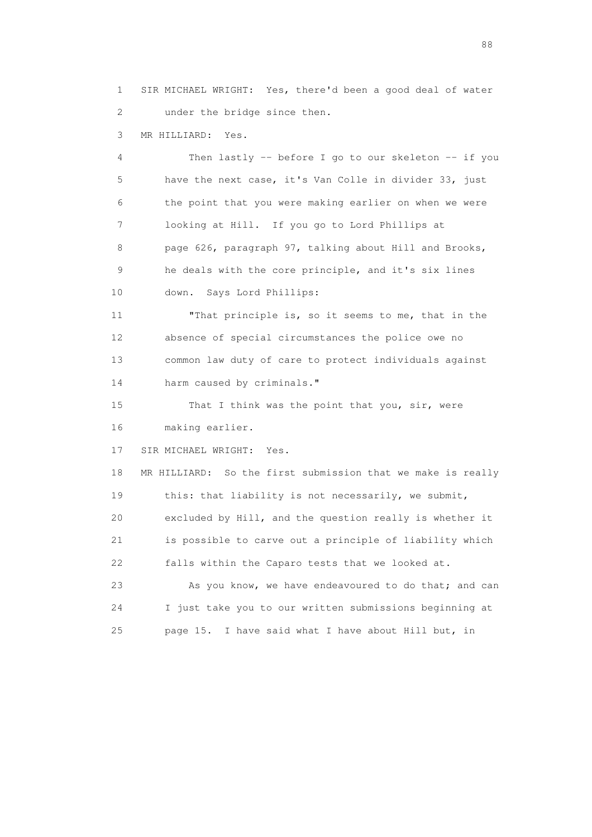1 SIR MICHAEL WRIGHT: Yes, there'd been a good deal of water 2 under the bridge since then.

3 MR HILLIARD: Yes.

 4 Then lastly -- before I go to our skeleton -- if you 5 have the next case, it's Van Colle in divider 33, just 6 the point that you were making earlier on when we were 7 looking at Hill. If you go to Lord Phillips at 8 page 626, paragraph 97, talking about Hill and Brooks, 9 he deals with the core principle, and it's six lines 10 down. Says Lord Phillips:

 11 "That principle is, so it seems to me, that in the 12 absence of special circumstances the police owe no 13 common law duty of care to protect individuals against 14 harm caused by criminals."

15 That I think was the point that you, sir, were 16 making earlier.

17 SIR MICHAEL WRIGHT: Yes.

 18 MR HILLIARD: So the first submission that we make is really 19 this: that liability is not necessarily, we submit, 20 excluded by Hill, and the question really is whether it 21 is possible to carve out a principle of liability which 22 falls within the Caparo tests that we looked at. 23 As you know, we have endeavoured to do that; and can 24 I just take you to our written submissions beginning at

25 page 15. I have said what I have about Hill but, in

en de la construction de la construction de la construction de la construction de la construction de la constr<br>1880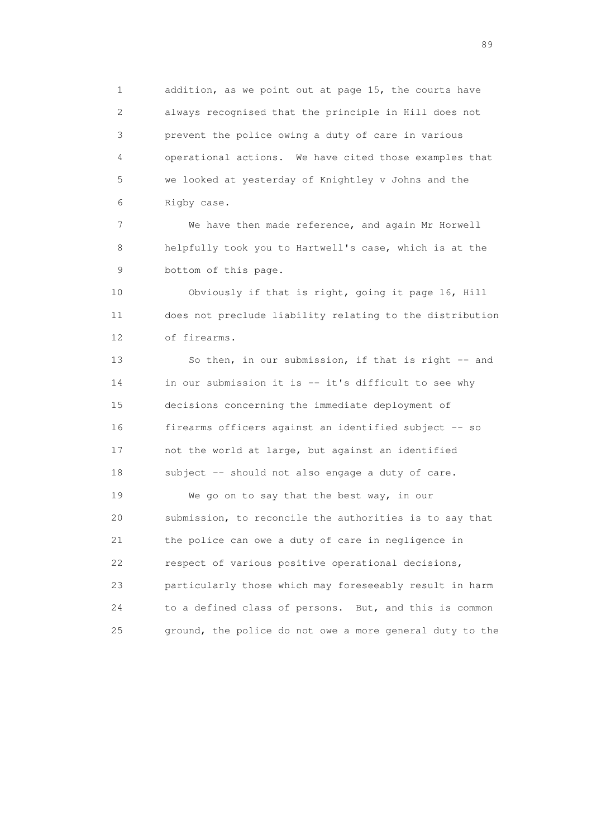1 addition, as we point out at page 15, the courts have 2 always recognised that the principle in Hill does not 3 prevent the police owing a duty of care in various 4 operational actions. We have cited those examples that 5 we looked at yesterday of Knightley v Johns and the 6 Rigby case.

 7 We have then made reference, and again Mr Horwell 8 helpfully took you to Hartwell's case, which is at the 9 bottom of this page.

 10 Obviously if that is right, going it page 16, Hill 11 does not preclude liability relating to the distribution 12 of firearms.

 13 So then, in our submission, if that is right -- and 14 in our submission it is -- it's difficult to see why 15 decisions concerning the immediate deployment of 16 firearms officers against an identified subject -- so 17 not the world at large, but against an identified 18 subject -- should not also engage a duty of care.

19 We go on to say that the best way, in our 20 submission, to reconcile the authorities is to say that 21 the police can owe a duty of care in negligence in 22 respect of various positive operational decisions, 23 particularly those which may foreseeably result in harm 24 to a defined class of persons. But, and this is common 25 ground, the police do not owe a more general duty to the

en andere en de la seule de la constantin de la constantin de la constantin de la constantin de la constantin<br>189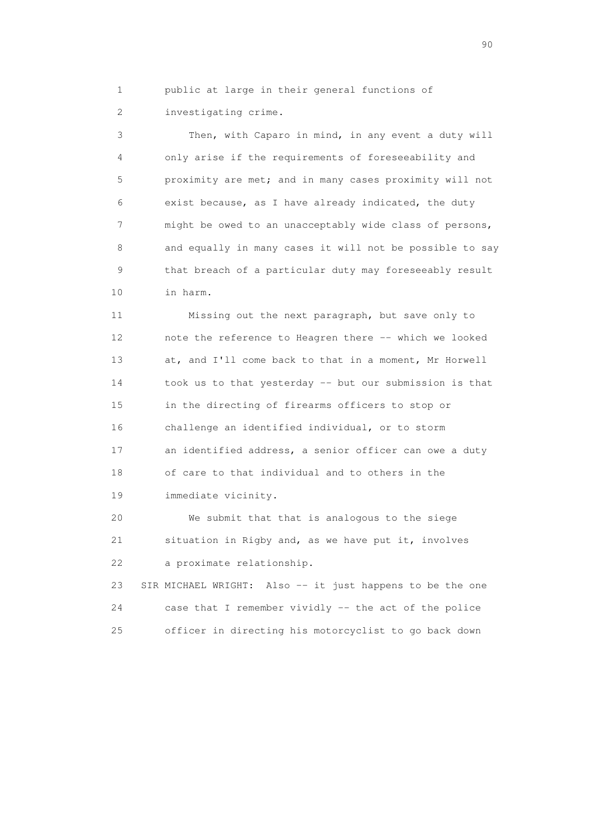1 public at large in their general functions of 2 investigating crime.

 3 Then, with Caparo in mind, in any event a duty will 4 only arise if the requirements of foreseeability and 5 proximity are met; and in many cases proximity will not 6 exist because, as I have already indicated, the duty 7 might be owed to an unacceptably wide class of persons, 8 and equally in many cases it will not be possible to say 9 that breach of a particular duty may foreseeably result 10 in harm.

 11 Missing out the next paragraph, but save only to 12 note the reference to Heagren there -- which we looked 13 at, and I'll come back to that in a moment, Mr Horwell 14 took us to that yesterday -- but our submission is that 15 in the directing of firearms officers to stop or 16 challenge an identified individual, or to storm 17 an identified address, a senior officer can owe a duty 18 of care to that individual and to others in the 19 immediate vicinity.

 20 We submit that that is analogous to the siege 21 situation in Rigby and, as we have put it, involves 22 a proximate relationship.

 23 SIR MICHAEL WRIGHT: Also -- it just happens to be the one 24 case that I remember vividly -- the act of the police 25 officer in directing his motorcyclist to go back down

entration of the contract of the contract of the contract of the contract of the contract of the contract of the contract of the contract of the contract of the contract of the contract of the contract of the contract of t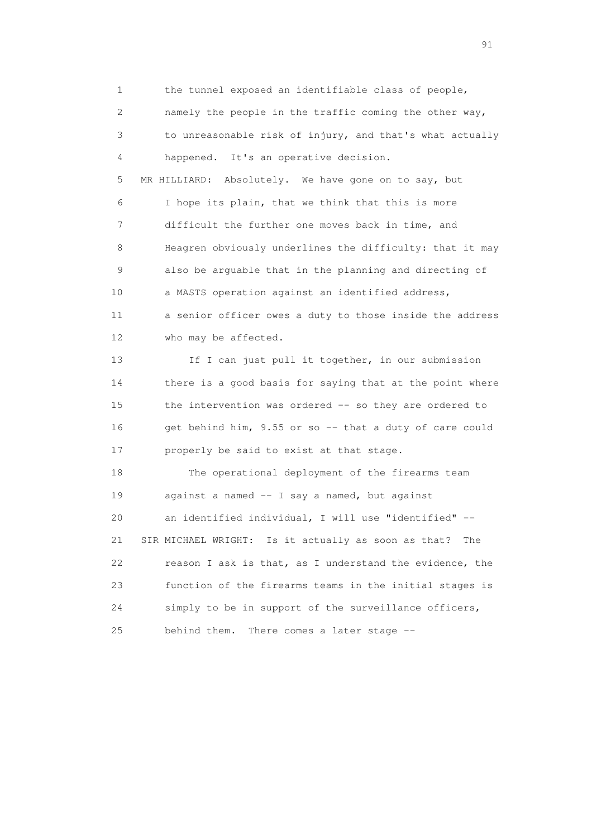1 the tunnel exposed an identifiable class of people, 2 namely the people in the traffic coming the other way, 3 to unreasonable risk of injury, and that's what actually 4 happened. It's an operative decision. 5 MR HILLIARD: Absolutely. We have gone on to say, but 6 I hope its plain, that we think that this is more 7 difficult the further one moves back in time, and 8 Heagren obviously underlines the difficulty: that it may 9 also be arguable that in the planning and directing of 10 a MASTS operation against an identified address, 11 a senior officer owes a duty to those inside the address 12 who may be affected. 13 If I can just pull it together, in our submission 14 there is a good basis for saying that at the point where 15 the intervention was ordered -- so they are ordered to 16 get behind him, 9.55 or so -- that a duty of care could 17 properly be said to exist at that stage. 18 The operational deployment of the firearms team 19 against a named -- I say a named, but against 20 an identified individual, I will use "identified" -- 21 SIR MICHAEL WRIGHT: Is it actually as soon as that? The 22 reason I ask is that, as I understand the evidence, the 23 function of the firearms teams in the initial stages is 24 simply to be in support of the surveillance officers, 25 behind them. There comes a later stage --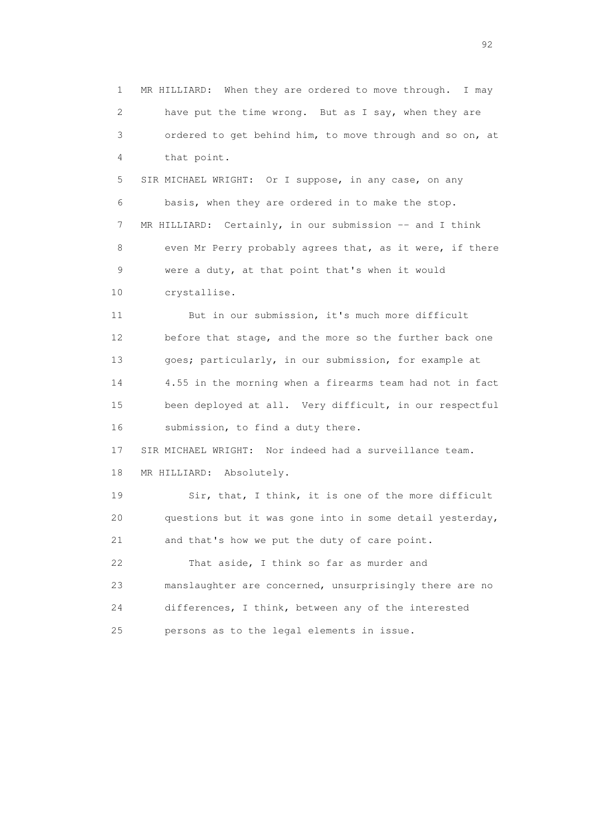1 MR HILLIARD: When they are ordered to move through. I may 2 have put the time wrong. But as I say, when they are 3 ordered to get behind him, to move through and so on, at 4 that point. 5 SIR MICHAEL WRIGHT: Or I suppose, in any case, on any 6 basis, when they are ordered in to make the stop. 7 MR HILLIARD: Certainly, in our submission -- and I think 8 even Mr Perry probably agrees that, as it were, if there 9 were a duty, at that point that's when it would 10 crystallise. 11 But in our submission, it's much more difficult 12 before that stage, and the more so the further back one 13 goes; particularly, in our submission, for example at 14 4.55 in the morning when a firearms team had not in fact 15 been deployed at all. Very difficult, in our respectful 16 submission, to find a duty there. 17 SIR MICHAEL WRIGHT: Nor indeed had a surveillance team. 18 MR HILLIARD: Absolutely. 19 Sir, that, I think, it is one of the more difficult 20 questions but it was gone into in some detail yesterday, 21 and that's how we put the duty of care point. 22 That aside, I think so far as murder and 23 manslaughter are concerned, unsurprisingly there are no 24 differences, I think, between any of the interested 25 persons as to the legal elements in issue.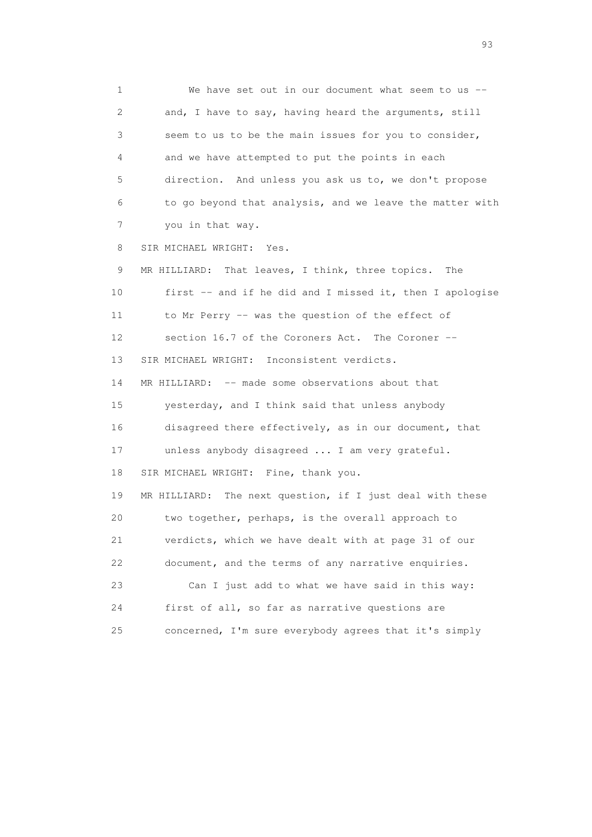1 We have set out in our document what seem to us -- 2 and, I have to say, having heard the arguments, still 3 seem to us to be the main issues for you to consider, 4 and we have attempted to put the points in each 5 direction. And unless you ask us to, we don't propose 6 to go beyond that analysis, and we leave the matter with 7 you in that way. 8 SIR MICHAEL WRIGHT: Yes. 9 MR HILLIARD: That leaves, I think, three topics. The 10 first -- and if he did and I missed it, then I apologise 11 to Mr Perry -- was the question of the effect of 12 section 16.7 of the Coroners Act. The Coroner -- 13 SIR MICHAEL WRIGHT: Inconsistent verdicts. 14 MR HILLIARD: -- made some observations about that 15 yesterday, and I think said that unless anybody 16 disagreed there effectively, as in our document, that 17 unless anybody disagreed ... I am very grateful. 18 SIR MICHAEL WRIGHT: Fine, thank you. 19 MR HILLIARD: The next question, if I just deal with these 20 two together, perhaps, is the overall approach to 21 verdicts, which we have dealt with at page 31 of our 22 document, and the terms of any narrative enquiries. 23 Can I just add to what we have said in this way: 24 first of all, so far as narrative questions are 25 concerned, I'm sure everybody agrees that it's simply

experience of the contract of the contract of the contract of the contract of the contract of the contract of the contract of the contract of the contract of the contract of the contract of the contract of the contract of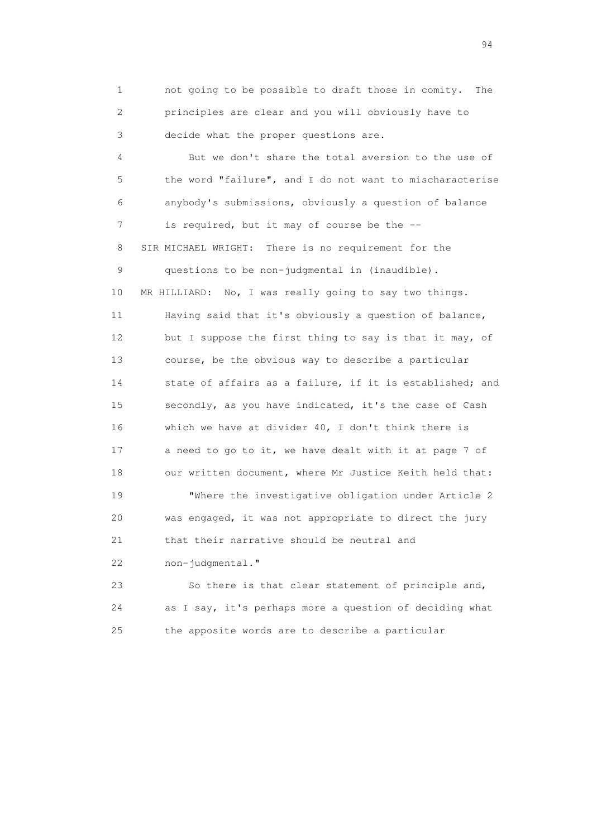1 not going to be possible to draft those in comity. The 2 principles are clear and you will obviously have to 3 decide what the proper questions are.

 4 But we don't share the total aversion to the use of 5 the word "failure", and I do not want to mischaracterise 6 anybody's submissions, obviously a question of balance 7 is required, but it may of course be the -- 8 SIR MICHAEL WRIGHT: There is no requirement for the 9 questions to be non-judgmental in (inaudible). 10 MR HILLIARD: No, I was really going to say two things. 11 Having said that it's obviously a question of balance, 12 but I suppose the first thing to say is that it may, of 13 course, be the obvious way to describe a particular 14 state of affairs as a failure, if it is established; and 15 secondly, as you have indicated, it's the case of Cash 16 which we have at divider 40, I don't think there is 17 a need to go to it, we have dealt with it at page 7 of 18 our written document, where Mr Justice Keith held that: 19 "Where the investigative obligation under Article 2 20 was engaged, it was not appropriate to direct the jury 21 that their narrative should be neutral and 22 non-judgmental."

 23 So there is that clear statement of principle and, 24 as I say, it's perhaps more a question of deciding what 25 the apposite words are to describe a particular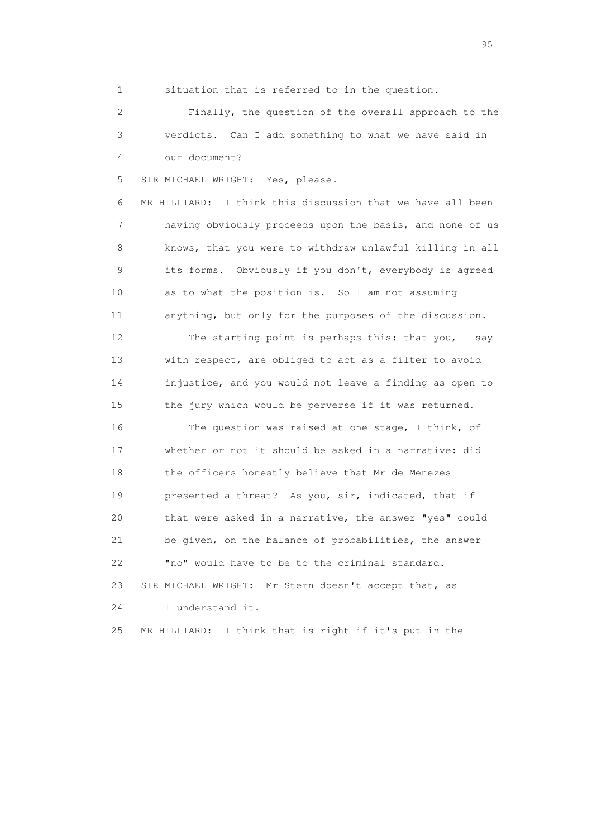1 situation that is referred to in the question.

 2 Finally, the question of the overall approach to the 3 verdicts. Can I add something to what we have said in 4 our document?

5 SIR MICHAEL WRIGHT: Yes, please.

 6 MR HILLIARD: I think this discussion that we have all been 7 having obviously proceeds upon the basis, and none of us 8 knows, that you were to withdraw unlawful killing in all 9 its forms. Obviously if you don't, everybody is agreed 10 as to what the position is. So I am not assuming 11 anything, but only for the purposes of the discussion.

 12 The starting point is perhaps this: that you, I say 13 with respect, are obliged to act as a filter to avoid 14 injustice, and you would not leave a finding as open to 15 the jury which would be perverse if it was returned.

 16 The question was raised at one stage, I think, of 17 whether or not it should be asked in a narrative: did 18 the officers honestly believe that Mr de Menezes 19 presented a threat? As you, sir, indicated, that if 20 that were asked in a narrative, the answer "yes" could 21 be given, on the balance of probabilities, the answer 22 "no" would have to be to the criminal standard. 23 SIR MICHAEL WRIGHT: Mr Stern doesn't accept that, as 24 I understand it.

25 MR HILLIARD: I think that is right if it's put in the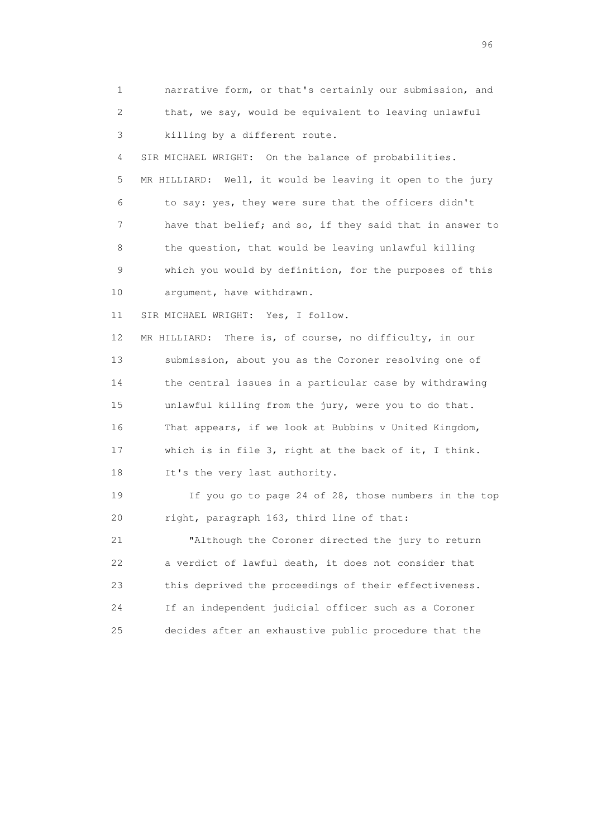1 narrative form, or that's certainly our submission, and 2 that, we say, would be equivalent to leaving unlawful 3 killing by a different route. 4 SIR MICHAEL WRIGHT: On the balance of probabilities. 5 MR HILLIARD: Well, it would be leaving it open to the jury 6 to say: yes, they were sure that the officers didn't 7 have that belief; and so, if they said that in answer to 8 the question, that would be leaving unlawful killing 9 which you would by definition, for the purposes of this 10 argument, have withdrawn. 11 SIR MICHAEL WRIGHT: Yes, I follow. 12 MR HILLIARD: There is, of course, no difficulty, in our 13 submission, about you as the Coroner resolving one of 14 the central issues in a particular case by withdrawing 15 unlawful killing from the jury, were you to do that. 16 That appears, if we look at Bubbins v United Kingdom, 17 which is in file 3, right at the back of it, I think. 18 It's the very last authority. 19 If you go to page 24 of 28, those numbers in the top 20 right, paragraph 163, third line of that: 21 "Although the Coroner directed the jury to return 22 a verdict of lawful death, it does not consider that 23 this deprived the proceedings of their effectiveness. 24 If an independent judicial officer such as a Coroner 25 decides after an exhaustive public procedure that the

<u>96 and the state of the state of the state of the state of the state of the state of the state of the state of the state of the state of the state of the state of the state of the state of the state of the state of the st</u>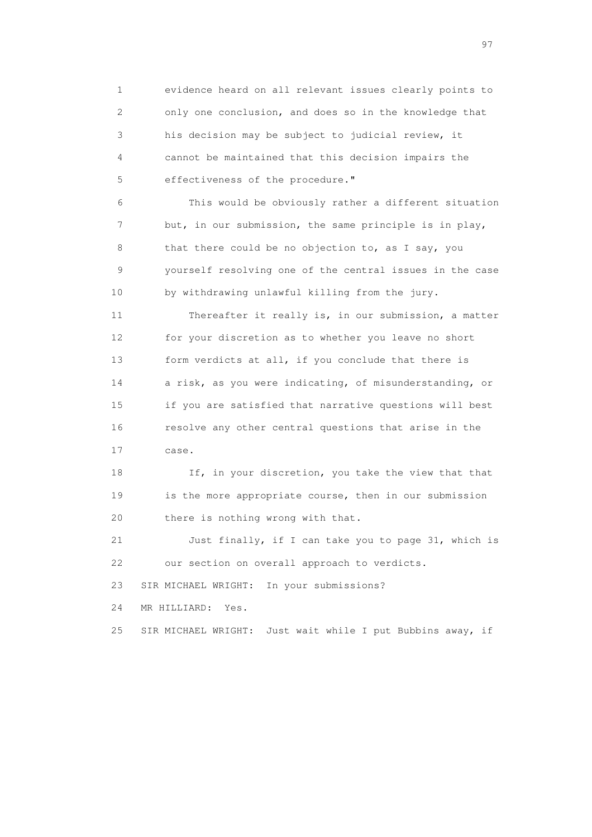1 evidence heard on all relevant issues clearly points to 2 only one conclusion, and does so in the knowledge that 3 his decision may be subject to judicial review, it 4 cannot be maintained that this decision impairs the 5 effectiveness of the procedure."

 6 This would be obviously rather a different situation 7 but, in our submission, the same principle is in play, 8 that there could be no objection to, as I say, you 9 yourself resolving one of the central issues in the case 10 by withdrawing unlawful killing from the jury.

 11 Thereafter it really is, in our submission, a matter 12 for your discretion as to whether you leave no short 13 form verdicts at all, if you conclude that there is 14 a risk, as you were indicating, of misunderstanding, or 15 if you are satisfied that narrative questions will best 16 resolve any other central questions that arise in the 17 case.

18 If, in your discretion, you take the view that that 19 is the more appropriate course, then in our submission 20 there is nothing wrong with that.

 21 Just finally, if I can take you to page 31, which is 22 our section on overall approach to verdicts.

23 SIR MICHAEL WRIGHT: In your submissions?

24 MR HILLIARD: Yes.

25 SIR MICHAEL WRIGHT: Just wait while I put Bubbins away, if

experience of the contract of the contract of the contract of the contract of the contract of the contract of the contract of the contract of the contract of the contract of the contract of the contract of the contract of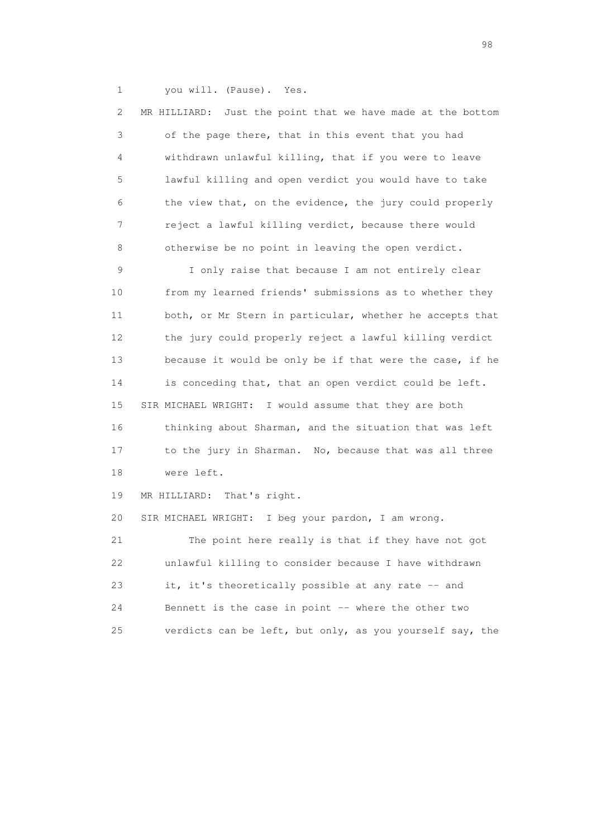1 you will. (Pause). Yes.

| 2  | Just the point that we have made at the bottom<br>MR HILLIARD: |
|----|----------------------------------------------------------------|
| 3  | of the page there, that in this event that you had             |
| 4  | withdrawn unlawful killing, that if you were to leave          |
| 5  | lawful killing and open verdict you would have to take         |
| 6  | the view that, on the evidence, the jury could properly        |
| 7  | reject a lawful killing verdict, because there would           |
| 8  | otherwise be no point in leaving the open verdict.             |
| 9  | I only raise that because I am not entirely clear              |
| 10 | from my learned friends' submissions as to whether they        |
| 11 | both, or Mr Stern in particular, whether he accepts that       |
| 12 | the jury could properly reject a lawful killing verdict        |
| 13 | because it would be only be if that were the case, if he       |
| 14 | is conceding that, that an open verdict could be left.         |
| 15 | SIR MICHAEL WRIGHT: I would assume that they are both          |
| 16 | thinking about Sharman, and the situation that was left        |
| 17 | to the jury in Sharman. No, because that was all three         |
| 18 | were left.                                                     |
| 19 | MR HILLIARD:<br>That's right.                                  |
| 20 | SIR MICHAEL WRIGHT: I beg your pardon, I am wrong.             |
| 21 | The point here really is that if they have not got             |
| 22 | unlawful killing to consider because I have withdrawn          |
| 23 | it, it's theoretically possible at any rate -- and             |
| 24 | Bennett is the case in point -- where the other two            |
| 25 | verdicts can be left, but only, as you yourself say, the       |

en 1988 en 1989 en 1989 en 1989 en 1989 en 1989 en 1989 en 1989 en 1989 en 1989 en 1989 en 1989 en 1989 en 19<br>De grote en 1989 en 1989 en 1989 en 1989 en 1989 en 1989 en 1989 en 1989 en 1989 en 1989 en 1989 en 1989 en 19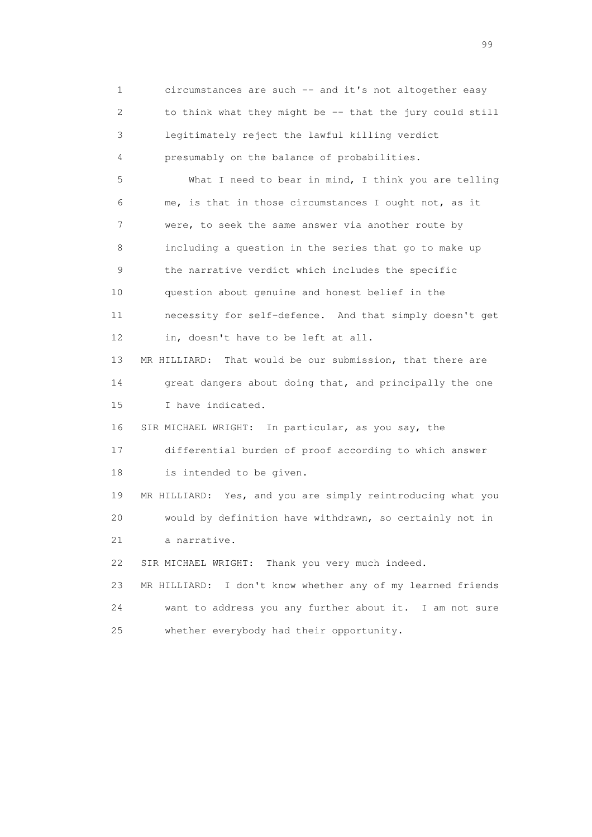1 circumstances are such -- and it's not altogether easy 2 to think what they might be -- that the jury could still 3 legitimately reject the lawful killing verdict 4 presumably on the balance of probabilities. 5 What I need to bear in mind, I think you are telling 6 me, is that in those circumstances I ought not, as it 7 were, to seek the same answer via another route by 8 including a question in the series that go to make up 9 the narrative verdict which includes the specific 10 question about genuine and honest belief in the 11 necessity for self-defence. And that simply doesn't get 12 in, doesn't have to be left at all. 13 MR HILLIARD: That would be our submission, that there are 14 great dangers about doing that, and principally the one 15 I have indicated. 16 SIR MICHAEL WRIGHT: In particular, as you say, the 17 differential burden of proof according to which answer 18 is intended to be given. 19 MR HILLIARD: Yes, and you are simply reintroducing what you 20 would by definition have withdrawn, so certainly not in 21 a narrative. 22 SIR MICHAEL WRIGHT: Thank you very much indeed. 23 MR HILLIARD: I don't know whether any of my learned friends 24 want to address you any further about it. I am not sure 25 whether everybody had their opportunity.

en de la construction de la construction de la construction de la construction de la construction de la constr<br>1990 : le construction de la construction de la construction de la construction de la construction de la const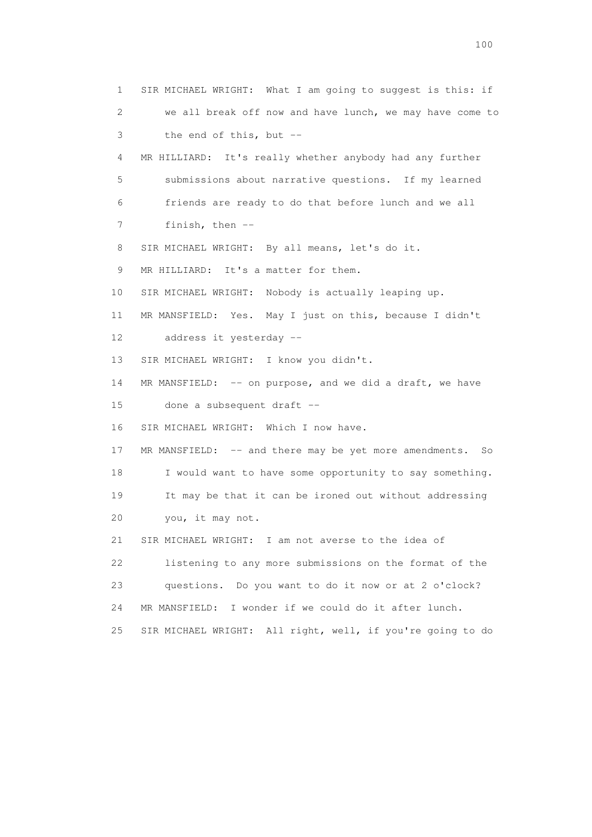1 SIR MICHAEL WRIGHT: What I am going to suggest is this: if 2 we all break off now and have lunch, we may have come to 3 the end of this, but -- 4 MR HILLIARD: It's really whether anybody had any further 5 submissions about narrative questions. If my learned 6 friends are ready to do that before lunch and we all 7 finish, then -- 8 SIR MICHAEL WRIGHT: By all means, let's do it. 9 MR HILLIARD: It's a matter for them. 10 SIR MICHAEL WRIGHT: Nobody is actually leaping up. 11 MR MANSFIELD: Yes. May I just on this, because I didn't 12 address it yesterday -- 13 SIR MICHAEL WRIGHT: I know you didn't. 14 MR MANSFIELD: -- on purpose, and we did a draft, we have 15 done a subsequent draft -- 16 SIR MICHAEL WRIGHT: Which I now have. 17 MR MANSFIELD: -- and there may be yet more amendments. So 18 I would want to have some opportunity to say something. 19 It may be that it can be ironed out without addressing 20 you, it may not. 21 SIR MICHAEL WRIGHT: I am not averse to the idea of 22 listening to any more submissions on the format of the 23 questions. Do you want to do it now or at 2 o'clock? 24 MR MANSFIELD: I wonder if we could do it after lunch. 25 SIR MICHAEL WRIGHT: All right, well, if you're going to do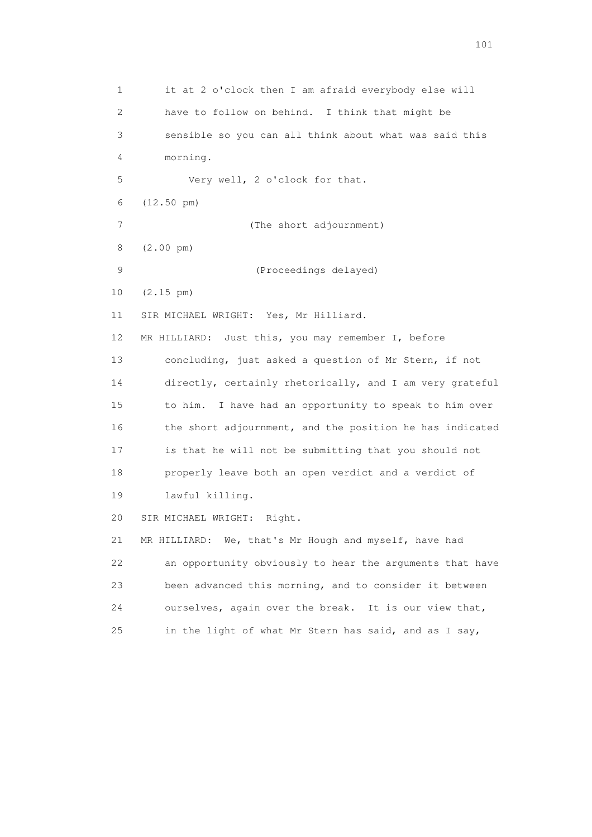1 it at 2 o'clock then I am afraid everybody else will 2 have to follow on behind. I think that might be 3 sensible so you can all think about what was said this 4 morning. 5 Very well, 2 o'clock for that. 6 (12.50 pm) 7 (The short adjournment) 8 (2.00 pm) 9 (Proceedings delayed) 10 (2.15 pm) 11 SIR MICHAEL WRIGHT: Yes, Mr Hilliard. 12 MR HILLIARD: Just this, you may remember I, before 13 concluding, just asked a question of Mr Stern, if not 14 directly, certainly rhetorically, and I am very grateful 15 to him. I have had an opportunity to speak to him over 16 the short adjournment, and the position he has indicated 17 is that he will not be submitting that you should not 18 properly leave both an open verdict and a verdict of 19 lawful killing. 20 SIR MICHAEL WRIGHT: Right. 21 MR HILLIARD: We, that's Mr Hough and myself, have had 22 an opportunity obviously to hear the arguments that have 23 been advanced this morning, and to consider it between 24 ourselves, again over the break. It is our view that, 25 in the light of what Mr Stern has said, and as I say,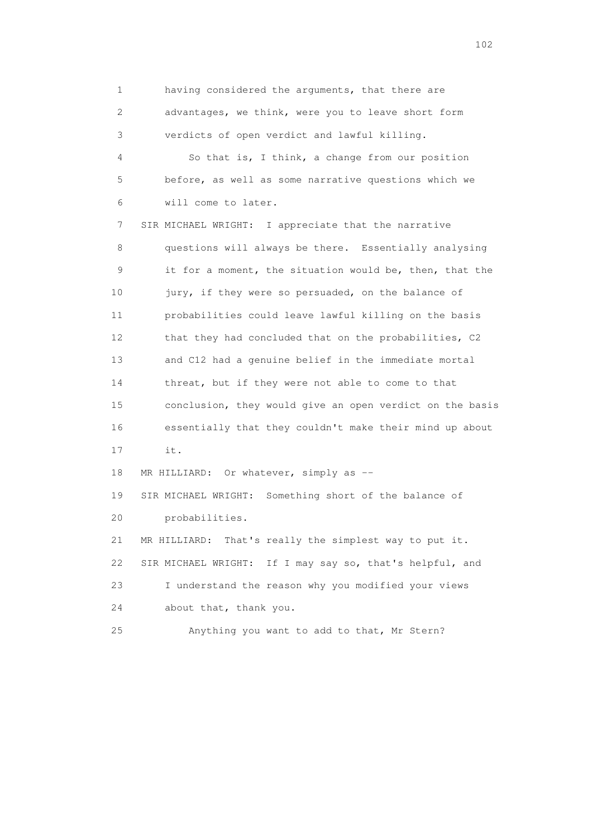1 having considered the arguments, that there are 2 advantages, we think, were you to leave short form 3 verdicts of open verdict and lawful killing. 4 So that is, I think, a change from our position 5 before, as well as some narrative questions which we 6 will come to later. 7 SIR MICHAEL WRIGHT: I appreciate that the narrative 8 questions will always be there. Essentially analysing 9 it for a moment, the situation would be, then, that the 10 jury, if they were so persuaded, on the balance of 11 probabilities could leave lawful killing on the basis 12 that they had concluded that on the probabilities, C2 13 and C12 had a genuine belief in the immediate mortal 14 threat, but if they were not able to come to that 15 conclusion, they would give an open verdict on the basis 16 essentially that they couldn't make their mind up about 17 it. 18 MR HILLIARD: Or whatever, simply as -- 19 SIR MICHAEL WRIGHT: Something short of the balance of 20 probabilities. 21 MR HILLIARD: That's really the simplest way to put it. 22 SIR MICHAEL WRIGHT: If I may say so, that's helpful, and 23 I understand the reason why you modified your views 24 about that, thank you.

25 Anything you want to add to that, Mr Stern?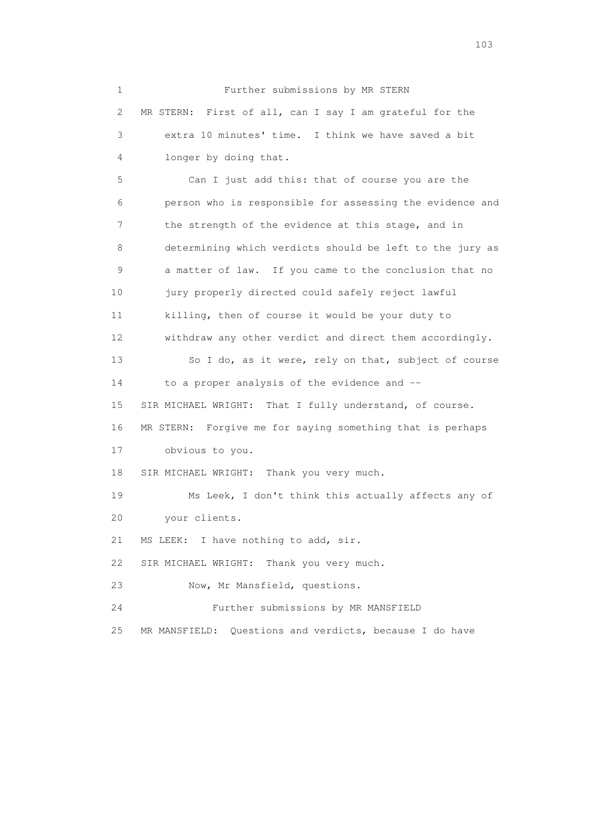1 Further submissions by MR STERN 2 MR STERN: First of all, can I say I am grateful for the 3 extra 10 minutes' time. I think we have saved a bit 4 longer by doing that. 5 Can I just add this: that of course you are the 6 person who is responsible for assessing the evidence and 7 the strength of the evidence at this stage, and in 8 determining which verdicts should be left to the jury as 9 a matter of law. If you came to the conclusion that no 10 jury properly directed could safely reject lawful 11 killing, then of course it would be your duty to 12 withdraw any other verdict and direct them accordingly. 13 So I do, as it were, rely on that, subject of course 14 to a proper analysis of the evidence and -- 15 SIR MICHAEL WRIGHT: That I fully understand, of course. 16 MR STERN: Forgive me for saying something that is perhaps 17 obvious to you. 18 SIR MICHAEL WRIGHT: Thank you very much. 19 Ms Leek, I don't think this actually affects any of 20 your clients. 21 MS LEEK: I have nothing to add, sir. 22 SIR MICHAEL WRIGHT: Thank you very much. 23 Now, Mr Mansfield, questions. 24 Further submissions by MR MANSFIELD 25 MR MANSFIELD: Questions and verdicts, because I do have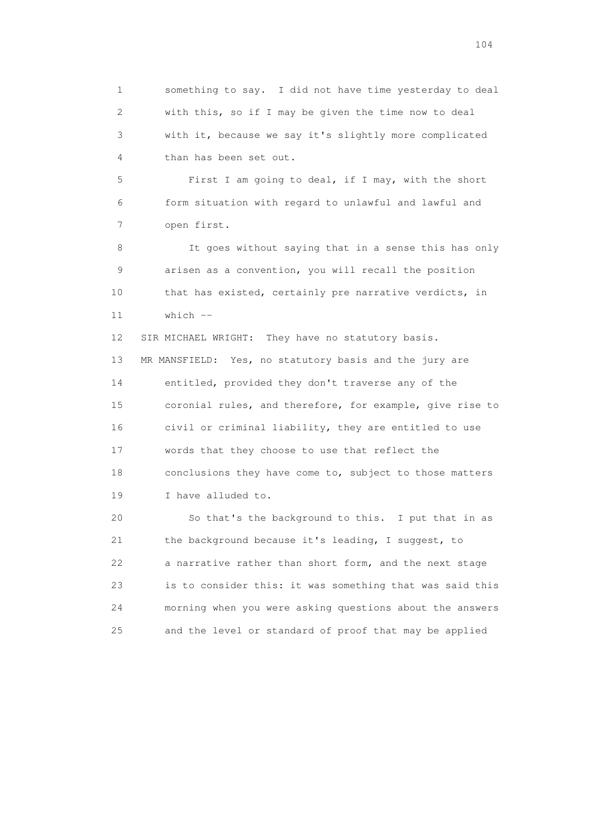1 something to say. I did not have time yesterday to deal 2 with this, so if I may be given the time now to deal 3 with it, because we say it's slightly more complicated 4 than has been set out.

 5 First I am going to deal, if I may, with the short 6 form situation with regard to unlawful and lawful and 7 open first.

 8 It goes without saying that in a sense this has only 9 arisen as a convention, you will recall the position 10 that has existed, certainly pre narrative verdicts, in  $11$  which  $-$ 

12 SIR MICHAEL WRIGHT: They have no statutory basis. 13 MR MANSFIELD: Yes, no statutory basis and the jury are 14 entitled, provided they don't traverse any of the 15 coronial rules, and therefore, for example, give rise to 16 civil or criminal liability, they are entitled to use 17 words that they choose to use that reflect the 18 conclusions they have come to, subject to those matters 19 I have alluded to.

 20 So that's the background to this. I put that in as 21 the background because it's leading, I suggest, to 22 a narrative rather than short form, and the next stage 23 is to consider this: it was something that was said this 24 morning when you were asking questions about the answers 25 and the level or standard of proof that may be applied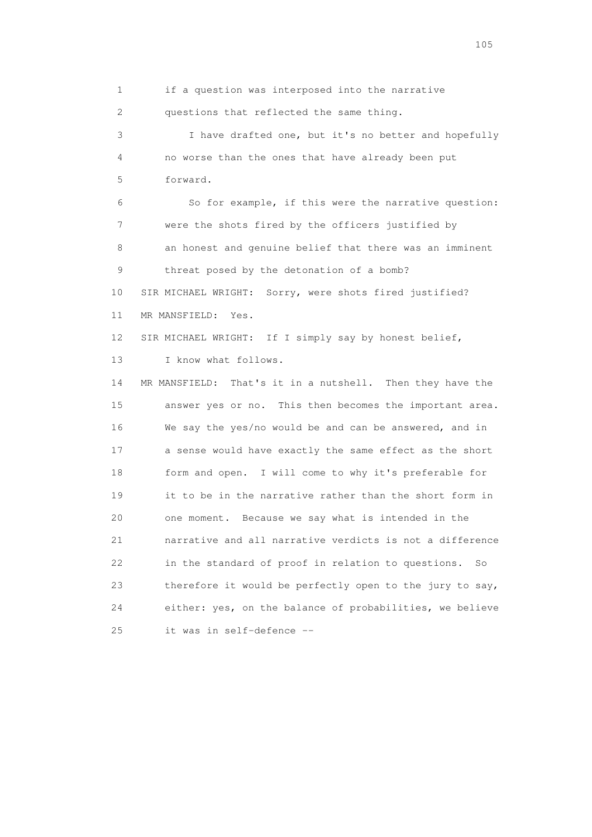1 if a question was interposed into the narrative

2 questions that reflected the same thing.

 3 I have drafted one, but it's no better and hopefully 4 no worse than the ones that have already been put 5 forward.

 6 So for example, if this were the narrative question: 7 were the shots fired by the officers justified by 8 an honest and genuine belief that there was an imminent 9 threat posed by the detonation of a bomb? 10 SIR MICHAEL WRIGHT: Sorry, were shots fired justified? 11 MR MANSFIELD: Yes.

12 SIR MICHAEL WRIGHT: If I simply say by honest belief,

13 I know what follows.

 14 MR MANSFIELD: That's it in a nutshell. Then they have the 15 answer yes or no. This then becomes the important area. 16 We say the yes/no would be and can be answered, and in 17 a sense would have exactly the same effect as the short 18 form and open. I will come to why it's preferable for 19 it to be in the narrative rather than the short form in 20 one moment. Because we say what is intended in the 21 narrative and all narrative verdicts is not a difference 22 in the standard of proof in relation to questions. So 23 therefore it would be perfectly open to the jury to say, 24 either: yes, on the balance of probabilities, we believe 25 it was in self-defence --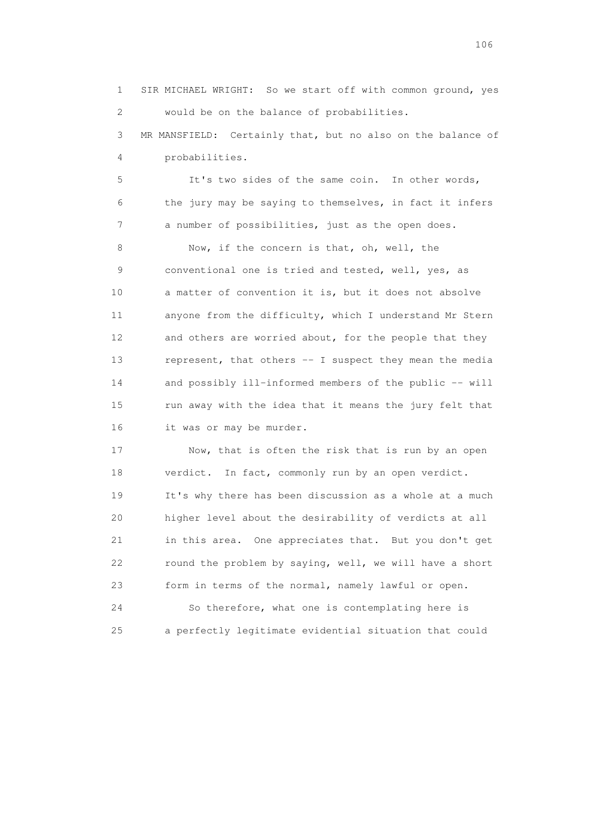1 SIR MICHAEL WRIGHT: So we start off with common ground, yes 2 would be on the balance of probabilities. 3 MR MANSFIELD: Certainly that, but no also on the balance of 4 probabilities.

 5 It's two sides of the same coin. In other words, 6 the jury may be saying to themselves, in fact it infers 7 a number of possibilities, just as the open does.

8 Now, if the concern is that, oh, well, the 9 conventional one is tried and tested, well, yes, as 10 a matter of convention it is, but it does not absolve 11 anyone from the difficulty, which I understand Mr Stern 12 and others are worried about, for the people that they 13 represent, that others -- I suspect they mean the media 14 and possibly ill-informed members of the public -- will 15 run away with the idea that it means the jury felt that 16 it was or may be murder.

 17 Now, that is often the risk that is run by an open 18 verdict. In fact, commonly run by an open verdict. 19 It's why there has been discussion as a whole at a much 20 higher level about the desirability of verdicts at all 21 in this area. One appreciates that. But you don't get 22 round the problem by saying, well, we will have a short 23 form in terms of the normal, namely lawful or open.

 24 So therefore, what one is contemplating here is 25 a perfectly legitimate evidential situation that could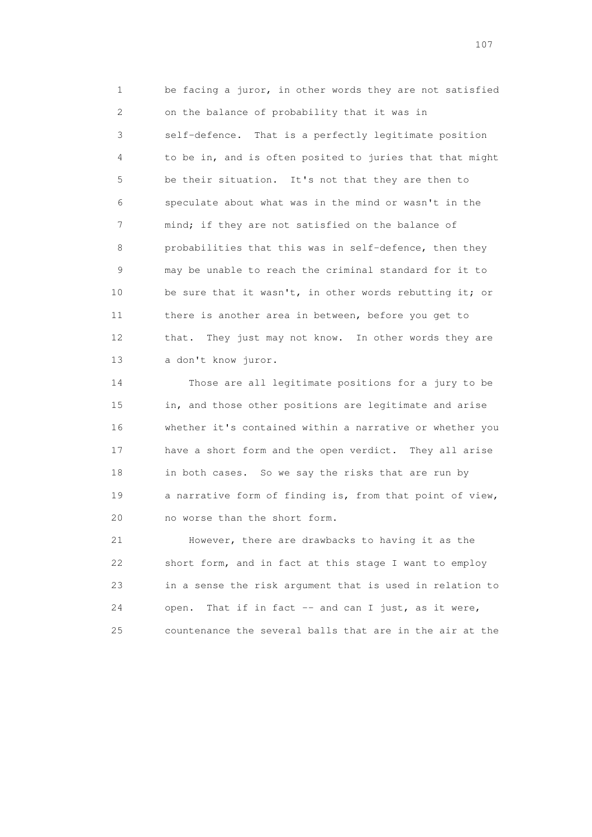1 be facing a juror, in other words they are not satisfied 2 on the balance of probability that it was in 3 self-defence. That is a perfectly legitimate position 4 to be in, and is often posited to juries that that might 5 be their situation. It's not that they are then to 6 speculate about what was in the mind or wasn't in the 7 mind; if they are not satisfied on the balance of 8 probabilities that this was in self-defence, then they 9 may be unable to reach the criminal standard for it to 10 be sure that it wasn't, in other words rebutting it; or 11 there is another area in between, before you get to 12 that. They just may not know. In other words they are 13 a don't know juror.

 14 Those are all legitimate positions for a jury to be 15 in, and those other positions are legitimate and arise 16 whether it's contained within a narrative or whether you 17 have a short form and the open verdict. They all arise 18 in both cases. So we say the risks that are run by 19 a narrative form of finding is, from that point of view, 20 no worse than the short form.

 21 However, there are drawbacks to having it as the 22 short form, and in fact at this stage I want to employ 23 in a sense the risk argument that is used in relation to 24 open. That if in fact -- and can I just, as it were, 25 countenance the several balls that are in the air at the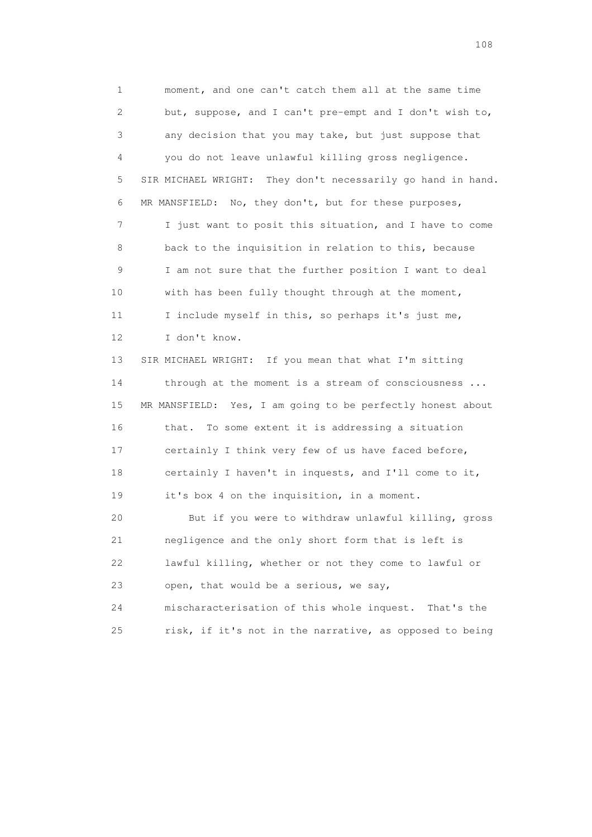1 moment, and one can't catch them all at the same time 2 but, suppose, and I can't pre-empt and I don't wish to, 3 any decision that you may take, but just suppose that 4 you do not leave unlawful killing gross negligence. 5 SIR MICHAEL WRIGHT: They don't necessarily go hand in hand. 6 MR MANSFIELD: No, they don't, but for these purposes, 7 I just want to posit this situation, and I have to come 8 back to the inquisition in relation to this, because 9 I am not sure that the further position I want to deal 10 with has been fully thought through at the moment, 11 I include myself in this, so perhaps it's just me, 12 I don't know. 13 SIR MICHAEL WRIGHT: If you mean that what I'm sitting 14 through at the moment is a stream of consciousness ... 15 MR MANSFIELD: Yes, I am going to be perfectly honest about 16 that. To some extent it is addressing a situation 17 certainly I think very few of us have faced before, 18 certainly I haven't in inquests, and I'll come to it, 19 it's box 4 on the inquisition, in a moment. 20 But if you were to withdraw unlawful killing, gross 21 negligence and the only short form that is left is 22 lawful killing, whether or not they come to lawful or 23 open, that would be a serious, we say, 24 mischaracterisation of this whole inquest. That's the

25 risk, if it's not in the narrative, as opposed to being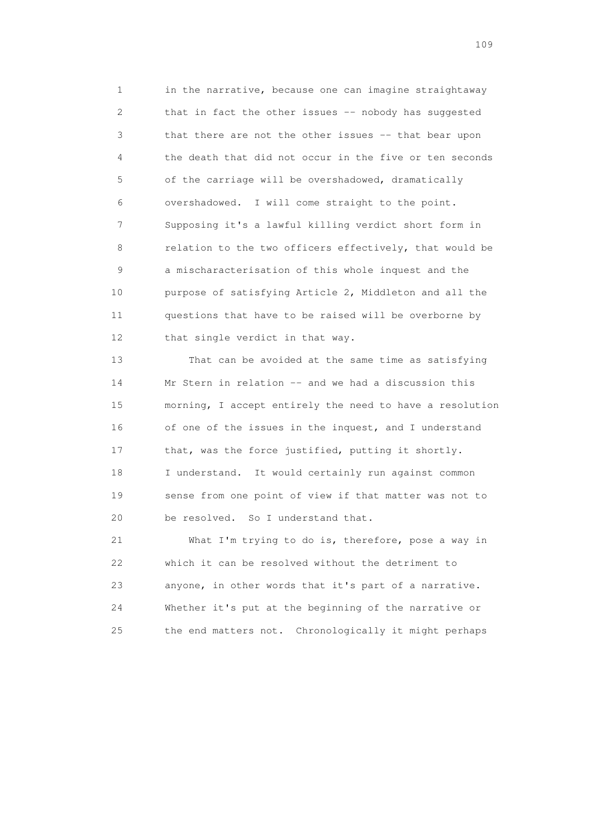1 in the narrative, because one can imagine straightaway 2 that in fact the other issues -- nobody has suggested 3 that there are not the other issues -- that bear upon 4 the death that did not occur in the five or ten seconds 5 of the carriage will be overshadowed, dramatically 6 overshadowed. I will come straight to the point. 7 Supposing it's a lawful killing verdict short form in 8 relation to the two officers effectively, that would be 9 a mischaracterisation of this whole inquest and the 10 purpose of satisfying Article 2, Middleton and all the 11 questions that have to be raised will be overborne by 12 that single verdict in that way.

 13 That can be avoided at the same time as satisfying 14 Mr Stern in relation -- and we had a discussion this 15 morning, I accept entirely the need to have a resolution 16 of one of the issues in the inquest, and I understand 17 that, was the force justified, putting it shortly. 18 I understand. It would certainly run against common 19 sense from one point of view if that matter was not to 20 be resolved. So I understand that.

 21 What I'm trying to do is, therefore, pose a way in 22 which it can be resolved without the detriment to 23 anyone, in other words that it's part of a narrative. 24 Whether it's put at the beginning of the narrative or 25 the end matters not. Chronologically it might perhaps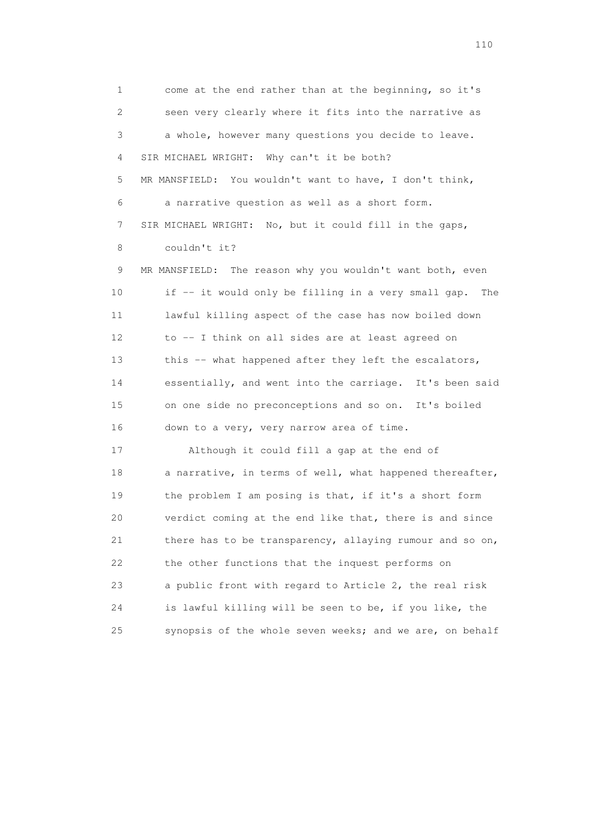1 come at the end rather than at the beginning, so it's 2 seen very clearly where it fits into the narrative as 3 a whole, however many questions you decide to leave. 4 SIR MICHAEL WRIGHT: Why can't it be both? 5 MR MANSFIELD: You wouldn't want to have, I don't think, 6 a narrative question as well as a short form. 7 SIR MICHAEL WRIGHT: No, but it could fill in the gaps, 8 couldn't it? 9 MR MANSFIELD: The reason why you wouldn't want both, even 10 if -- it would only be filling in a very small gap. The 11 lawful killing aspect of the case has now boiled down 12 to -- I think on all sides are at least agreed on

13 this -- what happened after they left the escalators, 14 essentially, and went into the carriage. It's been said 15 on one side no preconceptions and so on. It's boiled 16 down to a very, very narrow area of time.

 17 Although it could fill a gap at the end of 18 a narrative, in terms of well, what happened thereafter, 19 the problem I am posing is that, if it's a short form 20 verdict coming at the end like that, there is and since 21 there has to be transparency, allaying rumour and so on, 22 the other functions that the inquest performs on 23 a public front with regard to Article 2, the real risk 24 is lawful killing will be seen to be, if you like, the 25 synopsis of the whole seven weeks; and we are, on behalf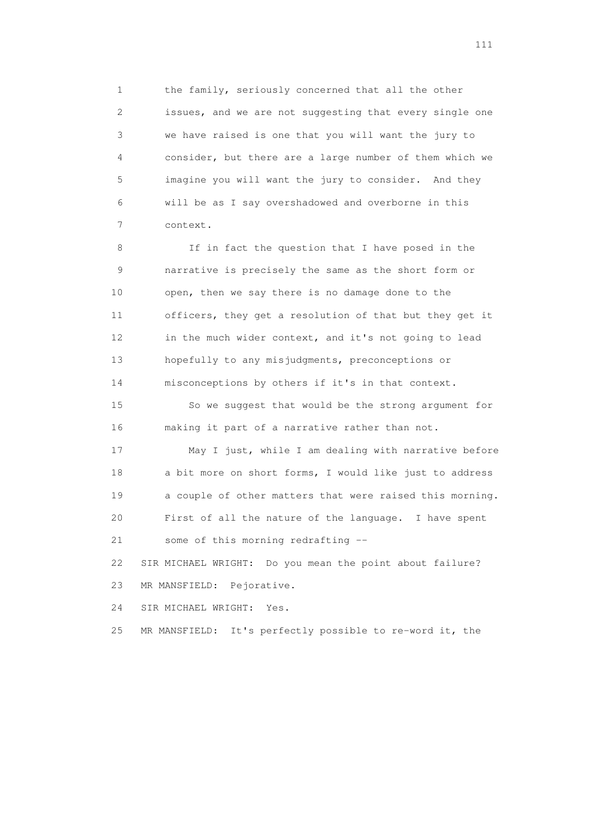1 the family, seriously concerned that all the other 2 issues, and we are not suggesting that every single one 3 we have raised is one that you will want the jury to 4 consider, but there are a large number of them which we 5 imagine you will want the jury to consider. And they 6 will be as I say overshadowed and overborne in this 7 context.

8 If in fact the question that I have posed in the 9 narrative is precisely the same as the short form or 10 open, then we say there is no damage done to the 11 officers, they get a resolution of that but they get it 12 in the much wider context, and it's not going to lead 13 hopefully to any misjudgments, preconceptions or 14 misconceptions by others if it's in that context.

 15 So we suggest that would be the strong argument for 16 making it part of a narrative rather than not.

 17 May I just, while I am dealing with narrative before 18 a bit more on short forms, I would like just to address 19 a couple of other matters that were raised this morning. 20 First of all the nature of the language. I have spent 21 some of this morning redrafting --

 22 SIR MICHAEL WRIGHT: Do you mean the point about failure? 23 MR MANSFIELD: Pejorative.

24 SIR MICHAEL WRIGHT: Yes.

25 MR MANSFIELD: It's perfectly possible to re-word it, the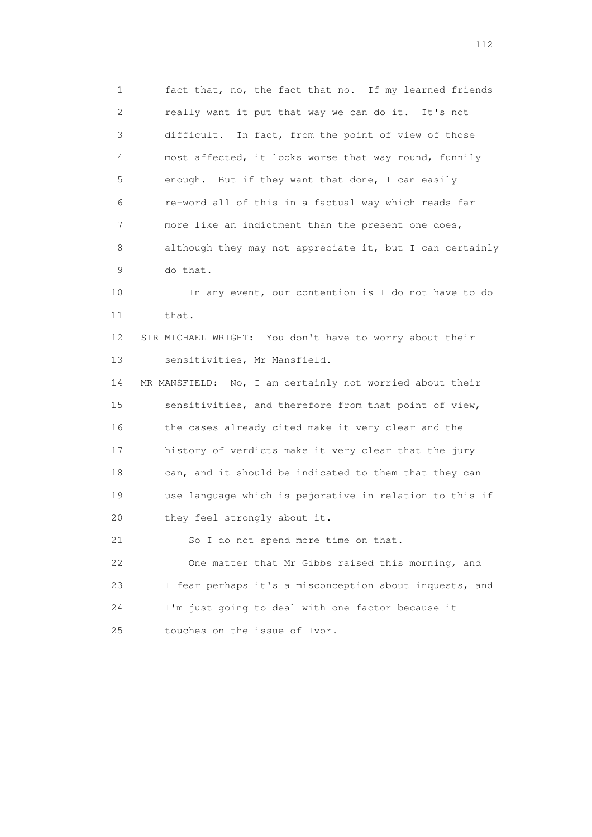1 fact that, no, the fact that no. If my learned friends 2 really want it put that way we can do it. It's not 3 difficult. In fact, from the point of view of those 4 most affected, it looks worse that way round, funnily 5 enough. But if they want that done, I can easily 6 re-word all of this in a factual way which reads far 7 more like an indictment than the present one does, 8 although they may not appreciate it, but I can certainly 9 do that.

 10 In any event, our contention is I do not have to do 11 that.

 12 SIR MICHAEL WRIGHT: You don't have to worry about their 13 sensitivities, Mr Mansfield.

 14 MR MANSFIELD: No, I am certainly not worried about their 15 sensitivities, and therefore from that point of view, 16 the cases already cited make it very clear and the 17 history of verdicts make it very clear that the jury 18 can, and it should be indicated to them that they can 19 use language which is pejorative in relation to this if 20 they feel strongly about it.

 21 So I do not spend more time on that. 22 One matter that Mr Gibbs raised this morning, and 23 I fear perhaps it's a misconception about inquests, and 24 I'm just going to deal with one factor because it 25 touches on the issue of Ivor.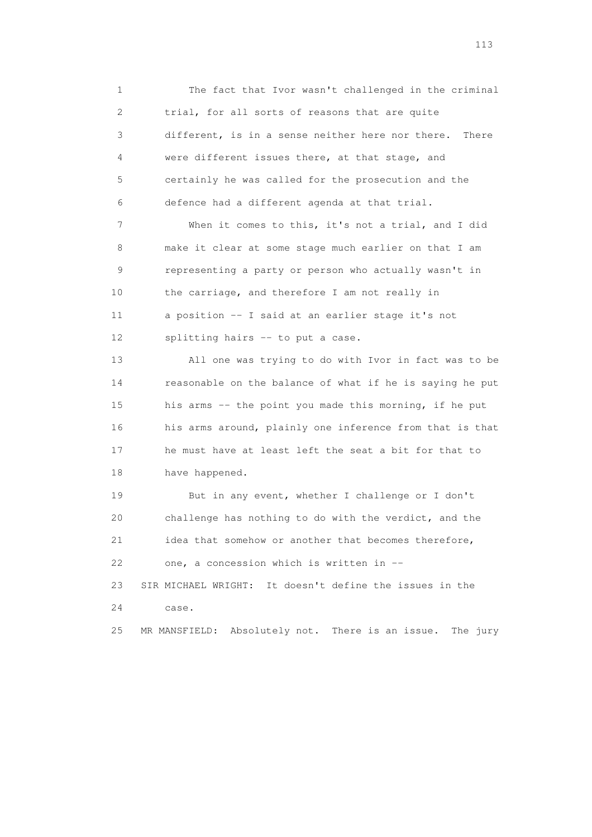1 The fact that Ivor wasn't challenged in the criminal 2 trial, for all sorts of reasons that are quite 3 different, is in a sense neither here nor there. There 4 were different issues there, at that stage, and 5 certainly he was called for the prosecution and the 6 defence had a different agenda at that trial.

 7 When it comes to this, it's not a trial, and I did 8 make it clear at some stage much earlier on that I am 9 representing a party or person who actually wasn't in 10 the carriage, and therefore I am not really in 11 a position -- I said at an earlier stage it's not 12 splitting hairs -- to put a case.

 13 All one was trying to do with Ivor in fact was to be 14 reasonable on the balance of what if he is saying he put 15 his arms -- the point you made this morning, if he put 16 his arms around, plainly one inference from that is that 17 he must have at least left the seat a bit for that to 18 have happened.

 19 But in any event, whether I challenge or I don't 20 challenge has nothing to do with the verdict, and the 21 idea that somehow or another that becomes therefore, 22 one, a concession which is written in --23 SIR MICHAEL WRIGHT: It doesn't define the issues in the

24 case.

25 MR MANSFIELD: Absolutely not. There is an issue. The jury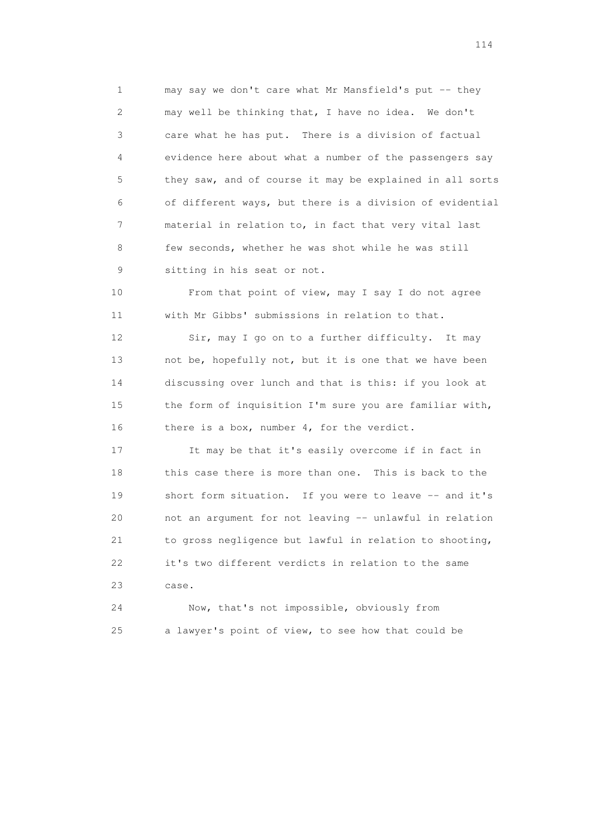1 may say we don't care what Mr Mansfield's put -- they 2 may well be thinking that, I have no idea. We don't 3 care what he has put. There is a division of factual 4 evidence here about what a number of the passengers say 5 they saw, and of course it may be explained in all sorts 6 of different ways, but there is a division of evidential 7 material in relation to, in fact that very vital last 8 few seconds, whether he was shot while he was still 9 sitting in his seat or not.

 10 From that point of view, may I say I do not agree 11 with Mr Gibbs' submissions in relation to that.

 12 Sir, may I go on to a further difficulty. It may 13 not be, hopefully not, but it is one that we have been 14 discussing over lunch and that is this: if you look at 15 the form of inquisition I'm sure you are familiar with, 16 there is a box, number 4, for the verdict.

 17 It may be that it's easily overcome if in fact in 18 this case there is more than one. This is back to the 19 short form situation. If you were to leave -- and it's 20 not an argument for not leaving -- unlawful in relation 21 to gross negligence but lawful in relation to shooting, 22 it's two different verdicts in relation to the same 23 case.

 24 Now, that's not impossible, obviously from 25 a lawyer's point of view, to see how that could be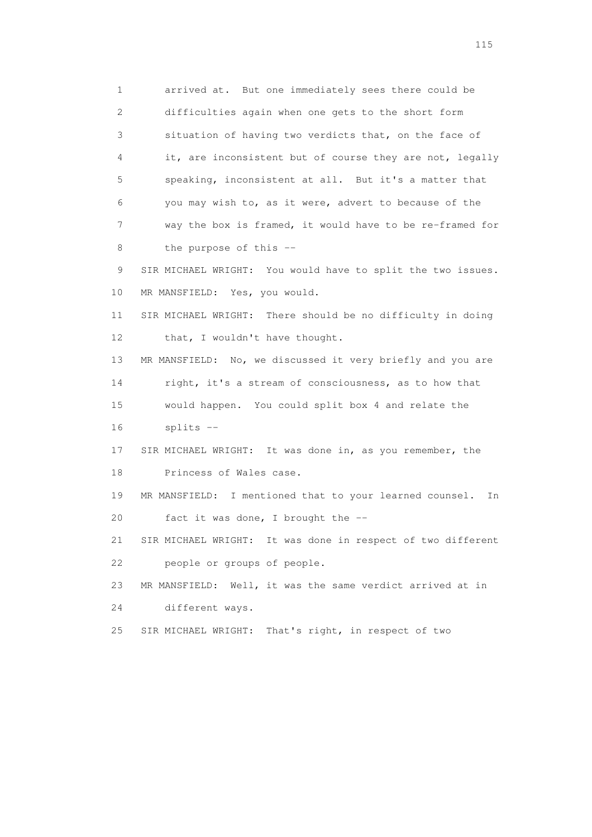1 arrived at. But one immediately sees there could be 2 difficulties again when one gets to the short form 3 situation of having two verdicts that, on the face of 4 it, are inconsistent but of course they are not, legally 5 speaking, inconsistent at all. But it's a matter that 6 you may wish to, as it were, advert to because of the 7 way the box is framed, it would have to be re-framed for 8 the purpose of this --

 9 SIR MICHAEL WRIGHT: You would have to split the two issues. 10 MR MANSFIELD: Yes, you would.

 11 SIR MICHAEL WRIGHT: There should be no difficulty in doing 12 that, I wouldn't have thought.

 13 MR MANSFIELD: No, we discussed it very briefly and you are 14 right, it's a stream of consciousness, as to how that 15 would happen. You could split box 4 and relate the

16 splits --

 17 SIR MICHAEL WRIGHT: It was done in, as you remember, the 18 Princess of Wales case.

 19 MR MANSFIELD: I mentioned that to your learned counsel. In 20 fact it was done, I brought the --

 21 SIR MICHAEL WRIGHT: It was done in respect of two different 22 people or groups of people.

23 MR MANSFIELD: Well, it was the same verdict arrived at in

24 different ways.

25 SIR MICHAEL WRIGHT: That's right, in respect of two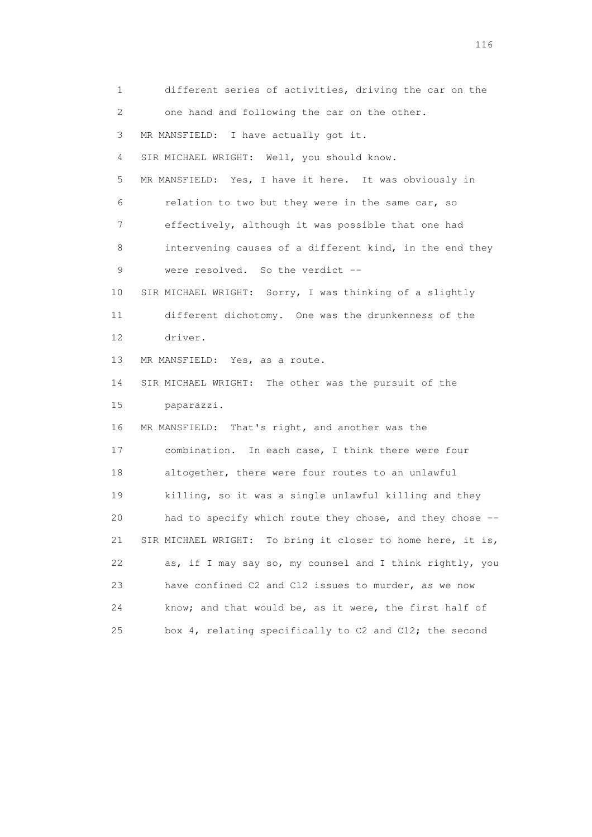1 different series of activities, driving the car on the 2 one hand and following the car on the other. 3 MR MANSFIELD: I have actually got it. 4 SIR MICHAEL WRIGHT: Well, you should know. 5 MR MANSFIELD: Yes, I have it here. It was obviously in 6 relation to two but they were in the same car, so 7 effectively, although it was possible that one had 8 intervening causes of a different kind, in the end they 9 were resolved. So the verdict -- 10 SIR MICHAEL WRIGHT: Sorry, I was thinking of a slightly 11 different dichotomy. One was the drunkenness of the 12 driver. 13 MR MANSFIELD: Yes, as a route. 14 SIR MICHAEL WRIGHT: The other was the pursuit of the 15 paparazzi. 16 MR MANSFIELD: That's right, and another was the 17 combination. In each case, I think there were four 18 altogether, there were four routes to an unlawful 19 killing, so it was a single unlawful killing and they 20 had to specify which route they chose, and they chose -- 21 SIR MICHAEL WRIGHT: To bring it closer to home here, it is, 22 as, if I may say so, my counsel and I think rightly, you 23 have confined C2 and C12 issues to murder, as we now 24 know; and that would be, as it were, the first half of 25 box 4, relating specifically to C2 and C12; the second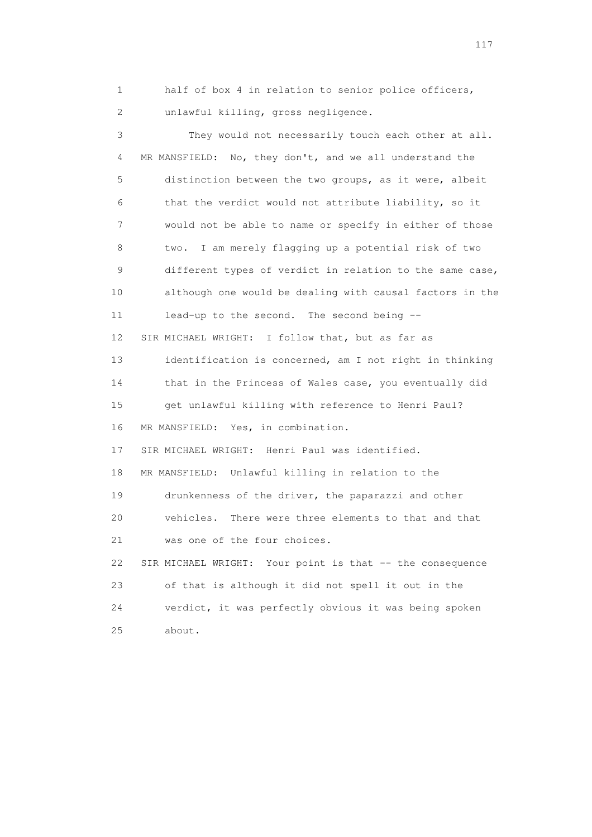1 half of box 4 in relation to senior police officers, 2 unlawful killing, gross negligence.

 3 They would not necessarily touch each other at all. 4 MR MANSFIELD: No, they don't, and we all understand the 5 distinction between the two groups, as it were, albeit 6 that the verdict would not attribute liability, so it 7 would not be able to name or specify in either of those 8 two. I am merely flagging up a potential risk of two 9 different types of verdict in relation to the same case, 10 although one would be dealing with causal factors in the 11 lead-up to the second. The second being -- 12 SIR MICHAEL WRIGHT: I follow that, but as far as 13 identification is concerned, am I not right in thinking 14 that in the Princess of Wales case, you eventually did 15 get unlawful killing with reference to Henri Paul? 16 MR MANSFIELD: Yes, in combination. 17 SIR MICHAEL WRIGHT: Henri Paul was identified. 18 MR MANSFIELD: Unlawful killing in relation to the 19 drunkenness of the driver, the paparazzi and other 20 vehicles. There were three elements to that and that 21 was one of the four choices. 22 SIR MICHAEL WRIGHT: Your point is that -- the consequence 23 of that is although it did not spell it out in the 24 verdict, it was perfectly obvious it was being spoken 25 about.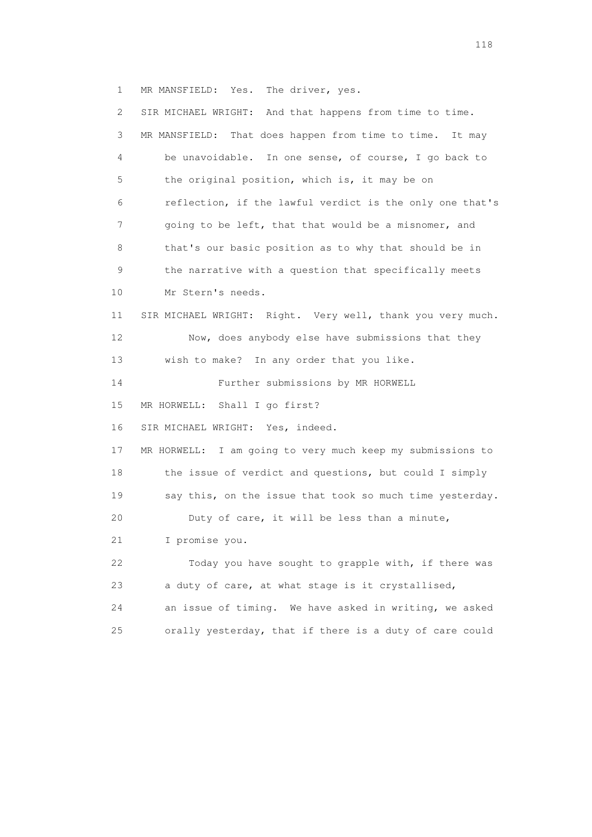1 MR MANSFIELD: Yes. The driver, yes.

| $\mathbf{2}^{\mathsf{I}}$ | SIR MICHAEL WRIGHT: And that happens from time to time.    |
|---------------------------|------------------------------------------------------------|
| 3                         | MR MANSFIELD: That does happen from time to time. It may   |
| 4                         | be unavoidable. In one sense, of course, I go back to      |
| 5                         | the original position, which is, it may be on              |
| 6                         | reflection, if the lawful verdict is the only one that's   |
| 7                         | going to be left, that that would be a misnomer, and       |
| 8                         | that's our basic position as to why that should be in      |
| $\mathsf 9$               | the narrative with a question that specifically meets      |
| 10                        | Mr Stern's needs.                                          |
| 11                        | SIR MICHAEL WRIGHT: Right. Very well, thank you very much. |
| 12                        | Now, does anybody else have submissions that they          |
| 13                        | wish to make? In any order that you like.                  |
| 14                        | Further submissions by MR HORWELL                          |
| 15                        | Shall I go first?<br>MR HORWELL:                           |
| 16                        | SIR MICHAEL WRIGHT: Yes, indeed.                           |
| 17                        | MR HORWELL: I am going to very much keep my submissions to |
| 18                        | the issue of verdict and questions, but could I simply     |
| 19                        | say this, on the issue that took so much time yesterday.   |
| 20                        | Duty of care, it will be less than a minute,               |
| 21                        | I promise you.                                             |
| 22                        | Today you have sought to grapple with, if there was        |
| 23                        | a duty of care, at what stage is it crystallised,          |
| 24                        | an issue of timing. We have asked in writing, we asked     |
| 25                        | orally yesterday, that if there is a duty of care could    |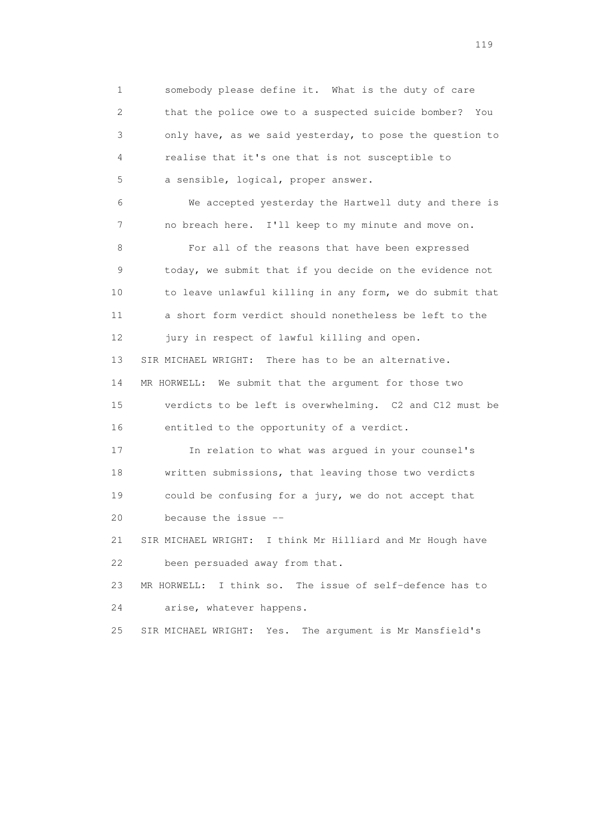1 somebody please define it. What is the duty of care 2 that the police owe to a suspected suicide bomber? You 3 only have, as we said yesterday, to pose the question to 4 realise that it's one that is not susceptible to 5 a sensible, logical, proper answer. 6 We accepted yesterday the Hartwell duty and there is 7 no breach here. I'll keep to my minute and move on. 8 For all of the reasons that have been expressed 9 today, we submit that if you decide on the evidence not 10 to leave unlawful killing in any form, we do submit that 11 a short form verdict should nonetheless be left to the 12 jury in respect of lawful killing and open. 13 SIR MICHAEL WRIGHT: There has to be an alternative. 14 MR HORWELL: We submit that the argument for those two 15 verdicts to be left is overwhelming. C2 and C12 must be 16 entitled to the opportunity of a verdict. 17 In relation to what was argued in your counsel's 18 written submissions, that leaving those two verdicts 19 could be confusing for a jury, we do not accept that 20 because the issue -- 21 SIR MICHAEL WRIGHT: I think Mr Hilliard and Mr Hough have 22 been persuaded away from that. 23 MR HORWELL: I think so. The issue of self-defence has to 24 arise, whatever happens. 25 SIR MICHAEL WRIGHT: Yes. The argument is Mr Mansfield's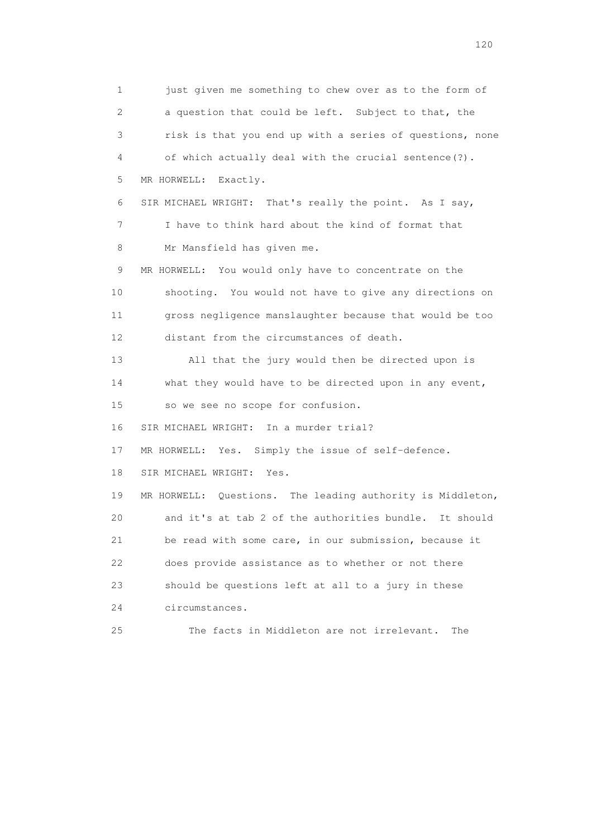1 just given me something to chew over as to the form of 2 a question that could be left. Subject to that, the 3 risk is that you end up with a series of questions, none 4 of which actually deal with the crucial sentence(?). 5 MR HORWELL: Exactly. 6 SIR MICHAEL WRIGHT: That's really the point. As I say, 7 I have to think hard about the kind of format that 8 Mr Mansfield has given me. 9 MR HORWELL: You would only have to concentrate on the 10 shooting. You would not have to give any directions on 11 gross negligence manslaughter because that would be too 12 distant from the circumstances of death. 13 All that the jury would then be directed upon is 14 what they would have to be directed upon in any event, 15 so we see no scope for confusion. 16 SIR MICHAEL WRIGHT: In a murder trial? 17 MR HORWELL: Yes. Simply the issue of self-defence. 18 SIR MICHAEL WRIGHT: Yes. 19 MR HORWELL: Questions. The leading authority is Middleton, 20 and it's at tab 2 of the authorities bundle. It should 21 be read with some care, in our submission, because it 22 does provide assistance as to whether or not there 23 should be questions left at all to a jury in these 24 circumstances. 25 The facts in Middleton are not irrelevant. The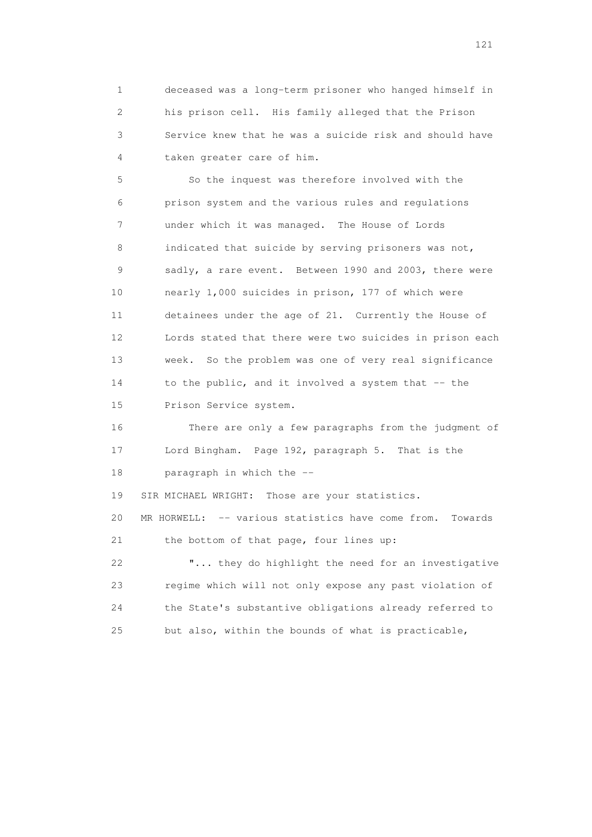1 deceased was a long-term prisoner who hanged himself in 2 his prison cell. His family alleged that the Prison 3 Service knew that he was a suicide risk and should have 4 taken greater care of him.

 5 So the inquest was therefore involved with the 6 prison system and the various rules and regulations 7 under which it was managed. The House of Lords 8 indicated that suicide by serving prisoners was not, 9 sadly, a rare event. Between 1990 and 2003, there were 10 nearly 1,000 suicides in prison, 177 of which were 11 detainees under the age of 21. Currently the House of 12 Lords stated that there were two suicides in prison each 13 week. So the problem was one of very real significance 14 to the public, and it involved a system that -- the 15 Prison Service system.

 16 There are only a few paragraphs from the judgment of 17 Lord Bingham. Page 192, paragraph 5. That is the 18 paragraph in which the --

19 SIR MICHAEL WRIGHT: Those are your statistics.

 20 MR HORWELL: -- various statistics have come from. Towards 21 the bottom of that page, four lines up:

 22 "... they do highlight the need for an investigative 23 regime which will not only expose any past violation of 24 the State's substantive obligations already referred to 25 but also, within the bounds of what is practicable,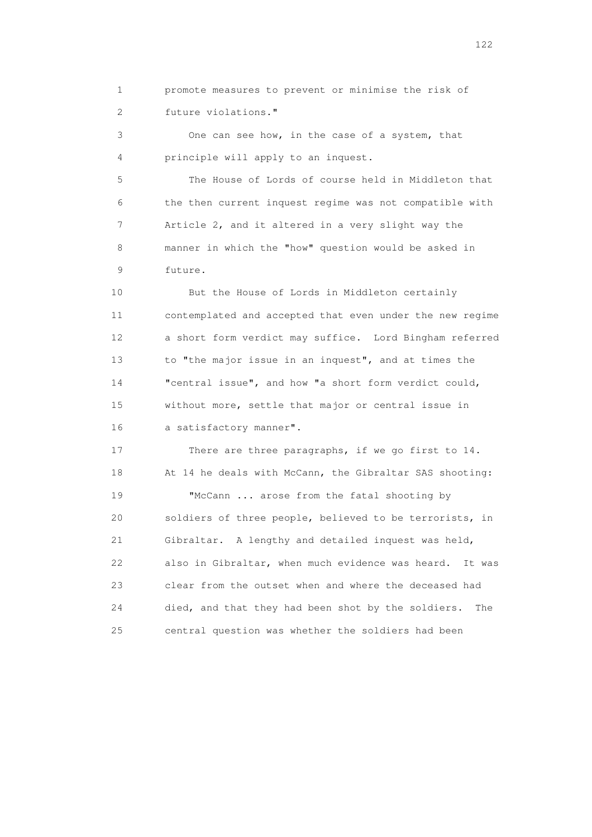1 promote measures to prevent or minimise the risk of 2 future violations."

 3 One can see how, in the case of a system, that 4 principle will apply to an inquest.

 5 The House of Lords of course held in Middleton that 6 the then current inquest regime was not compatible with 7 Article 2, and it altered in a very slight way the 8 manner in which the "how" question would be asked in 9 future.

 10 But the House of Lords in Middleton certainly 11 contemplated and accepted that even under the new regime 12 a short form verdict may suffice. Lord Bingham referred 13 to "the major issue in an inquest", and at times the 14 "central issue", and how "a short form verdict could, 15 without more, settle that major or central issue in 16 a satisfactory manner".

 17 There are three paragraphs, if we go first to 14. 18 At 14 he deals with McCann, the Gibraltar SAS shooting:

19 "McCann ... arose from the fatal shooting by 20 soldiers of three people, believed to be terrorists, in 21 Gibraltar. A lengthy and detailed inquest was held, 22 also in Gibraltar, when much evidence was heard. It was 23 clear from the outset when and where the deceased had 24 died, and that they had been shot by the soldiers. The 25 central question was whether the soldiers had been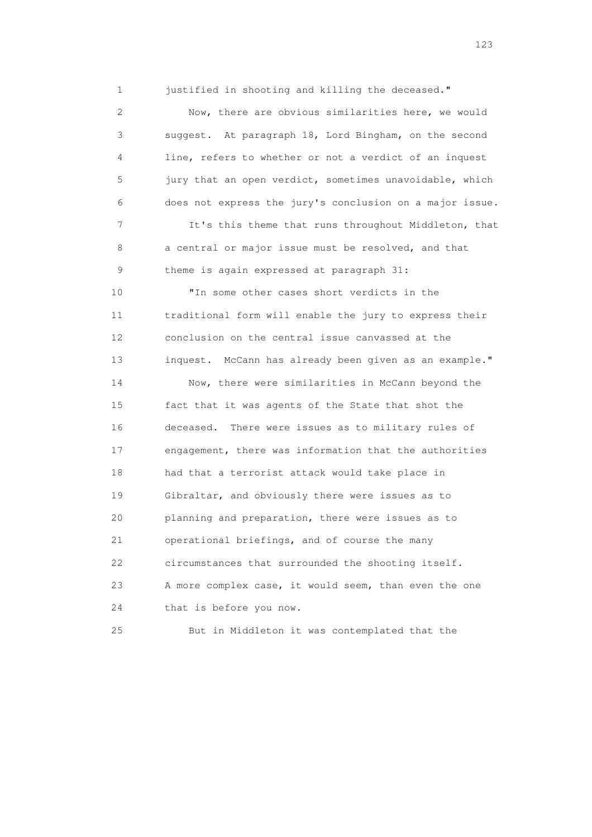1 justified in shooting and killing the deceased."

 2 Now, there are obvious similarities here, we would 3 suggest. At paragraph 18, Lord Bingham, on the second 4 line, refers to whether or not a verdict of an inquest 5 jury that an open verdict, sometimes unavoidable, which 6 does not express the jury's conclusion on a major issue. 7 It's this theme that runs throughout Middleton, that 8 a central or major issue must be resolved, and that 9 theme is again expressed at paragraph 31: 10 "In some other cases short verdicts in the 11 traditional form will enable the jury to express their 12 conclusion on the central issue canvassed at the 13 inquest. McCann has already been given as an example." 14 Now, there were similarities in McCann beyond the 15 fact that it was agents of the State that shot the 16 deceased. There were issues as to military rules of 17 engagement, there was information that the authorities 18 had that a terrorist attack would take place in 19 Gibraltar, and obviously there were issues as to 20 planning and preparation, there were issues as to 21 operational briefings, and of course the many 22 circumstances that surrounded the shooting itself. 23 A more complex case, it would seem, than even the one 24 that is before you now.

25 But in Middleton it was contemplated that the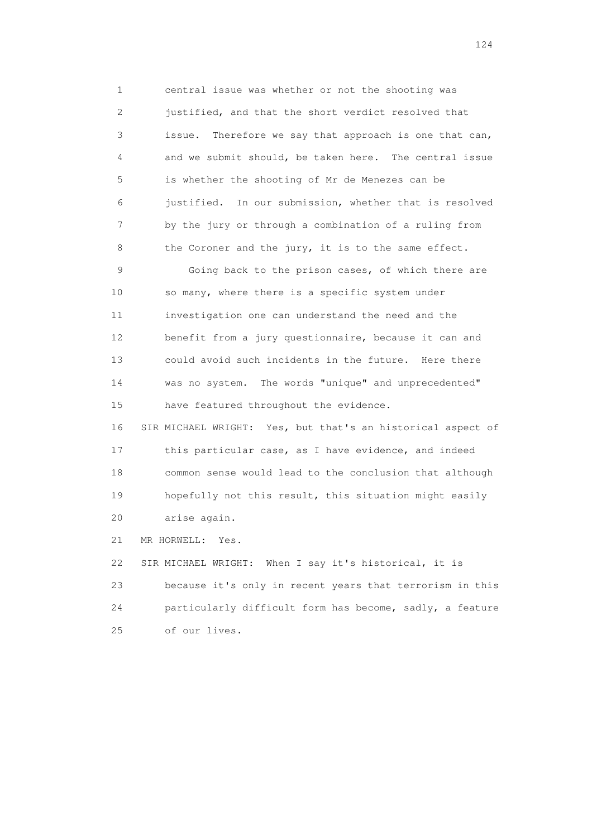1 central issue was whether or not the shooting was 2 justified, and that the short verdict resolved that 3 issue. Therefore we say that approach is one that can, 4 and we submit should, be taken here. The central issue 5 is whether the shooting of Mr de Menezes can be 6 justified. In our submission, whether that is resolved 7 by the jury or through a combination of a ruling from 8 the Coroner and the jury, it is to the same effect. 9 Going back to the prison cases, of which there are 10 so many, where there is a specific system under 11 investigation one can understand the need and the 12 benefit from a jury questionnaire, because it can and 13 could avoid such incidents in the future. Here there 14 was no system. The words "unique" and unprecedented" 15 have featured throughout the evidence. 16 SIR MICHAEL WRIGHT: Yes, but that's an historical aspect of 17 this particular case, as I have evidence, and indeed 18 common sense would lead to the conclusion that although 19 hopefully not this result, this situation might easily

20 arise again.

21 MR HORWELL: Yes.

 22 SIR MICHAEL WRIGHT: When I say it's historical, it is 23 because it's only in recent years that terrorism in this 24 particularly difficult form has become, sadly, a feature 25 of our lives.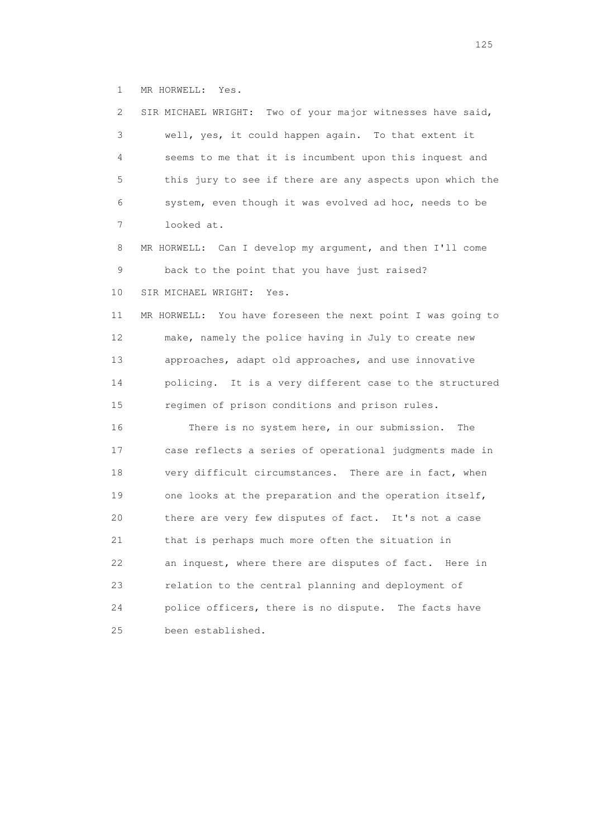1 MR HORWELL: Yes.

| 2  | SIR MICHAEL WRIGHT: Two of your major witnesses have said,  |
|----|-------------------------------------------------------------|
| 3  | well, yes, it could happen again. To that extent it         |
| 4  | seems to me that it is incumbent upon this inquest and      |
| 5  | this jury to see if there are any aspects upon which the    |
| 6  | system, even though it was evolved ad hoc, needs to be      |
| 7  | looked at.                                                  |
| 8  | MR HORWELL: Can I develop my argument, and then I'll come   |
| 9  | back to the point that you have just raised?                |
| 10 | SIR MICHAEL WRIGHT:<br>Yes.                                 |
| 11 | MR HORWELL: You have foreseen the next point I was going to |
| 12 | make, namely the police having in July to create new        |
| 13 | approaches, adapt old approaches, and use innovative        |
| 14 | policing. It is a very different case to the structured     |
| 15 | regimen of prison conditions and prison rules.              |
| 16 | There is no system here, in our submission.<br>The          |
| 17 | case reflects a series of operational judgments made in     |
| 18 | very difficult circumstances. There are in fact, when       |
| 19 | one looks at the preparation and the operation itself,      |
| 20 | there are very few disputes of fact. It's not a case        |
| 21 | that is perhaps much more often the situation in            |
| 22 | an inquest, where there are disputes of fact.<br>Here in    |
| 23 | relation to the central planning and deployment of          |
| 24 | police officers, there is no dispute. The facts have        |
| 25 | been established.                                           |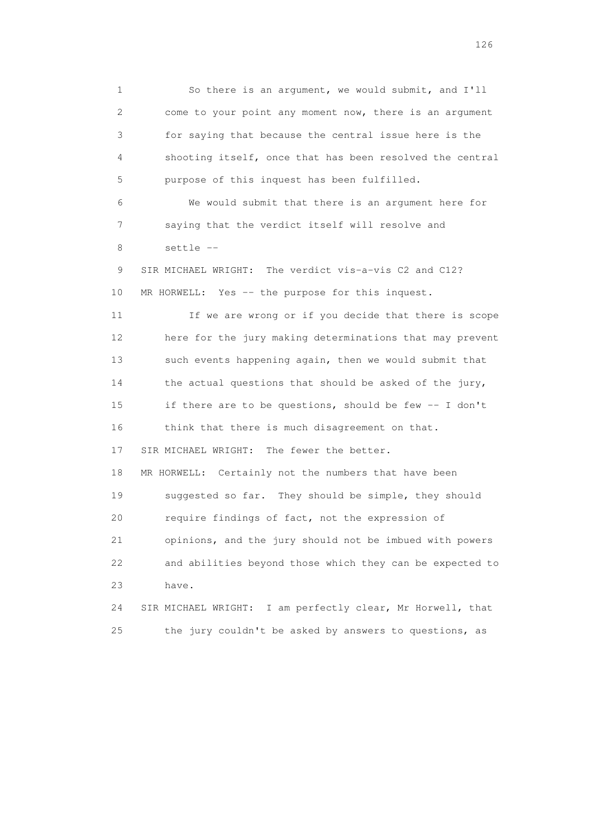1 So there is an argument, we would submit, and I'll 2 come to your point any moment now, there is an argument 3 for saying that because the central issue here is the 4 shooting itself, once that has been resolved the central 5 purpose of this inquest has been fulfilled. 6 We would submit that there is an argument here for 7 saying that the verdict itself will resolve and 8 settle -- 9 SIR MICHAEL WRIGHT: The verdict vis-a-vis C2 and C12? 10 MR HORWELL: Yes -- the purpose for this inquest. 11 If we are wrong or if you decide that there is scope 12 here for the jury making determinations that may prevent 13 such events happening again, then we would submit that 14 the actual questions that should be asked of the jury, 15 if there are to be questions, should be few -- I don't 16 think that there is much disagreement on that. 17 SIR MICHAEL WRIGHT: The fewer the better. 18 MR HORWELL: Certainly not the numbers that have been 19 suggested so far. They should be simple, they should 20 require findings of fact, not the expression of 21 opinions, and the jury should not be imbued with powers 22 and abilities beyond those which they can be expected to 23 have. 24 SIR MICHAEL WRIGHT: I am perfectly clear, Mr Horwell, that 25 the jury couldn't be asked by answers to questions, as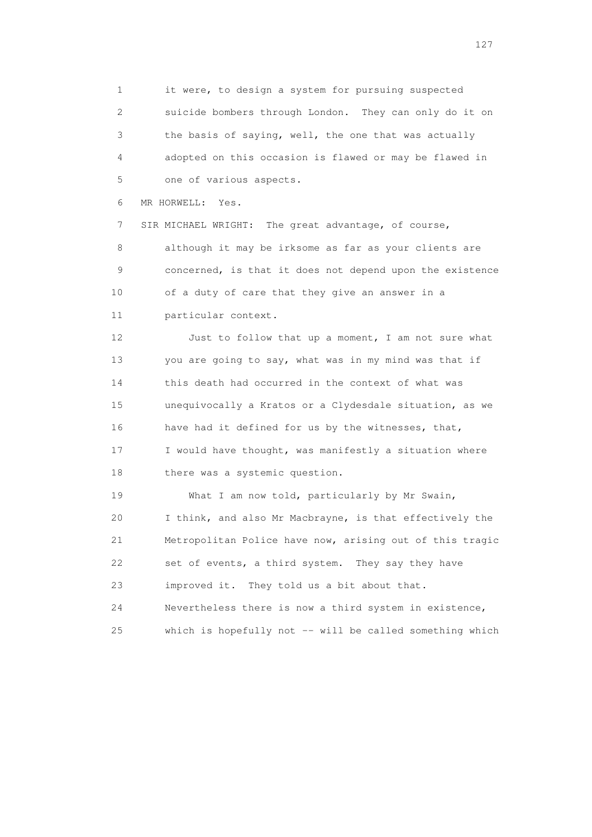1 it were, to design a system for pursuing suspected 2 suicide bombers through London. They can only do it on 3 the basis of saying, well, the one that was actually 4 adopted on this occasion is flawed or may be flawed in 5 one of various aspects.

6 MR HORWELL: Yes.

 7 SIR MICHAEL WRIGHT: The great advantage, of course, 8 although it may be irksome as far as your clients are 9 concerned, is that it does not depend upon the existence 10 of a duty of care that they give an answer in a 11 particular context.

12 Just to follow that up a moment, I am not sure what 13 you are going to say, what was in my mind was that if 14 this death had occurred in the context of what was 15 unequivocally a Kratos or a Clydesdale situation, as we 16 have had it defined for us by the witnesses, that, 17 I would have thought, was manifestly a situation where 18 there was a systemic question.

19 What I am now told, particularly by Mr Swain, 20 I think, and also Mr Macbrayne, is that effectively the 21 Metropolitan Police have now, arising out of this tragic 22 set of events, a third system. They say they have 23 improved it. They told us a bit about that. 24 Nevertheless there is now a third system in existence, 25 which is hopefully not -- will be called something which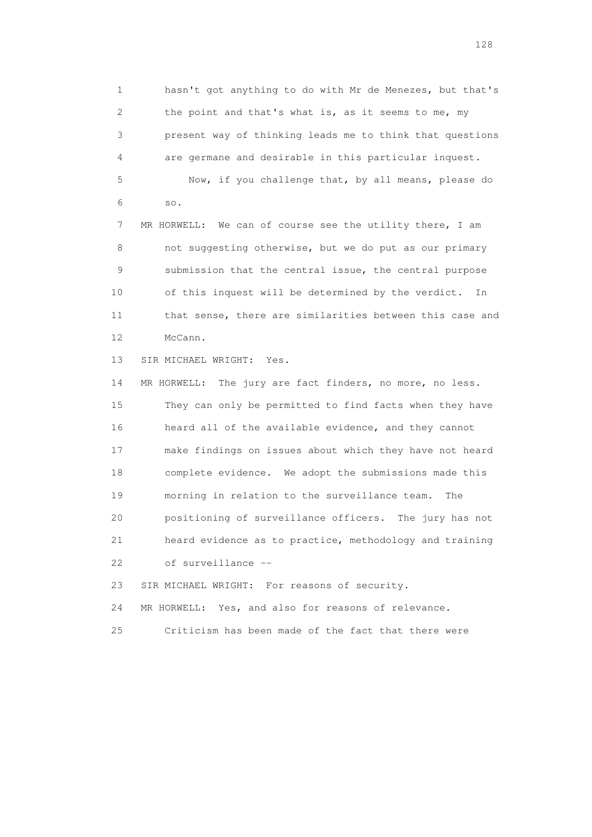1 hasn't got anything to do with Mr de Menezes, but that's 2 the point and that's what is, as it seems to me, my 3 present way of thinking leads me to think that questions 4 are germane and desirable in this particular inquest. 5 Now, if you challenge that, by all means, please do 6 so.

 7 MR HORWELL: We can of course see the utility there, I am 8 not suggesting otherwise, but we do put as our primary 9 submission that the central issue, the central purpose 10 of this inquest will be determined by the verdict. In 11 that sense, there are similarities between this case and 12 McCann.

13 SIR MICHAEL WRIGHT: Yes.

 14 MR HORWELL: The jury are fact finders, no more, no less. 15 They can only be permitted to find facts when they have 16 heard all of the available evidence, and they cannot 17 make findings on issues about which they have not heard 18 complete evidence. We adopt the submissions made this 19 morning in relation to the surveillance team. The 20 positioning of surveillance officers. The jury has not 21 heard evidence as to practice, methodology and training 22 of surveillance --

23 SIR MICHAEL WRIGHT: For reasons of security.

24 MR HORWELL: Yes, and also for reasons of relevance.

25 Criticism has been made of the fact that there were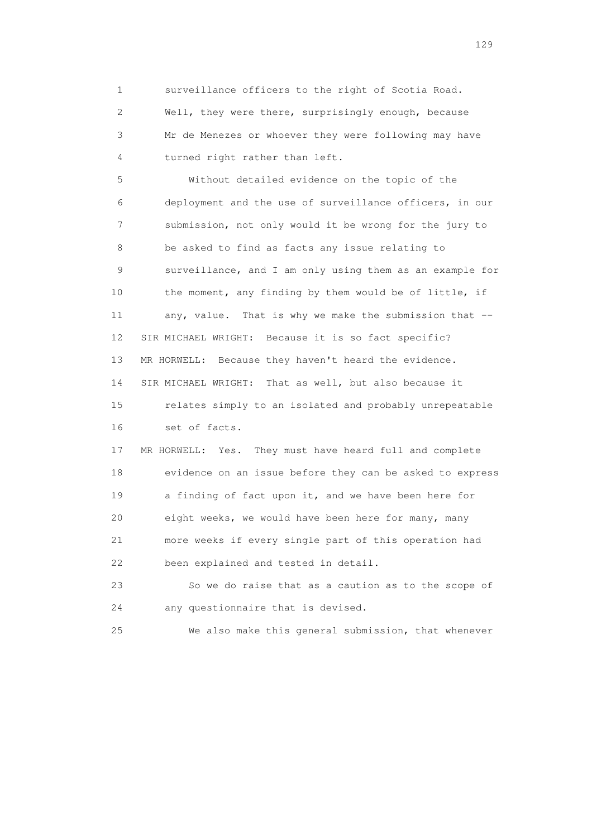1 surveillance officers to the right of Scotia Road. 2 Well, they were there, surprisingly enough, because 3 Mr de Menezes or whoever they were following may have 4 turned right rather than left.

 5 Without detailed evidence on the topic of the 6 deployment and the use of surveillance officers, in our 7 submission, not only would it be wrong for the jury to 8 be asked to find as facts any issue relating to 9 surveillance, and I am only using them as an example for 10 the moment, any finding by them would be of little, if 11 any, value. That is why we make the submission that -- 12 SIR MICHAEL WRIGHT: Because it is so fact specific? 13 MR HORWELL: Because they haven't heard the evidence. 14 SIR MICHAEL WRIGHT: That as well, but also because it 15 relates simply to an isolated and probably unrepeatable 16 set of facts. 17 MR HORWELL: Yes. They must have heard full and complete 18 evidence on an issue before they can be asked to express 19 a finding of fact upon it, and we have been here for 20 eight weeks, we would have been here for many, many 21 more weeks if every single part of this operation had 22 been explained and tested in detail.

 23 So we do raise that as a caution as to the scope of 24 any questionnaire that is devised.

25 We also make this general submission, that whenever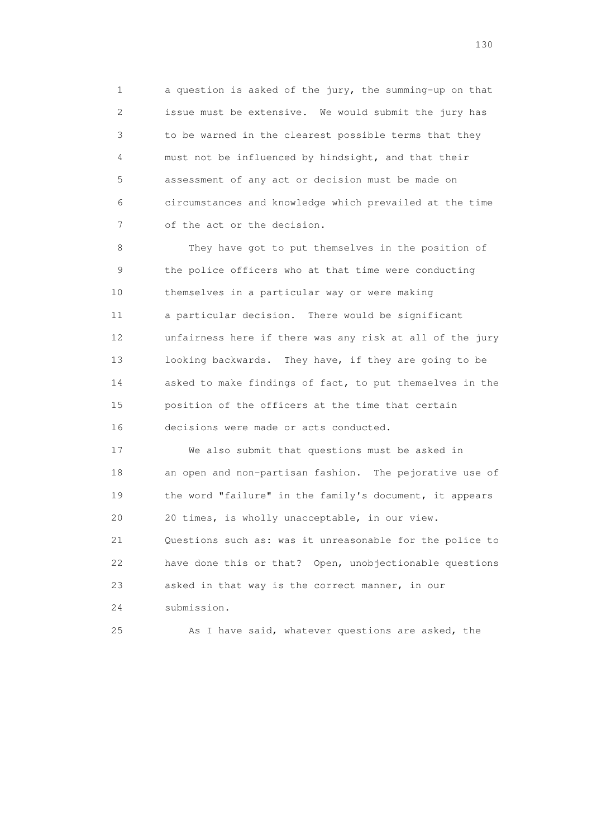1 a question is asked of the jury, the summing-up on that 2 issue must be extensive. We would submit the jury has 3 to be warned in the clearest possible terms that they 4 must not be influenced by hindsight, and that their 5 assessment of any act or decision must be made on 6 circumstances and knowledge which prevailed at the time 7 of the act or the decision.

 8 They have got to put themselves in the position of 9 the police officers who at that time were conducting 10 themselves in a particular way or were making 11 a particular decision. There would be significant 12 unfairness here if there was any risk at all of the jury 13 looking backwards. They have, if they are going to be 14 asked to make findings of fact, to put themselves in the 15 position of the officers at the time that certain 16 decisions were made or acts conducted.

 17 We also submit that questions must be asked in 18 an open and non-partisan fashion. The pejorative use of 19 the word "failure" in the family's document, it appears 20 20 times, is wholly unacceptable, in our view. 21 Questions such as: was it unreasonable for the police to 22 have done this or that? Open, unobjectionable questions 23 asked in that way is the correct manner, in our 24 submission.

25 As I have said, whatever questions are asked, the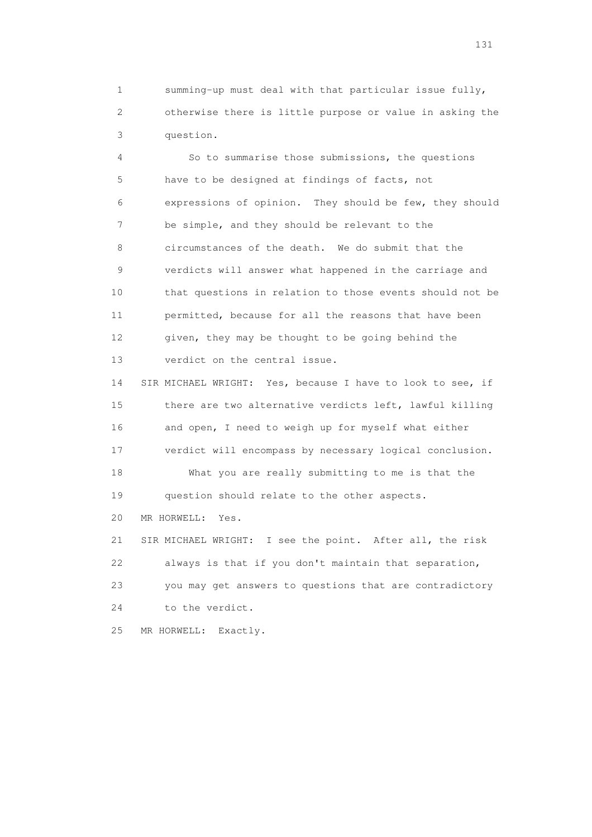1 summing-up must deal with that particular issue fully, 2 otherwise there is little purpose or value in asking the 3 question.

 4 So to summarise those submissions, the questions 5 have to be designed at findings of facts, not 6 expressions of opinion. They should be few, they should 7 be simple, and they should be relevant to the 8 circumstances of the death. We do submit that the 9 verdicts will answer what happened in the carriage and 10 that questions in relation to those events should not be 11 permitted, because for all the reasons that have been 12 given, they may be thought to be going behind the 13 verdict on the central issue.

 14 SIR MICHAEL WRIGHT: Yes, because I have to look to see, if 15 there are two alternative verdicts left, lawful killing 16 and open, I need to weigh up for myself what either 17 verdict will encompass by necessary logical conclusion. 18 What you are really submitting to me is that the 19 question should relate to the other aspects.

20 MR HORWELL: Yes.

 21 SIR MICHAEL WRIGHT: I see the point. After all, the risk 22 always is that if you don't maintain that separation, 23 you may get answers to questions that are contradictory 24 to the verdict.

25 MR HORWELL: Exactly.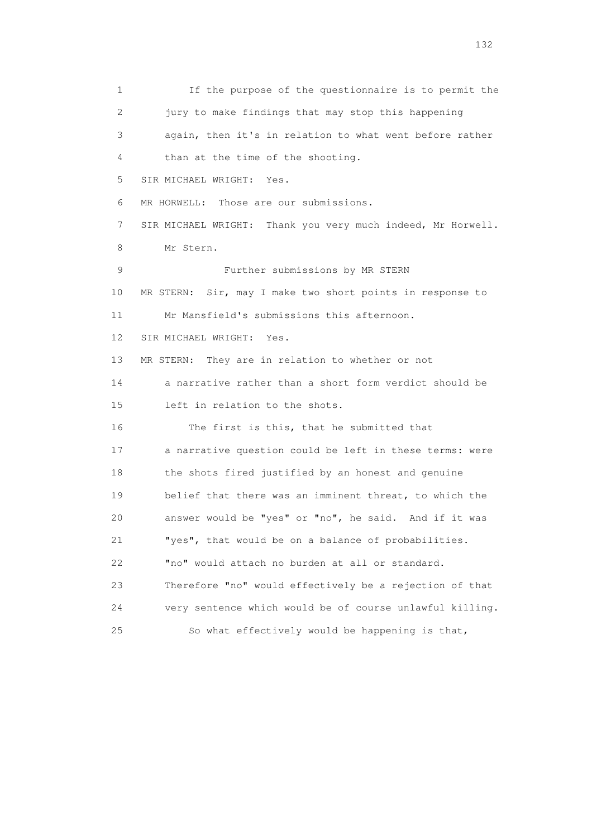1 If the purpose of the questionnaire is to permit the 2 jury to make findings that may stop this happening 3 again, then it's in relation to what went before rather 4 than at the time of the shooting. 5 SIR MICHAEL WRIGHT: Yes. 6 MR HORWELL: Those are our submissions. 7 SIR MICHAEL WRIGHT: Thank you very much indeed, Mr Horwell. 8 Mr Stern. 9 Further submissions by MR STERN 10 MR STERN: Sir, may I make two short points in response to 11 Mr Mansfield's submissions this afternoon. 12 SIR MICHAEL WRIGHT: Yes. 13 MR STERN: They are in relation to whether or not 14 a narrative rather than a short form verdict should be 15 left in relation to the shots. 16 The first is this, that he submitted that 17 a narrative question could be left in these terms: were 18 the shots fired justified by an honest and genuine 19 belief that there was an imminent threat, to which the 20 answer would be "yes" or "no", he said. And if it was 21 "yes", that would be on a balance of probabilities. 22 "no" would attach no burden at all or standard. 23 Therefore "no" would effectively be a rejection of that 24 very sentence which would be of course unlawful killing. 25 So what effectively would be happening is that,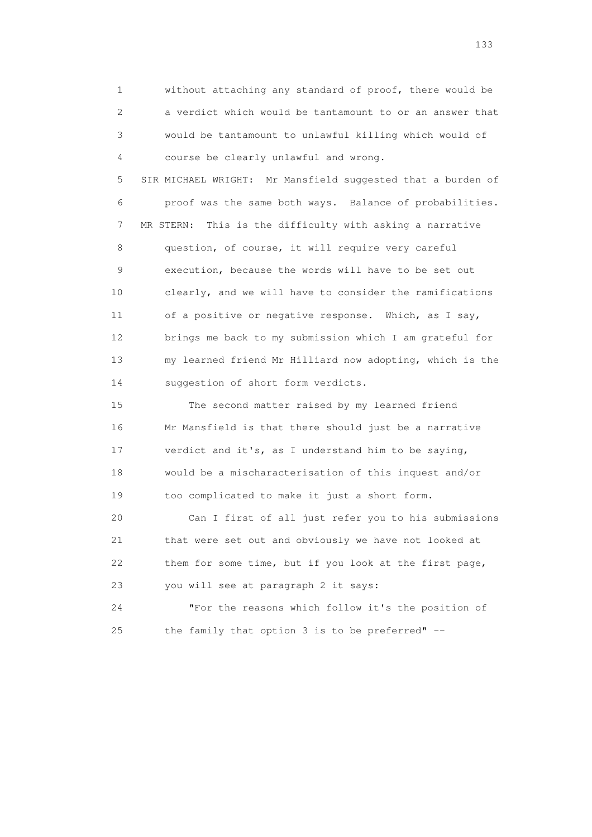1 without attaching any standard of proof, there would be 2 a verdict which would be tantamount to or an answer that 3 would be tantamount to unlawful killing which would of 4 course be clearly unlawful and wrong.

 5 SIR MICHAEL WRIGHT: Mr Mansfield suggested that a burden of 6 proof was the same both ways. Balance of probabilities. 7 MR STERN: This is the difficulty with asking a narrative 8 question, of course, it will require very careful 9 execution, because the words will have to be set out 10 clearly, and we will have to consider the ramifications 11 of a positive or negative response. Which, as I say, 12 brings me back to my submission which I am grateful for 13 my learned friend Mr Hilliard now adopting, which is the 14 suggestion of short form verdicts.

 15 The second matter raised by my learned friend 16 Mr Mansfield is that there should just be a narrative 17 verdict and it's, as I understand him to be saying, 18 would be a mischaracterisation of this inquest and/or 19 too complicated to make it just a short form.

 20 Can I first of all just refer you to his submissions 21 that were set out and obviously we have not looked at 22 them for some time, but if you look at the first page, 23 you will see at paragraph 2 it says:

 24 "For the reasons which follow it's the position of 25 the family that option 3 is to be preferred" --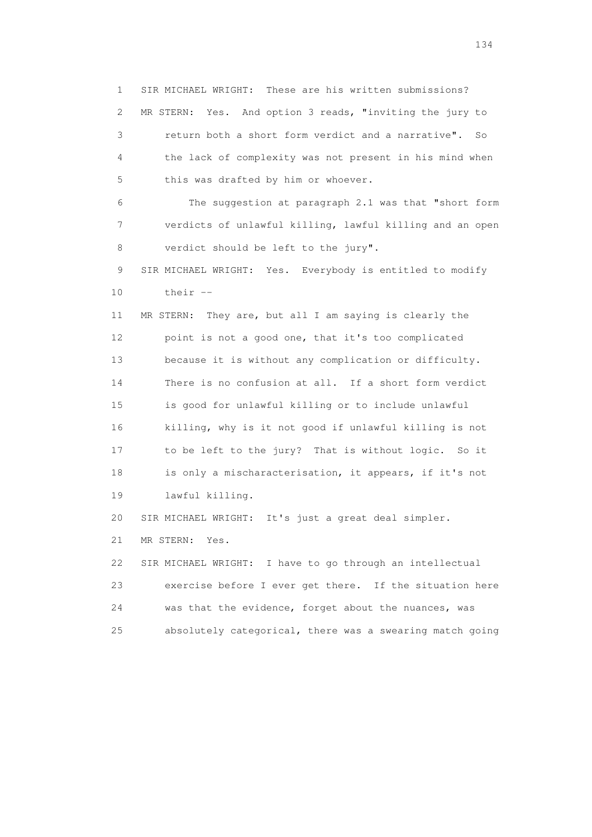1 SIR MICHAEL WRIGHT: These are his written submissions? 2 MR STERN: Yes. And option 3 reads, "inviting the jury to 3 return both a short form verdict and a narrative". So 4 the lack of complexity was not present in his mind when 5 this was drafted by him or whoever. 6 The suggestion at paragraph 2.1 was that "short form 7 verdicts of unlawful killing, lawful killing and an open 8 verdict should be left to the jury". 9 SIR MICHAEL WRIGHT: Yes. Everybody is entitled to modify 10 their -- 11 MR STERN: They are, but all I am saying is clearly the 12 point is not a good one, that it's too complicated 13 because it is without any complication or difficulty. 14 There is no confusion at all. If a short form verdict 15 is good for unlawful killing or to include unlawful 16 killing, why is it not good if unlawful killing is not 17 to be left to the jury? That is without logic. So it 18 is only a mischaracterisation, it appears, if it's not 19 lawful killing. 20 SIR MICHAEL WRIGHT: It's just a great deal simpler. 21 MR STERN: Yes. 22 SIR MICHAEL WRIGHT: I have to go through an intellectual 23 exercise before I ever get there. If the situation here 24 was that the evidence, forget about the nuances, was 25 absolutely categorical, there was a swearing match going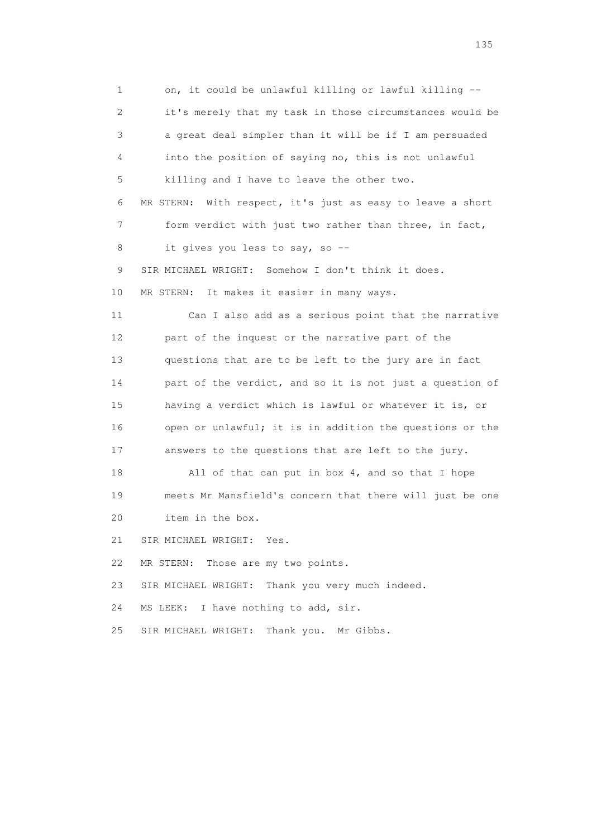1 on, it could be unlawful killing or lawful killing -- 2 it's merely that my task in those circumstances would be 3 a great deal simpler than it will be if I am persuaded 4 into the position of saying no, this is not unlawful 5 killing and I have to leave the other two. 6 MR STERN: With respect, it's just as easy to leave a short 7 form verdict with just two rather than three, in fact, 8 it gives you less to say, so -- 9 SIR MICHAEL WRIGHT: Somehow I don't think it does. 10 MR STERN: It makes it easier in many ways. 11 Can I also add as a serious point that the narrative 12 part of the inquest or the narrative part of the 13 questions that are to be left to the jury are in fact 14 part of the verdict, and so it is not just a question of 15 having a verdict which is lawful or whatever it is, or 16 open or unlawful; it is in addition the questions or the 17 answers to the questions that are left to the jury. 18 All of that can put in box 4, and so that I hope 19 meets Mr Mansfield's concern that there will just be one 20 item in the box. 21 SIR MICHAEL WRIGHT: Yes. 22 MR STERN: Those are my two points. 23 SIR MICHAEL WRIGHT: Thank you very much indeed. 24 MS LEEK: I have nothing to add, sir. 25 SIR MICHAEL WRIGHT: Thank you. Mr Gibbs.

n 135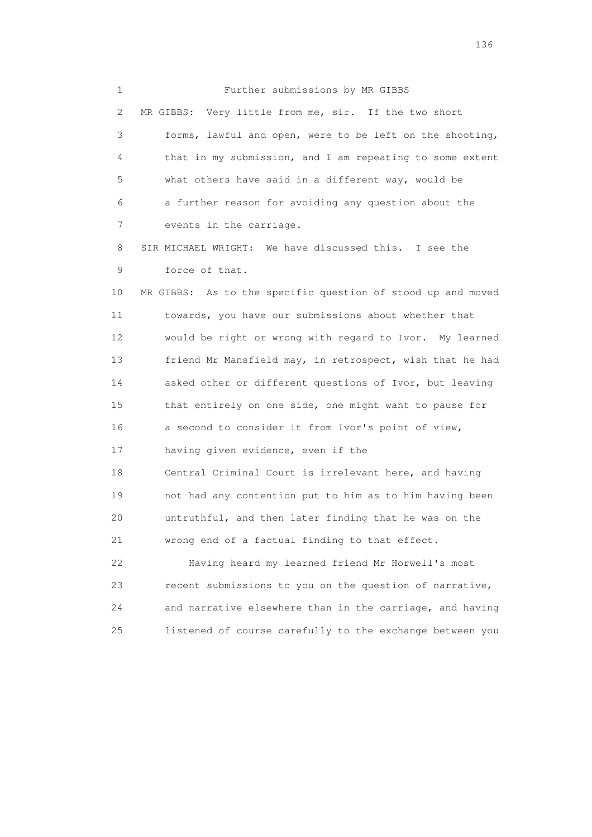1 Further submissions by MR GIBBS 2 MR GIBBS: Very little from me, sir. If the two short 3 forms, lawful and open, were to be left on the shooting, 4 that in my submission, and I am repeating to some extent 5 what others have said in a different way, would be 6 a further reason for avoiding any question about the 7 events in the carriage.

 8 SIR MICHAEL WRIGHT: We have discussed this. I see the 9 force of that.

 10 MR GIBBS: As to the specific question of stood up and moved 11 towards, you have our submissions about whether that 12 would be right or wrong with regard to Ivor. My learned 13 friend Mr Mansfield may, in retrospect, wish that he had 14 asked other or different questions of Ivor, but leaving 15 that entirely on one side, one might want to pause for 16 a second to consider it from Ivor's point of view, 17 having given evidence, even if the 18 Central Criminal Court is irrelevant here, and having 19 not had any contention put to him as to him having been 20 untruthful, and then later finding that he was on the 21 wrong end of a factual finding to that effect.

 22 Having heard my learned friend Mr Horwell's most 23 recent submissions to you on the question of narrative, 24 and narrative elsewhere than in the carriage, and having 25 listened of course carefully to the exchange between you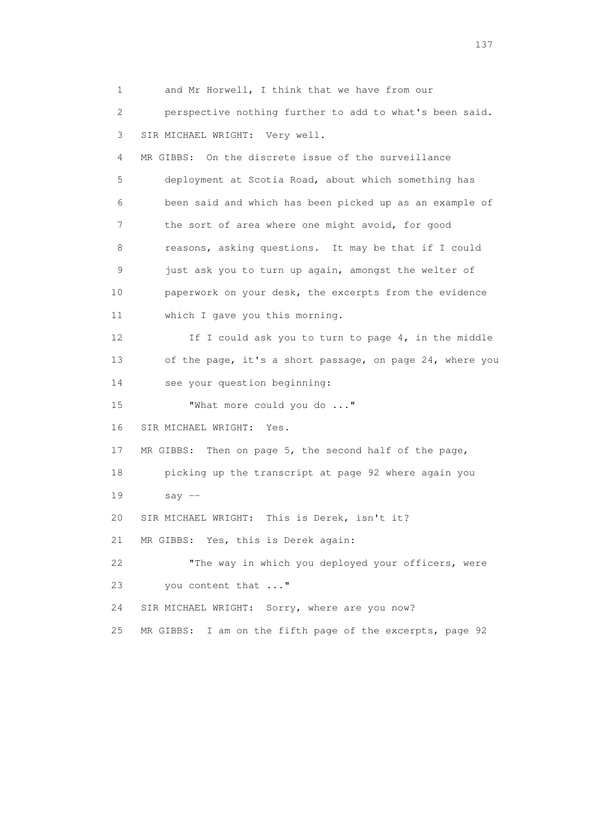1 and Mr Horwell, I think that we have from our 2 perspective nothing further to add to what's been said. 3 SIR MICHAEL WRIGHT: Very well. 4 MR GIBBS: On the discrete issue of the surveillance 5 deployment at Scotia Road, about which something has 6 been said and which has been picked up as an example of 7 the sort of area where one might avoid, for good 8 reasons, asking questions. It may be that if I could 9 just ask you to turn up again, amongst the welter of 10 paperwork on your desk, the excerpts from the evidence 11 which I gave you this morning. 12 If I could ask you to turn to page 4, in the middle 13 of the page, it's a short passage, on page 24, where you 14 see your question beginning: 15 "What more could you do ..." 16 SIR MICHAEL WRIGHT: Yes. 17 MR GIBBS: Then on page 5, the second half of the page, 18 picking up the transcript at page 92 where again you 19 say -- 20 SIR MICHAEL WRIGHT: This is Derek, isn't it? 21 MR GIBBS: Yes, this is Derek again: 22 "The way in which you deployed your officers, were 23 you content that ..." 24 SIR MICHAEL WRIGHT: Sorry, where are you now? 25 MR GIBBS: I am on the fifth page of the excerpts, page 92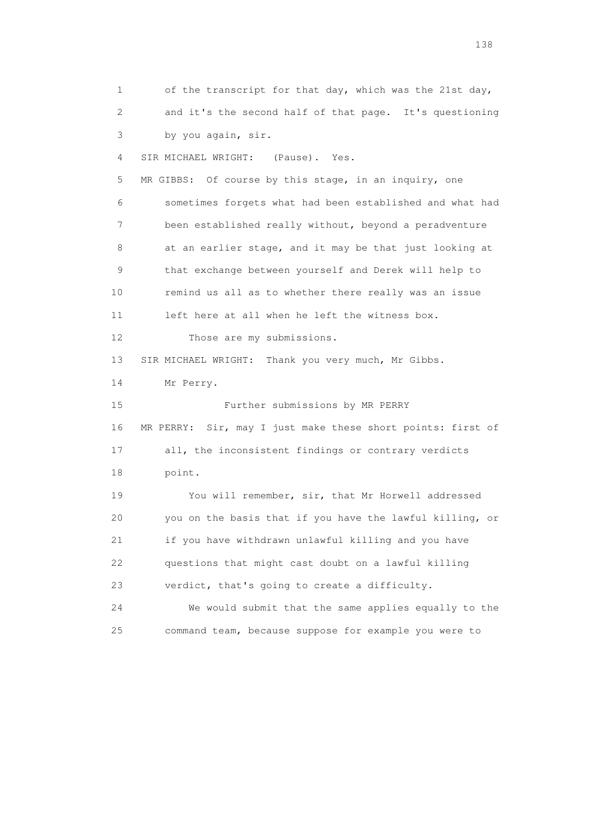1 of the transcript for that day, which was the 21st day, 2 and it's the second half of that page. It's questioning 3 by you again, sir. 4 SIR MICHAEL WRIGHT: (Pause). Yes. 5 MR GIBBS: Of course by this stage, in an inquiry, one 6 sometimes forgets what had been established and what had 7 been established really without, beyond a peradventure 8 at an earlier stage, and it may be that just looking at 9 that exchange between yourself and Derek will help to 10 remind us all as to whether there really was an issue 11 left here at all when he left the witness box. 12 Those are my submissions. 13 SIR MICHAEL WRIGHT: Thank you very much, Mr Gibbs. 14 Mr Perry. 15 Further submissions by MR PERRY 16 MR PERRY: Sir, may I just make these short points: first of 17 all, the inconsistent findings or contrary verdicts 18 point. 19 You will remember, sir, that Mr Horwell addressed 20 you on the basis that if you have the lawful killing, or 21 if you have withdrawn unlawful killing and you have 22 questions that might cast doubt on a lawful killing 23 verdict, that's going to create a difficulty. 24 We would submit that the same applies equally to the 25 command team, because suppose for example you were to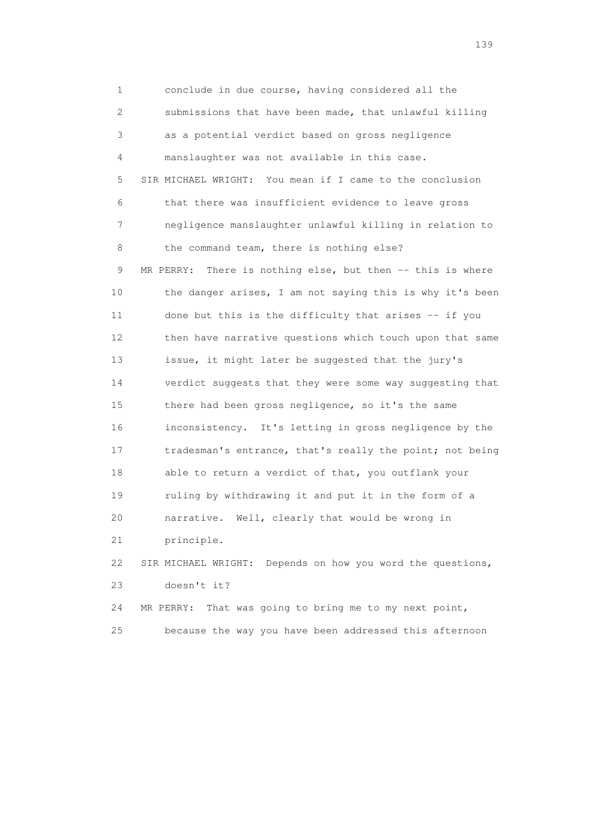1 conclude in due course, having considered all the 2 submissions that have been made, that unlawful killing 3 as a potential verdict based on gross negligence 4 manslaughter was not available in this case. 5 SIR MICHAEL WRIGHT: You mean if I came to the conclusion 6 that there was insufficient evidence to leave gross 7 negligence manslaughter unlawful killing in relation to 8 the command team, there is nothing else? 9 MR PERRY: There is nothing else, but then -- this is where 10 the danger arises, I am not saying this is why it's been 11 done but this is the difficulty that arises -- if you 12 then have narrative questions which touch upon that same 13 issue, it might later be suggested that the jury's 14 verdict suggests that they were some way suggesting that 15 there had been gross negligence, so it's the same 16 inconsistency. It's letting in gross negligence by the 17 tradesman's entrance, that's really the point; not being 18 able to return a verdict of that, you outflank your 19 ruling by withdrawing it and put it in the form of a 20 narrative. Well, clearly that would be wrong in 21 principle. 22 SIR MICHAEL WRIGHT: Depends on how you word the questions, 23 doesn't it?

 24 MR PERRY: That was going to bring me to my next point, 25 because the way you have been addressed this afternoon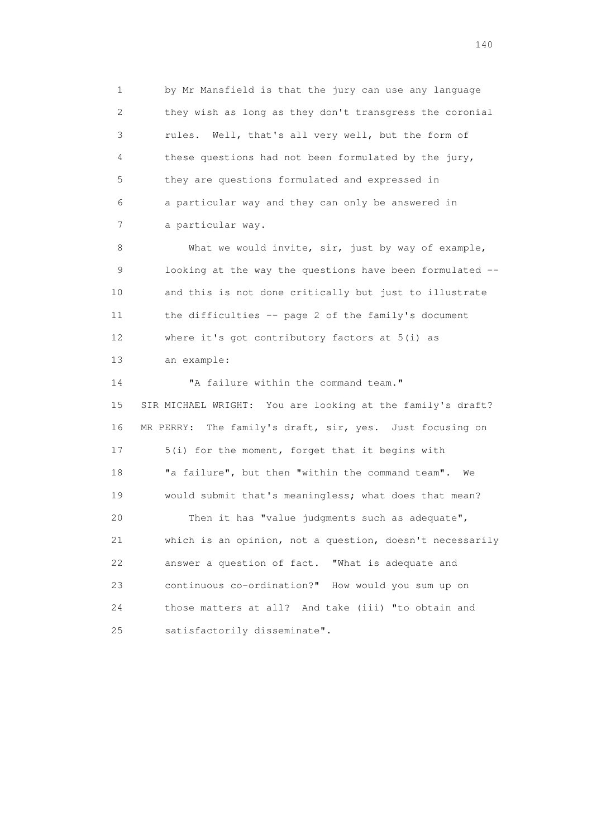1 by Mr Mansfield is that the jury can use any language 2 they wish as long as they don't transgress the coronial 3 rules. Well, that's all very well, but the form of 4 these questions had not been formulated by the jury, 5 they are questions formulated and expressed in 6 a particular way and they can only be answered in 7 a particular way.

8 What we would invite, sir, just by way of example, 9 looking at the way the questions have been formulated -- 10 and this is not done critically but just to illustrate 11 the difficulties -- page 2 of the family's document 12 where it's got contributory factors at 5(i) as

13 an example:

14 "A failure within the command team." 15 SIR MICHAEL WRIGHT: You are looking at the family's draft? 16 MR PERRY: The family's draft, sir, yes. Just focusing on 17 5(i) for the moment, forget that it begins with 18 "a failure", but then "within the command team". We 19 would submit that's meaningless; what does that mean? 20 Then it has "value judgments such as adequate", 21 which is an opinion, not a question, doesn't necessarily 22 answer a question of fact. "What is adequate and 23 continuous co-ordination?" How would you sum up on 24 those matters at all? And take (iii) "to obtain and 25 satisfactorily disseminate".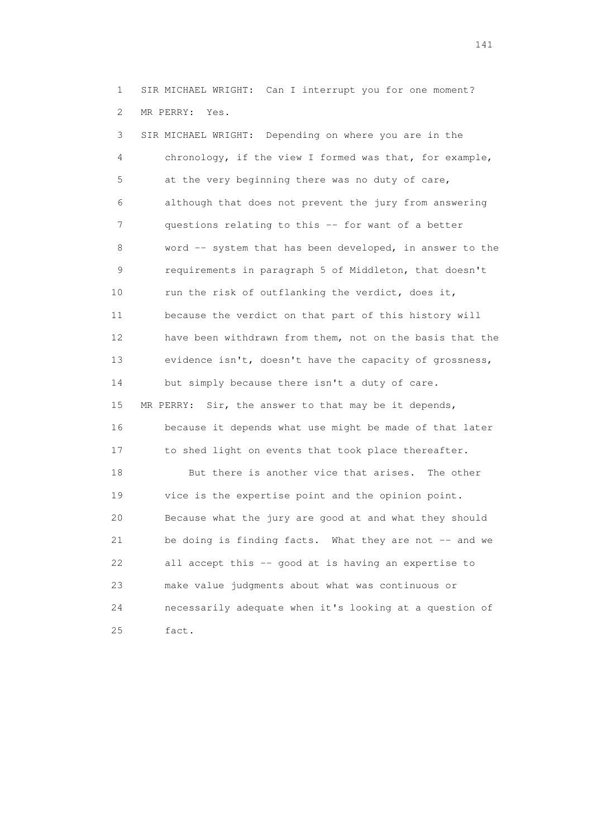1 SIR MICHAEL WRIGHT: Can I interrupt you for one moment? 2 MR PERRY: Yes.

 3 SIR MICHAEL WRIGHT: Depending on where you are in the 4 chronology, if the view I formed was that, for example, 5 at the very beginning there was no duty of care, 6 although that does not prevent the jury from answering 7 questions relating to this -- for want of a better 8 word -- system that has been developed, in answer to the 9 requirements in paragraph 5 of Middleton, that doesn't 10 run the risk of outflanking the verdict, does it, 11 because the verdict on that part of this history will 12 have been withdrawn from them, not on the basis that the 13 evidence isn't, doesn't have the capacity of grossness, 14 but simply because there isn't a duty of care. 15 MR PERRY: Sir, the answer to that may be it depends, 16 because it depends what use might be made of that later 17 to shed light on events that took place thereafter. 18 But there is another vice that arises. The other 19 vice is the expertise point and the opinion point. 20 Because what the jury are good at and what they should 21 be doing is finding facts. What they are not -- and we 22 all accept this -- good at is having an expertise to 23 make value judgments about what was continuous or 24 necessarily adequate when it's looking at a question of 25 fact.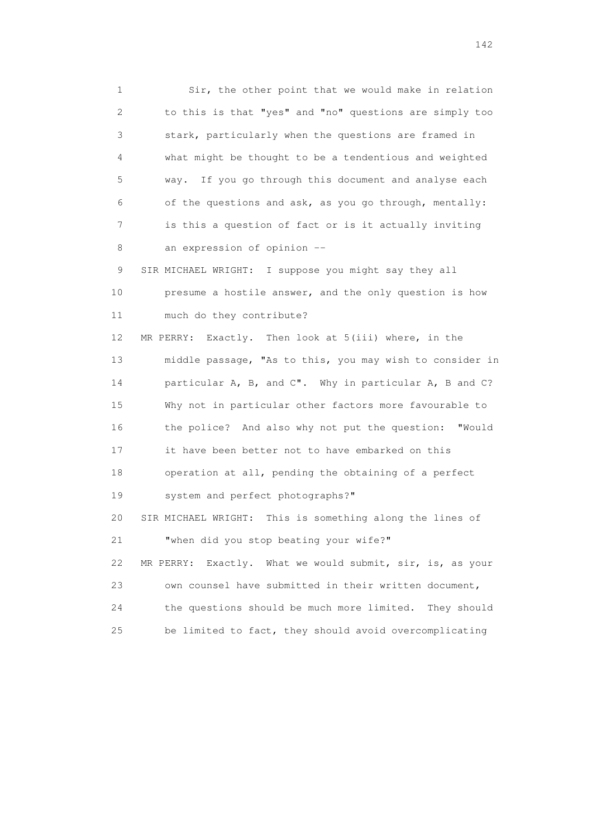1 Sir, the other point that we would make in relation 2 to this is that "yes" and "no" questions are simply too 3 stark, particularly when the questions are framed in 4 what might be thought to be a tendentious and weighted 5 way. If you go through this document and analyse each 6 of the questions and ask, as you go through, mentally: 7 is this a question of fact or is it actually inviting 8 an expression of opinion -- 9 SIR MICHAEL WRIGHT: I suppose you might say they all 10 presume a hostile answer, and the only question is how 11 much do they contribute? 12 MR PERRY: Exactly. Then look at 5(iii) where, in the 13 middle passage, "As to this, you may wish to consider in 14 particular A, B, and C". Why in particular A, B and C? 15 Why not in particular other factors more favourable to

 16 the police? And also why not put the question: "Would 17 it have been better not to have embarked on this 18 operation at all, pending the obtaining of a perfect 19 system and perfect photographs?" 20 SIR MICHAEL WRIGHT: This is something along the lines of 21 "when did you stop beating your wife?"

 22 MR PERRY: Exactly. What we would submit, sir, is, as your 23 own counsel have submitted in their written document, 24 the questions should be much more limited. They should 25 be limited to fact, they should avoid overcomplicating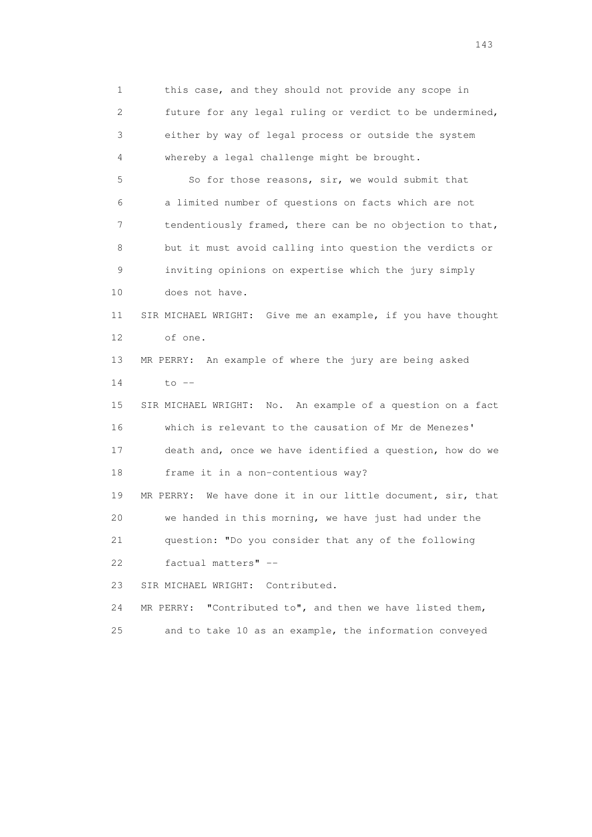1 this case, and they should not provide any scope in 2 future for any legal ruling or verdict to be undermined, 3 either by way of legal process or outside the system 4 whereby a legal challenge might be brought. 5 So for those reasons, sir, we would submit that 6 a limited number of questions on facts which are not 7 tendentiously framed, there can be no objection to that, 8 but it must avoid calling into question the verdicts or 9 inviting opinions on expertise which the jury simply 10 does not have. 11 SIR MICHAEL WRIGHT: Give me an example, if you have thought 12 of one. 13 MR PERRY: An example of where the jury are being asked 14 to -- 15 SIR MICHAEL WRIGHT: No. An example of a question on a fact 16 which is relevant to the causation of Mr de Menezes' 17 death and, once we have identified a question, how do we 18 frame it in a non-contentious way? 19 MR PERRY: We have done it in our little document, sir, that 20 we handed in this morning, we have just had under the 21 question: "Do you consider that any of the following 22 factual matters" -- 23 SIR MICHAEL WRIGHT: Contributed. 24 MR PERRY: "Contributed to", and then we have listed them, 25 and to take 10 as an example, the information conveyed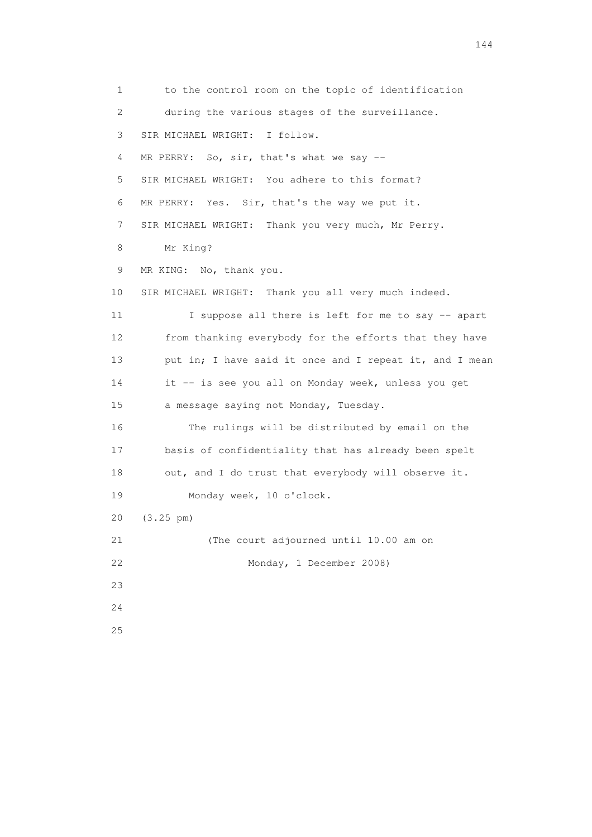1 to the control room on the topic of identification 2 during the various stages of the surveillance. 3 SIR MICHAEL WRIGHT: I follow. 4 MR PERRY: So, sir, that's what we say -- 5 SIR MICHAEL WRIGHT: You adhere to this format? 6 MR PERRY: Yes. Sir, that's the way we put it. 7 SIR MICHAEL WRIGHT: Thank you very much, Mr Perry. 8 Mr King? 9 MR KING: No, thank you. 10 SIR MICHAEL WRIGHT: Thank you all very much indeed. 11 I suppose all there is left for me to say -- apart 12 from thanking everybody for the efforts that they have 13 put in; I have said it once and I repeat it, and I mean 14 it -- is see you all on Monday week, unless you get 15 a message saying not Monday, Tuesday. 16 The rulings will be distributed by email on the 17 basis of confidentiality that has already been spelt 18 out, and I do trust that everybody will observe it. 19 Monday week, 10 o'clock. 20 (3.25 pm) 21 (The court adjourned until 10.00 am on 22 Monday, 1 December 2008) 23 24 25